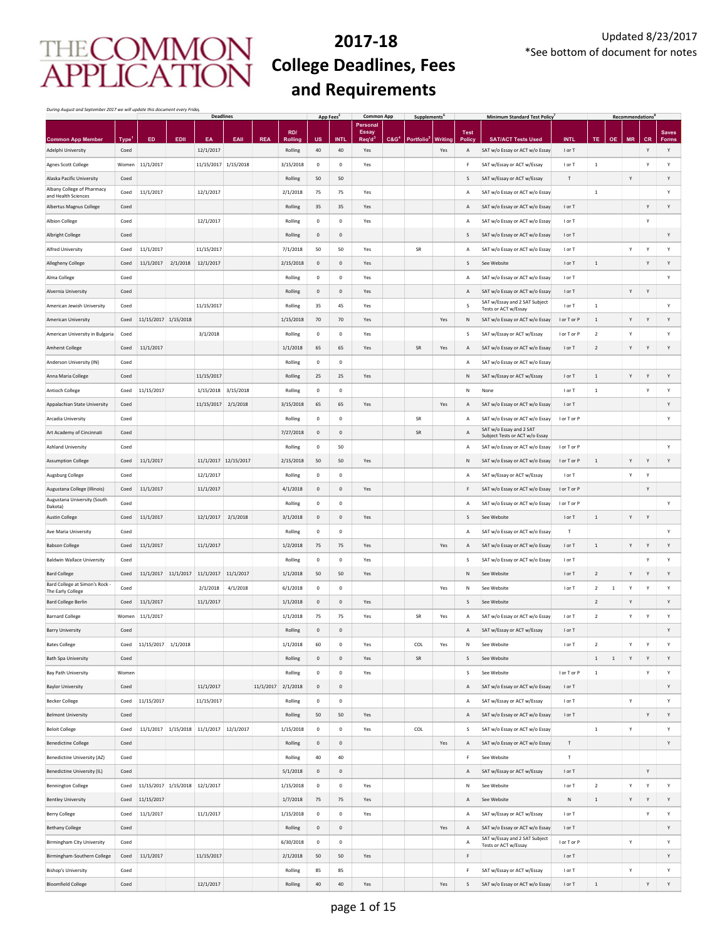### **2017‐18 College Deadlines, Fees and Requirements**

*During August and September 2017 we will update this document every Friday*

|                                                             |                     |                      |          | <b>Deadlines</b>              |                      |            |                           | App Fees <sup>2</sup> |                     | <b>Common App</b>      |                  | <b>Supplements</b>     |                       |                    | <b>Minimum Standard Test Policy</b>                         |                       |                |              | <b>Recommendations</b> |              |                   |
|-------------------------------------------------------------|---------------------|----------------------|----------|-------------------------------|----------------------|------------|---------------------------|-----------------------|---------------------|------------------------|------------------|------------------------|-----------------------|--------------------|-------------------------------------------------------------|-----------------------|----------------|--------------|------------------------|--------------|-------------------|
|                                                             |                     |                      |          |                               |                      |            | RD/                       |                       |                     | Personal<br>Essay      |                  |                        |                       | <b>Test</b>        |                                                             |                       |                |              |                        |              | <b>Saves</b>      |
| <b>Common App Member</b><br>Adelphi University              | <b>Type</b><br>Coed | ED                   | EDII     | EA<br>12/1/2017               | EAII                 | <b>REA</b> | <b>Rolling</b><br>Rolling | <b>US</b><br>40       | <b>INTL</b><br>40   | $\text{Re}q' d$<br>Yes | C&G <sup>4</sup> | Portfolio <sup>t</sup> | <b>Writing</b><br>Yes | <b>Policy</b><br>Α | <b>SAT/ACT Tests Used</b><br>SAT w/o Essay or ACT w/o Essay | <b>INTL</b><br>I or T | TE             | <b>OE</b>    | <b>MR</b>              | <b>CR</b>    | <b>Forms</b><br>Y |
| Agnes Scott College                                         | Women               | 11/1/2017            |          | 11/15/2017 1/15/2018          |                      |            | 3/15/2018                 | $\mathbf 0$           | $\mathsf{O}\xspace$ | Yes                    |                  |                        |                       | F                  | SAT w/Essay or ACT w/Essay                                  | I or T                | $\,1\,$        |              |                        | Y            | Υ                 |
| Alaska Pacific University                                   | Coed                |                      |          |                               |                      |            | Rolling                   | 50                    | 50                  |                        |                  |                        |                       | S                  | SAT w/Essay or ACT w/Essay                                  | Т                     |                |              | Υ                      |              | Υ                 |
| Albany College of Pharmacy                                  | Coed                | 11/1/2017            |          | 12/1/2017                     |                      |            | 2/1/2018                  | 75                    | 75                  | Yes                    |                  |                        |                       | A                  | SAT w/o Essay or ACT w/o Essay                              |                       | $\mathbf{1}$   |              |                        |              | Y                 |
| and Health Sciences<br>Albertus Magnus College              | Coed                |                      |          |                               |                      |            | Rolling                   | 35                    | 35                  | Yes                    |                  |                        |                       | A                  | SAT w/o Essay or ACT w/o Essay                              | I or T                |                |              |                        | Y            | Y                 |
| <b>Albion College</b>                                       | Coed                |                      |          | 12/1/2017                     |                      |            | Rolling                   | $\mathbf 0$           | $\circ$             | Yes                    |                  |                        |                       | A                  | SAT w/o Essay or ACT w/o Essay                              | I or T                |                |              |                        | Y            |                   |
| Albright College                                            | Coed                |                      |          |                               |                      |            | Rolling                   | $\mathbf 0$           | $\mathbf{0}$        |                        |                  |                        |                       | S                  | SAT w/o Essay or ACT w/o Essay                              | I or T                |                |              |                        |              | Y                 |
| <b>Alfred University</b>                                    | Coed                | 11/1/2017            |          | 11/15/2017                    |                      |            | 7/1/2018                  | 50                    | 50                  | Yes                    |                  | SR                     |                       | $\overline{A}$     | SAT w/o Essay or ACT w/o Essay                              | I or T                |                |              | Y                      | Y            | Y                 |
| Allegheny College                                           | Coed                | 11/1/2017            | 2/1/2018 | 12/1/2017                     |                      |            | 2/15/2018                 | $\mathbf 0$           | $\mathbf{0}$        | Yes                    |                  |                        |                       | S                  | See Website                                                 | I or T                | $\mathbf{1}$   |              |                        | Y            | Υ                 |
| Alma College                                                | Coed                |                      |          |                               |                      |            | Rolling                   | $\mathbf 0$           | $\mathbf 0$         | Yes                    |                  |                        |                       | A                  | SAT w/o Essay or ACT w/o Essay                              | I or T                |                |              |                        |              | Y                 |
| Alvernia University                                         | Coed                |                      |          |                               |                      |            | Rolling                   | $\mathbf 0$           | $\mathsf{O}\xspace$ | Yes                    |                  |                        |                       | $\overline{A}$     | SAT w/o Essay or ACT w/o Essay                              | I or T                |                |              | Y                      | Y            |                   |
| American Jewish University                                  | Coed                |                      |          | 11/15/2017                    |                      |            | Rolling                   | 35                    | 45                  | Yes                    |                  |                        |                       | S                  | SAT w/Essay and 2 SAT Subject                               | I or T                | $\,$ 1 $\,$    |              |                        |              | Y                 |
| American University                                         | Coed                | 11/15/2017 1/15/2018 |          |                               |                      |            | 1/15/2018                 | 70                    | 70                  | Yes                    |                  |                        | Yes                   | ${\sf N}$          | Tests or ACT w/Essay<br>SAT w/o Essay or ACT w/o Essay      | I or T or P           | $\,1\,$        |              | Υ                      | Y            | Y                 |
| American University in Bulgaria                             | Coed                |                      |          | 3/1/2018                      |                      |            | Rolling                   | $\mathbf 0$           | $\mathsf{O}\xspace$ | Yes                    |                  |                        |                       | S                  | SAT w/Essay or ACT w/Essay                                  | I or T or P           | $\overline{2}$ |              | Υ                      |              | Y                 |
| <b>Amherst College</b>                                      | Coed                | 11/1/2017            |          |                               |                      |            | 1/1/2018                  | 65                    | 65                  | Yes                    |                  | SR                     | Yes                   | Α                  | SAT w/o Essay or ACT w/o Essay                              | I or T                | $\overline{2}$ |              | Υ                      | Υ            | Υ                 |
| Anderson University (IN)                                    | Coed                |                      |          |                               |                      |            | Rolling                   | $\mathbf 0$           | $\mathsf{O}\xspace$ |                        |                  |                        |                       | A                  | SAT w/o Essay or ACT w/o Essay                              |                       |                |              |                        |              |                   |
| Anna Maria College                                          | Coed                |                      |          | 11/15/2017                    |                      |            | Rolling                   | 25                    | 25                  | Yes                    |                  |                        |                       | N                  | SAT w/Essay or ACT w/Essay                                  | I or T                | $\,1\,$        |              | Y                      | Y            | Υ                 |
| <b>Antioch College</b>                                      | Coed                | 11/15/2017           |          | 1/15/2018                     | 3/15/2018            |            | Rolling                   | $\mathsf{o}$          | $\mathsf{O}\xspace$ |                        |                  |                        |                       | N                  | None                                                        | I or T                | $\,$ 1 $\,$    |              |                        | Υ            | Y                 |
| Appalachian State University                                |                     |                      |          | 11/15/2017                    | 2/1/2018             |            | 3/15/2018                 | 65                    | 65                  |                        |                  |                        | Yes                   | A                  | SAT w/o Essay or ACT w/o Essay                              |                       |                |              |                        |              | Y                 |
|                                                             | Coed<br>Coed        |                      |          |                               |                      |            | Rolling                   | $\mathbf 0$           | $\mathbf 0$         | Yes                    |                  | SR                     |                       | A                  | SAT w/o Essay or ACT w/o Essay                              | I or T<br>I or T or P |                |              |                        |              | Y                 |
| Arcadia University<br>Art Academy of Cincinnati             | Coed                |                      |          |                               |                      |            | 7/27/2018                 | $\mathsf 0$           | $\mathsf{O}\xspace$ |                        |                  | ${\sf SR}$             |                       | A                  | SAT w/o Essay and 2 SAT                                     |                       |                |              |                        |              |                   |
|                                                             |                     |                      |          |                               |                      |            | Rolling                   | $\mathsf 0$           |                     |                        |                  |                        |                       |                    | Subject Tests or ACT w/o Essay                              |                       |                |              |                        |              | Y                 |
| <b>Ashland University</b>                                   | Coed                |                      |          |                               |                      |            |                           |                       | 50                  |                        |                  |                        |                       | A                  | SAT w/o Essay or ACT w/o Essay                              | I or T or P           |                |              |                        |              | Y                 |
| <b>Assumption College</b>                                   | Coed                | 11/1/2017            |          |                               | 11/1/2017 12/15/2017 |            | 2/15/2018                 | 50                    | 50                  | Yes                    |                  |                        |                       | N                  | SAT w/o Essay or ACT w/o Essay                              | I or T or P           | $\mathbf{1}$   |              | Y                      | Y            |                   |
| Augsburg College                                            | Coed                |                      |          | 12/1/2017                     |                      |            | Rolling                   | $\mathsf 0$           | $\mathsf{O}\xspace$ |                        |                  |                        |                       | A                  | SAT w/Essay or ACT w/Essay                                  | I or T                |                |              | Y                      | Υ            |                   |
| Augustana College (Illinois)<br>Augustana University (South | Coed                | 11/1/2017            |          | 11/1/2017                     |                      |            | 4/1/2018                  | $\mathsf{O}$          | $\mathsf{O}\xspace$ | Yes                    |                  |                        |                       | F                  | SAT w/o Essay or ACT w/o Essay                              | I or T or P           |                |              |                        | Y            |                   |
| Dakota)                                                     | Coed                |                      |          |                               |                      |            | Rolling                   | $\mathbf 0$           | $\mathsf{O}\xspace$ |                        |                  |                        |                       | A                  | SAT w/o Essay or ACT w/o Essay                              | I or T or P           |                |              |                        |              | Y                 |
| <b>Austin College</b>                                       | Coed                | 11/1/2017            |          | 12/1/2017                     | 2/1/2018             |            | 3/1/2018                  | $\mathbf 0$           | $\mathsf{O}\xspace$ | Yes                    |                  |                        |                       | S                  | See Website                                                 | I or T                | $\,1\,$        |              | Y                      | Y            |                   |
| Ave Maria University                                        | Coed                |                      |          |                               |                      |            | Rolling                   | $\mathbf 0$           | $\mathsf{O}\xspace$ |                        |                  |                        |                       | A                  | SAT w/o Essay or ACT w/o Essay                              | Т                     |                |              |                        |              | Y                 |
| <b>Babson College</b>                                       | Coed                | 11/1/2017            |          | 11/1/2017                     |                      |            | 1/2/2018                  | 75                    | 75                  | Yes                    |                  |                        | Yes                   | $\overline{A}$     | SAT w/o Essay or ACT w/o Essay                              | I or T                | $\,1\,$        |              | Y                      | Y            | Y                 |
| <b>Baldwin Wallace University</b>                           | Coed                |                      |          |                               |                      |            | Rolling                   | $\mathbf 0$           | $\circ$             | Yes                    |                  |                        |                       | S                  | SAT w/o Essay or ACT w/o Essay                              | I or T                |                |              |                        | Y            | Y                 |
| <b>Bard College</b><br>Bard College at Simon's Rock -       | Coed                | 11/1/2017            |          | 11/1/2017 11/1/2017           | 11/1/2017            |            | 1/1/2018                  | 50                    | 50                  | Yes                    |                  |                        |                       | N                  | See Website                                                 | I or T                | $\overline{2}$ |              | Y                      | Y            | Y                 |
| The Early College                                           | Coed                |                      |          | 2/1/2018                      | 4/1/2018             |            | 6/1/2018                  | $\,0\,$               | $\circ$             |                        |                  |                        | Yes                   | N                  | See Website                                                 | I or T                | $\overline{a}$ | $\mathbf{1}$ | Υ                      | Y            | Y                 |
| <b>Bard College Berlin</b>                                  | Coed                | 11/1/2017            |          | 11/1/2017                     |                      |            | 1/1/2018                  | $\mathbf 0$           | $\mathbf{0}$        | Yes                    |                  |                        |                       | S                  | See Website                                                 |                       | $\overline{2}$ |              | Y                      |              | Y                 |
| <b>Barnard College</b>                                      | Women               | 11/1/2017            |          |                               |                      |            | 1/1/2018                  | 75                    | 75                  | Yes                    |                  | SR                     | Yes                   | $\overline{A}$     | SAT w/o Essay or ACT w/o Essay                              | I or T                | $\overline{2}$ |              | Y                      | Y            | Υ                 |
| <b>Barry University</b>                                     | Coed                |                      |          |                               |                      |            | Rolling                   | $\mathsf 0$           | $\mathbf{0}$        |                        |                  |                        |                       | $\overline{A}$     | SAT w/Essay or ACT w/Essay                                  | I or T                |                |              |                        |              | Υ                 |
| <b>Bates College</b>                                        | Coed                | 11/15/2017           | 1/1/2018 |                               |                      |            | 1/1/2018                  | 60                    | $\mathbf 0$         | Yes                    |                  | COL                    | Yes                   | N                  | See Website                                                 | I or T                | $\sqrt{2}$     |              | Y                      | $\mathsf{Y}$ | Y                 |
| <b>Bath Spa University</b>                                  | Coed                |                      |          |                               |                      |            | Rolling                   | $\mathbf 0$           | $\mathsf{O}\xspace$ | Yes                    |                  | ${\sf SR}$             |                       | S                  | See Website                                                 |                       | $\,$ 1 $\,$    | $\mathbf{1}$ | Υ                      | Y            | Y                 |
| <b>Bay Path University</b>                                  | Women               |                      |          |                               |                      |            | Rolling                   | $\mathbf 0$           | $\mathsf{O}\xspace$ | Yes                    |                  |                        |                       | S                  | See Website                                                 | I or T or P           | $\,$ 1         |              |                        | Υ            | Y                 |
| <b>Baylor University</b>                                    | Coed                |                      |          | 11/1/2017                     |                      | 11/1/2017  | 2/1/2018                  | $\,0\,$               | $\mathbf 0$         |                        |                  |                        |                       | A                  | SAT w/o Essay or ACT w/o Essay                              | I or T                |                |              |                        |              | Υ                 |
| <b>Becker College</b>                                       | Coed                | 11/15/2017           |          | 11/15/2017                    |                      |            | Rolling                   | $\mathbf 0$           | $\mathsf{O}\xspace$ |                        |                  |                        |                       | $\overline{A}$     | SAT w/Essay or ACT w/Essay                                  | I or T                |                |              | Υ                      |              | Υ                 |
| <b>Belmont University</b>                                   | Coed                |                      |          |                               |                      |            | Rolling                   | 50                    | 50                  | Yes                    |                  |                        |                       | $\overline{A}$     | SAT w/o Essay or ACT w/o Essay                              | I or T                |                |              |                        | Υ            | Υ                 |
| <b>Beloit College</b>                                       | Coed                | 11/1/2017            |          | 1/15/2018 11/1/2017 12/1/2017 |                      |            | 1/15/2018                 | $\pmb{0}$             | 0                   | Yes                    |                  | COL                    |                       | S                  | SAT w/o Essay or ACT w/o Essay                              |                       | $\mathbf{1}$   |              | Υ                      |              | Υ                 |
| <b>Benedictine College</b>                                  | Coed                |                      |          |                               |                      |            | Rolling                   | $\mathbf 0$           | $\mathbf 0$         |                        |                  |                        | Yes                   | A                  | SAT w/o Essay or ACT w/o Essay                              | T                     |                |              |                        |              | Υ                 |
| <b>Benedictine University (AZ)</b>                          | Coed                |                      |          |                               |                      |            | Rolling                   | 40                    | 40                  |                        |                  |                        |                       | E                  | See Website                                                 | T.                    |                |              |                        |              |                   |
| Benedictine University (IL)                                 | Coed                |                      |          |                               |                      |            | 5/1/2018                  | $\mathbf 0$           | $\mathbf{0}$        |                        |                  |                        |                       | $\mathsf{A}$       | SAT w/Essay or ACT w/Essay                                  | I or T                |                |              |                        | Y            |                   |
| <b>Bennington College</b>                                   | Coed                | 11/15/2017           |          | 1/15/2018 12/1/2017           |                      |            | 1/15/2018                 | $\mathbf 0$           | $\mathsf{O}\xspace$ | Yes                    |                  |                        |                       | N                  | See Website                                                 | I or T                | $\sqrt{2}$     |              | Υ                      | Υ            | Υ                 |
| <b>Bentley University</b>                                   | Coed                | 11/15/2017           |          |                               |                      |            | 1/7/2018                  | 75                    | 75                  | Yes                    |                  |                        |                       | $\overline{A}$     | See Website                                                 | N                     | $\,$ 1 $\,$    |              | Y                      | Y            | Υ                 |
| Berry College                                               | Coed                | 11/1/2017            |          | 11/1/2017                     |                      |            | 1/15/2018                 | $\mathbf 0$           | $\mathsf{O}\xspace$ | Yes                    |                  |                        |                       | A                  | SAT w/Essay or ACT w/Essay                                  | I or T                |                |              |                        | Υ            | Υ                 |
| <b>Bethany College</b>                                      | Coed                |                      |          |                               |                      |            | Rolling                   | $\mathbf 0$           | $\mathsf{O}\xspace$ |                        |                  |                        | Yes                   | A                  | SAT w/o Essay or ACT w/o Essay                              | I or T                |                |              |                        |              | Y                 |
| <b>Birmingham City University</b>                           | Coed                |                      |          |                               |                      |            | 6/30/2018                 | $\mathsf{o}$          | $\mathsf{O}\xspace$ |                        |                  |                        |                       | A                  | SAT w/Essay and 2 SAT Subject<br>Tests or ACT w/Essay       | I or T or P           |                |              | Υ                      |              | Υ                 |
| Birmingham-Southern College                                 | Coed                | 11/1/2017            |          | 11/15/2017                    |                      |            | 2/1/2018                  | 50                    | 50                  | Yes                    |                  |                        |                       | F                  |                                                             | I or T                |                |              |                        |              | Υ                 |
| <b>Bishop's University</b>                                  | Coed                |                      |          |                               |                      |            | Rolling                   | 85                    | 85                  |                        |                  |                        |                       | F                  | SAT w/Essay or ACT w/Essay                                  | I or T                |                |              | Υ                      |              | Υ                 |
| <b>Bloomfield College</b>                                   | Coed                |                      |          | 12/1/2017                     |                      |            | Rolling                   | 40                    | 40                  | Yes                    |                  |                        | Yes                   | S                  | SAT w/o Essay or ACT w/o Essay                              | I or T                | $\,1\,$        |              |                        | Y            | Υ                 |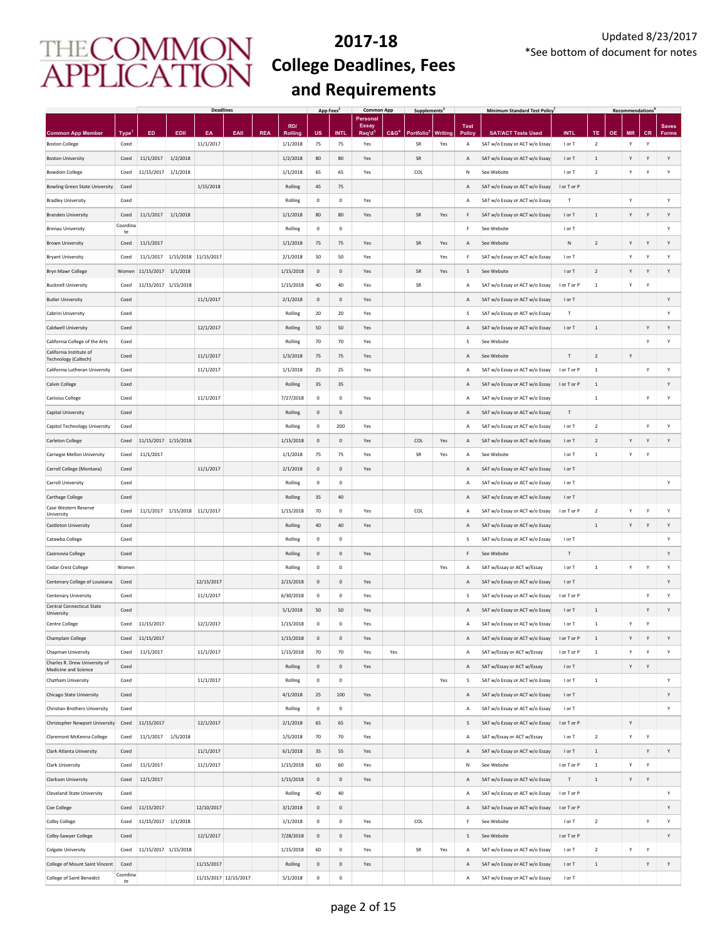|                                                              |                  |                      |                     | <b>Deadlines</b>     |                       |            |                        | App Fees <sup>2</sup>      |                                  | <b>Common App</b>        |                  | Supplements <sup>®</sup> |                |                    | Minimum Standard Test Policy                                     |                           |                                      |           | Recommendations <sup>1</sup> |                |              |
|--------------------------------------------------------------|------------------|----------------------|---------------------|----------------------|-----------------------|------------|------------------------|----------------------------|----------------------------------|--------------------------|------------------|--------------------------|----------------|--------------------|------------------------------------------------------------------|---------------------------|--------------------------------------|-----------|------------------------------|----------------|--------------|
|                                                              |                  |                      |                     |                      |                       |            | RD/                    |                            |                                  | Personal<br><b>Essay</b> |                  |                          |                | <b>Test</b>        |                                                                  |                           |                                      |           |                              |                | <b>Saves</b> |
| <b>Common App Member</b><br><b>Boston College</b>            | Type'<br>Coed    | ED                   | EDII                | EA<br>11/1/2017      | EAII                  | <b>REA</b> | Rolling<br>1/1/2018    | บร<br>75                   | <b>INTI</b><br>75                | Req'd<br>Yes             | C&G <sup>4</sup> | <b>Portfolio</b><br>SR   | Writing<br>Yes | <b>Policy</b><br>А | <b>SAT/ACT Tests Used</b><br>SAT w/o Essay or ACT w/o Essay      | <b>INTL</b><br>I or T     | <b>TE</b><br>$\overline{\mathbf{2}}$ | <b>OE</b> | <b>MR</b><br>Υ               | <b>CR</b><br>Υ | <b>Forms</b> |
| <b>Boston University</b>                                     | Coed             | 11/1/2017            | 1/2/2018            |                      |                       |            | 1/2/2018               | 80                         | 80                               | Yes                      |                  | SR                       |                | Α                  | SAT w/o Essay or ACT w/o Essay                                   | I or T                    | $\,1\,$                              |           | Υ                            | Y              | Υ            |
| <b>Bowdoin College</b>                                       | Coed             | 11/15/2017           | 1/1/2018            |                      |                       |            | 1/1/2018               | 65                         | 65                               | Yes                      |                  | COL                      |                | Ν                  | See Website                                                      | I or T                    | $\overline{2}$                       |           | Υ                            | Y              | Υ            |
| <b>Bowling Green State University</b>                        | Coed             |                      |                     | 1/15/2018            |                       |            | Rolling                | 45                         | 75                               |                          |                  |                          |                | Α                  | SAT w/o Essay or ACT w/o Essay                                   | I or T or P               |                                      |           |                              |                |              |
| <b>Bradley University</b>                                    | Coed             |                      |                     |                      |                       |            | Rolling                | $\mathbf 0$                | $\mathbf 0$                      | Yes                      |                  |                          |                | Α                  | SAT w/o Essay or ACT w/o Essay                                   | т                         |                                      |           | Υ                            |                | Υ            |
| <b>Brandeis University</b>                                   | Coed             | 11/1/2017            | 1/1/2018            |                      |                       |            | 1/1/2018               | 80                         | 80                               | Yes                      |                  | SR                       | Yes            | F                  | SAT w/o Essay or ACT w/o Essay                                   | I or T                    | $\,$ 1 $\,$                          |           | Υ                            | Y              | Υ            |
| <b>Brenau University</b>                                     | Coordina         |                      |                     |                      |                       |            | Rolling                | $\mathbf 0$                | $\mathbf 0$                      |                          |                  |                          |                | F                  | See Website                                                      | I or T                    |                                      |           |                              |                | Υ            |
| <b>Brown University</b>                                      | te<br>Coed       | 11/1/2017            |                     |                      |                       |            | 1/1/2018               | 75                         | 75                               | Yes                      |                  | <b>SR</b>                | Yes            | Α                  | See Website                                                      | N                         | $\sqrt{2}$                           |           | Y                            | Y              | Y            |
| <b>Bryant University</b>                                     | Coed             | 11/1/2017            |                     | 1/15/2018 11/15/2017 |                       |            | 2/1/2018               | 50                         | 50                               | Yes                      |                  |                          | Yes            | F                  | SAT w/o Essay or ACT w/o Essay                                   | I or T                    |                                      |           | Y                            | Y              | Υ            |
| Bryn Mawr College                                            | Women            | 11/15/2017           | 1/1/2018            |                      |                       |            | 1/15/2018              | $\mathbf 0$                | $\mathbf 0$                      | Yes                      |                  | SR                       | Yes            | s                  | See Website                                                      | I or T                    | $\overline{2}$                       |           | Y                            | Y              | Y            |
| <b>Bucknell University</b>                                   | Coed             | 11/15/2017           | 1/15/2018           |                      |                       |            | 1/15/2018              | 40                         | 40                               | Yes                      |                  | SR                       |                | Α                  | SAT w/o Essay or ACT w/o Essay                                   | I or T or P               | $\,$ 1 $\,$                          |           | Υ                            | Y              |              |
| <b>Butler University</b>                                     | Coed             |                      |                     | 11/1/2017            |                       |            | 2/1/2018               | $\mathbf 0$                | $\mathbf 0$                      | Yes                      |                  |                          |                | A                  | SAT w/o Essay or ACT w/o Essay                                   | I or T                    |                                      |           |                              |                | Υ            |
| Cabrini University                                           | Coed             |                      |                     |                      |                       |            | Rolling                | 20                         | 20                               | Yes                      |                  |                          |                | S                  | SAT w/o Essay or ACT w/o Essay                                   | т                         |                                      |           |                              |                | Υ            |
| Caldwell University                                          | Coed             |                      |                     | 12/1/2017            |                       |            | Rolling                | 50                         | 50                               | Yes                      |                  |                          |                | Α                  | SAT w/o Essay or ACT w/o Essay                                   | I or T                    | $\,$ 1 $\,$                          |           |                              | Y              | Υ            |
| California College of the Arts                               | Coed             |                      |                     |                      |                       |            | Rolling                | 70                         | 70                               | Yes                      |                  |                          |                | S                  | See Website                                                      |                           |                                      |           |                              | Υ              | Υ            |
| California Institute of                                      | Coed             |                      |                     | 11/1/2017            |                       |            | 1/3/2018               | 75                         | 75                               | Yes                      |                  |                          |                | Α                  | See Website                                                      | Т                         | $\sqrt{2}$                           |           | Υ                            |                |              |
| Technology (Caltech)<br>California Lutheran University       | Coed             |                      |                     | 11/1/2017            |                       |            | 1/1/2018               | 25                         | 25                               | Yes                      |                  |                          |                | Α                  | SAT w/o Essay or ACT w/o Essay                                   | I or T or P               | $\,$ 1                               |           |                              | Υ              | Υ            |
| Calvin College                                               | Coed             |                      |                     |                      |                       |            | Rolling                | 35                         | 35                               |                          |                  |                          |                | Α                  | SAT w/o Essay or ACT w/o Essay                                   | I or T or P               | $\,$ 1                               |           |                              |                | Υ            |
| Canisius College                                             | Coed             |                      |                     | 11/1/2017            |                       |            | 7/27/2018              | $\mathbf 0$                | $\pmb{0}$                        | Yes                      |                  |                          |                | Α                  | SAT w/o Essay or ACT w/o Essay                                   |                           | $\,$ 1 $\,$                          |           |                              | Υ              | Υ            |
| Capital University                                           | Coed             |                      |                     |                      |                       |            | Rolling                | $\mathbf 0$                | $\mathsf{O}\xspace$              |                          |                  |                          |                | A                  | SAT w/o Essay or ACT w/o Essay                                   | $\ensuremath{\mathsf{T}}$ |                                      |           |                              |                |              |
| Capitol Technology University                                | Coed             |                      |                     |                      |                       |            | Rolling                | $\mathbf 0$                | 200                              | Yes                      |                  |                          |                | A                  | SAT w/o Essay or ACT w/o Essay                                   | I or T                    | $\sqrt{2}$                           |           |                              | Υ              | Υ            |
| <b>Carleton College</b>                                      | Coed             | 11/15/2017 1/15/2018 |                     |                      |                       |            | 1/15/2018              | $\mathbf 0$                | $\mathsf{O}\xspace$              | Yes                      |                  | COL                      | Yes            | Α                  | SAT w/o Essay or ACT w/o Essay                                   | I or T                    | $\sqrt{2}$                           |           | Y                            | Y              | Υ            |
| Carnegie Mellon University                                   | Coed             | 11/1/2017            |                     |                      |                       |            | 1/1/2018               | 75                         | 75                               | Yes                      |                  | SR                       | Yes            | Α                  | See Website                                                      | I or T                    | $1\,$                                |           | Υ                            | Y              |              |
| Carroll College (Montana)                                    | Coed             |                      |                     | 11/1/2017            |                       |            | 2/1/2018               | $\mathbf 0$                | $\mathbf 0$                      | Yes                      |                  |                          |                | A                  | SAT w/o Essay or ACT w/o Essay                                   | I or T                    |                                      |           |                              |                |              |
| Carroll University                                           | Coed             |                      |                     |                      |                       |            | Rolling                | $\mathbf 0$                | $\mathbf 0$                      |                          |                  |                          |                | А                  | SAT w/o Essay or ACT w/o Essay                                   | I or T                    |                                      |           |                              |                | Υ            |
| Carthage College                                             | Coed             |                      |                     |                      |                       |            | Rolling                | 35                         | 40                               |                          |                  |                          |                | A                  | SAT w/o Essay or ACT w/o Essay                                   | I or T                    |                                      |           |                              |                |              |
| Case Western Reserve                                         | Coed             |                      |                     |                      |                       |            |                        | 70                         | $\mathbf 0$                      | Yes                      |                  | COL                      |                | Α                  |                                                                  | I or T or P               |                                      |           | Υ                            | Y              | Υ            |
| University                                                   |                  | 11/1/2017            | 1/15/2018 11/1/2017 |                      |                       |            | 1/15/2018              |                            |                                  |                          |                  |                          |                |                    | SAT w/o Essay or ACT w/o Essay                                   |                           | $\overline{\mathbf{2}}$<br>$\,1\,$   |           | Υ                            |                |              |
| Castleton University                                         | Coed<br>Coed     |                      |                     |                      |                       |            | Rolling<br>Rolling     | 40<br>$\mathbf 0$          | 40<br>$\mathbf 0$                | Yes                      |                  |                          |                | A<br>S             | SAT w/o Essay or ACT w/o Essay<br>SAT w/o Essay or ACT w/o Essay | I or T                    |                                      |           |                              | Y              | Υ<br>Υ       |
| Catawba College                                              | Coed             |                      |                     |                      |                       |            | Rolling                | $\mathbf{0}$               | $\mathbf 0$                      | Yes                      |                  |                          |                | F                  | See Website                                                      | T                         |                                      |           |                              |                | Υ            |
| Cazenovia College                                            |                  |                      |                     |                      |                       |            |                        |                            |                                  |                          |                  |                          |                |                    |                                                                  |                           |                                      |           |                              |                |              |
| <b>Cedar Crest College</b><br>Centenary College of Louisiana | Women<br>Coed    |                      |                     | 12/15/2017           |                       |            | Rolling<br>2/15/2018   | 0<br>$\mathbf{0}$          | $\pmb{0}$<br>$\mathsf{O}\xspace$ | Yes                      |                  |                          | Yes            | Α<br>A             | SAT w/Essay or ACT w/Essay                                       | I or T<br>I or T          | $\,$ 1 $\,$                          |           | Υ                            | Y              | Υ<br>Υ       |
|                                                              | Coed             |                      |                     | 11/1/2017            |                       |            |                        | $\circ$                    | $\mathbf 0$                      |                          |                  |                          |                | s                  | SAT w/o Essay or ACT w/o Essay                                   | I or T or P               |                                      |           |                              | Y              | Υ            |
| Centenary University<br>Central Connecticut State            |                  |                      |                     |                      |                       |            | 6/30/2018              |                            |                                  | Yes                      |                  |                          |                |                    | SAT w/o Essay or ACT w/o Essay                                   |                           |                                      |           |                              |                |              |
| University                                                   | Coed             | 11/15/2017           |                     | 12/1/2017            |                       |            | 5/1/2018<br>1/15/2018  | 50                         | 50                               | Yes                      |                  |                          |                | $\mathsf{A}$       | SAT w/o Essay or ACT w/o Essay<br>SAT w/o Essay or ACT w/o Essay | I or T                    | $\,$ 1 $\,$<br>$\mathbf 1$           |           | Υ                            | Y<br>Υ         | Y            |
| Centre College                                               | Coed             |                      |                     |                      |                       |            |                        | $\mathbf 0$<br>$\mathbf 0$ | $\mathbf 0$<br>$\mathbf 0$       | Yes<br>Yes               |                  |                          |                | А                  |                                                                  | I or T<br>I or T or P     | $\mathbf{1}$                         |           | Y                            | Y              | Y            |
| Champlain College                                            | Coed             | 11/15/2017           |                     |                      |                       |            | 1/15/2018<br>1/15/2018 |                            |                                  |                          |                  |                          |                | А                  | SAT w/o Essay or ACT w/o Essay                                   |                           |                                      |           |                              |                |              |
| Chapman University<br>Charles R. Drew University of          | Coed             | 11/1/2017            |                     | 11/1/2017            |                       |            |                        | 70                         | 70                               | Yes                      | Yes              |                          |                | Α                  | SAT w/Essay or ACT w/Essay                                       | I or T or P               | $1\,$                                |           | Υ                            | Y              | Y            |
| Medicine and Science                                         | Coed             |                      |                     |                      |                       |            | Rolling                | $\mathbf 0$                | $\mathbf 0$                      | Yes                      |                  |                          |                | Α                  | SAT w/Essay or ACT w/Essay                                       | I or T                    |                                      |           | Υ                            | Υ              |              |
| Chatham University                                           | Coed             |                      |                     | 11/1/2017            |                       |            | Rolling                | $\mathbf 0$                | $\mathbf 0$                      |                          |                  |                          | Yes            | S                  | SAT w/o Essay or ACT w/o Essay                                   | I or T                    | $\mathbf 1$                          |           |                              |                | Υ            |
| Chicago State University                                     | Coed             |                      |                     |                      |                       |            | 4/1/2018               | 25                         | 100                              | Yes                      |                  |                          |                | Α                  | SAT w/o Essay or ACT w/o Essay                                   | I or T                    |                                      |           |                              |                | Υ            |
| Christian Brothers University                                | Coed             |                      |                     |                      |                       |            | Rolling                | $\mathbf 0$                | $\mathbf 0$                      |                          |                  |                          |                | A                  | SAT w/o Essay or ACT w/o Essay                                   | I or T                    |                                      |           |                              |                | Υ            |
| Christopher Newport University                               | Coed             | 11/15/2017           |                     | 12/1/2017            |                       |            | 2/1/2018               | 65                         | 65                               | Yes                      |                  |                          |                | S                  | SAT w/o Essay or ACT w/o Essay                                   | I or T or P               |                                      |           | Υ                            |                |              |
| Claremont McKenna College                                    | Coed             | 11/1/2017            | 1/5/2018            |                      |                       |            | 1/5/2018               | 70                         | 70                               | Yes                      |                  |                          |                | Α                  | SAT w/Essay or ACT w/Essay                                       | I or T                    | $\sqrt{2}$                           |           | Υ                            | Υ              |              |
| Clark Atlanta University                                     | Coed             |                      |                     | 11/1/2017            |                       |            | 6/1/2018               | 35                         | 55                               | Yes                      |                  |                          |                | Α                  | SAT w/o Essay or ACT w/o Essay                                   | I or T                    | $\,$ 1 $\,$                          |           |                              | Υ              | Υ            |
| Clark University                                             | Coed             | 11/1/2017            |                     | 11/1/2017            |                       |            | 1/15/2018              | 60                         | 60                               | Yes                      |                  |                          |                | $\mathsf{N}$       | See Website                                                      | I or T or P               | $\,$ 1 $\,$                          |           | Υ                            | Υ              |              |
| <b>Clarkson University</b>                                   | Coed             | 12/1/2017            |                     |                      |                       |            | 1/15/2018              | $\,0\,$                    | $\mathsf{O}\xspace$              | Yes                      |                  |                          |                | Α                  | SAT w/o Essay or ACT w/o Essay                                   | T                         | $\,$ 1 $\,$                          |           | Υ                            | Y              |              |
| <b>Cleveland State University</b>                            | Coed             |                      |                     |                      |                       |            | Rolling                | 40                         | 40                               |                          |                  |                          |                | A                  | SAT w/o Essay or ACT w/o Essay                                   | I or T or P               |                                      |           |                              |                | Υ            |
| Coe College                                                  | Coed             | 11/15/2017           |                     | 12/10/2017           |                       |            | 3/1/2018               | $\mathbf 0$                | $\mathsf{O}\xspace$              |                          |                  |                          |                | Α                  | SAT w/o Essay or ACT w/o Essay                                   | I or T or P               |                                      |           |                              |                | Υ            |
| Colby College                                                | Coed             | 11/15/2017           | 1/1/2018            |                      |                       |            | 1/1/2018               | $\mathbf 0$                | $\mathbf 0$                      | Yes                      |                  | COL                      |                | F                  | See Website                                                      | I or T                    | $\mathbf 2$                          |           |                              | Υ              | Υ            |
| Colby-Sawyer College                                         | Coed             |                      |                     | 12/1/2017            |                       |            | 7/28/2018              | $\mathbf 0$                | $\mathbf 0$                      | Yes                      |                  |                          |                | S                  | See Website                                                      | I or T or P               |                                      |           |                              |                | Υ            |
| Colgate University                                           | Coed             | 11/15/2017 1/15/2018 |                     |                      |                       |            | 1/15/2018              | 60                         | $\mathbf 0$                      | Yes                      |                  | SR                       | Yes            | А                  | SAT w/o Essay or ACT w/o Essay                                   | I or T                    | $\overline{\mathbf{2}}$              |           | Υ                            | Y              |              |
| College of Mount Saint Vincent                               | Coed<br>Coordina |                      |                     | 11/15/2017           |                       |            | Rolling                | $\mathbf 0$                | $\mathbf 0$                      | Yes                      |                  |                          |                | А                  | SAT w/o Essay or ACT w/o Essay                                   | I or T                    | $\,$ 1 $\,$                          |           |                              | Y              | Υ            |
| College of Saint Benedict                                    | te               |                      |                     |                      | 11/15/2017 12/15/2017 |            | 5/1/2018               | $\,0\,$                    | $\mathbf 0$                      |                          |                  |                          |                | Α                  | SAT w/o Essay or ACT w/o Essay                                   | I or T                    |                                      |           |                              |                |              |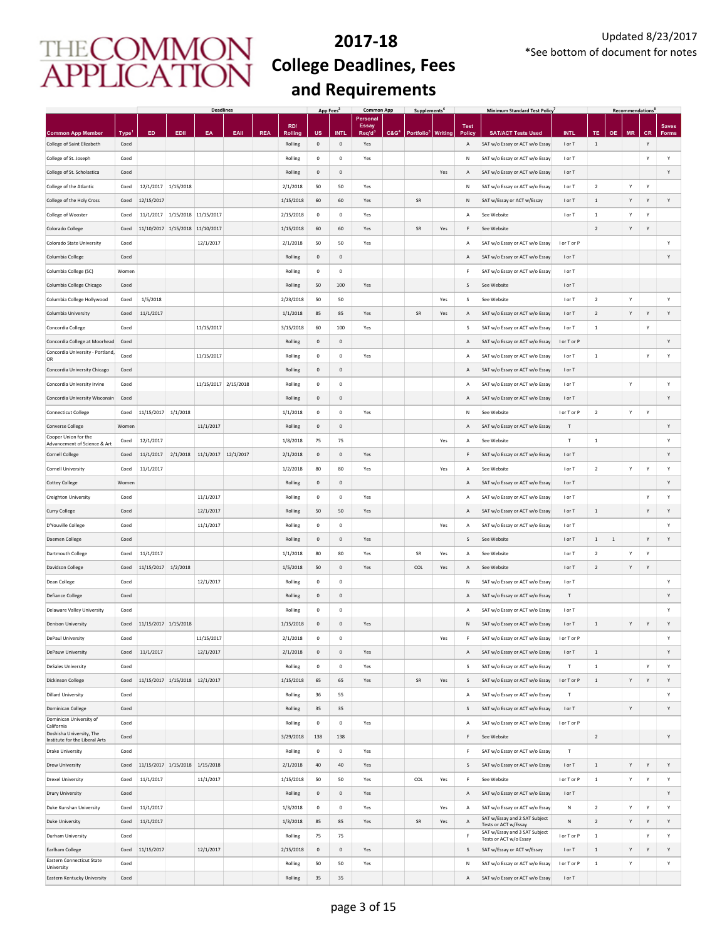|                                                                   |                           |                                |           | <b>Deadlines</b>     |      |            |                           | App Fees     |                            | <b>Common App</b>        |                  | <b>Supplements</b>             |     |             | <b>Minimum Standard Test Policy</b>                             |                       |                |           | <b>Recommendations</b> |                |              |
|-------------------------------------------------------------------|---------------------------|--------------------------------|-----------|----------------------|------|------------|---------------------------|--------------|----------------------------|--------------------------|------------------|--------------------------------|-----|-------------|-----------------------------------------------------------------|-----------------------|----------------|-----------|------------------------|----------------|--------------|
|                                                                   |                           |                                |           |                      |      |            | RD/                       |              |                            | Personal<br><b>Essay</b> |                  |                                |     | <b>Test</b> |                                                                 |                       |                |           |                        |                | <b>Saves</b> |
| <b>Common App Member</b><br>College of Saint Elizabeth            | Type <sup>1</sup><br>Coed | ED                             | EDII      | EA                   | EAII | <b>REA</b> | <b>Rolling</b><br>Rolling | $\mathbf 0$  | <b>INTI</b><br>$\mathbf 0$ | Req'd<br>Yes             | C&G <sup>4</sup> | Portfolio <sup>5</sup> Writing |     | Polic<br>Α  | <b>SAT/ACT Tests Used</b><br>SAT w/o Essay or ACT w/o Essay     | <b>INTL</b><br>I or T | TE<br>$\,$ 1   | <b>OE</b> | <b>MR</b>              | <b>CR</b><br>Y | Forms        |
| College of St. Joseph                                             | Coed                      |                                |           |                      |      |            | Rolling                   | $\mathbf 0$  | $\mathbf 0$                | Yes                      |                  |                                |     | N           | SAT w/o Essay or ACT w/o Essay                                  | I or T                |                |           |                        | Y              | Y            |
| College of St. Scholastica                                        | Coed                      |                                |           |                      |      |            | Rolling                   | $\mathbf 0$  | $\mathbf 0$                |                          |                  |                                | Yes | Α           | SAT w/o Essay or ACT w/o Essay                                  | I or T                |                |           |                        |                | Υ            |
| College of the Atlantic                                           | Coed                      | 12/1/2017                      | 1/15/2018 |                      |      |            | 2/1/2018                  | 50           | 50                         | Yes                      |                  |                                |     | Ν           | SAT w/o Essay or ACT w/o Essay                                  | I or T                | $\overline{2}$ |           | Υ                      | Y              |              |
| College of the Holy Cross                                         | Coed                      | 12/15/2017                     |           |                      |      |            | 1/15/2018                 | 60           | 60                         | Yes                      |                  | SR                             |     | Ν           | SAT w/Essay or ACT w/Essay                                      | I or T                | 1              |           | Y                      | Y              | Υ            |
| College of Wooster                                                | Coed                      | 11/1/2017                      |           | 1/15/2018 11/15/2017 |      |            | 2/15/2018                 | $\pmb{0}$    | $\mathbf 0$                | Yes                      |                  |                                |     | А           | See Website                                                     | I or T                | $\,$ 1 $\,$    |           | Υ                      | Y              |              |
| Colorado College                                                  | Coed                      | 11/10/2017                     |           | 1/15/2018 11/10/2017 |      |            | 1/15/2018                 | 60           | 60                         | Yes                      |                  | <b>SR</b>                      | Yes | F           | See Website                                                     |                       | $\overline{2}$ |           | Y                      | Y              |              |
| Colorado State University                                         | Coed                      |                                |           | 12/1/2017            |      |            | 2/1/2018                  | 50           | 50                         | Yes                      |                  |                                |     | Α           | SAT w/o Essay or ACT w/o Essay                                  | I or T or P           |                |           |                        |                | Y            |
| Columbia College                                                  | Coed                      |                                |           |                      |      |            | Rolling                   | $\mathbf{0}$ | $\mathsf 0$                |                          |                  |                                |     | Α           | SAT w/o Essay or ACT w/o Essay                                  | I or T                |                |           |                        |                | Y            |
| Columbia College (SC)                                             | Women                     |                                |           |                      |      |            | Rolling                   | $\mathbf 0$  | $\mathbf 0$                |                          |                  |                                |     | F           | SAT w/o Essay or ACT w/o Essay                                  | I or T                |                |           |                        |                |              |
| Columbia College Chicago                                          | Coed                      |                                |           |                      |      |            | Rolling                   | 50           | 100                        | Yes                      |                  |                                |     | s           | See Website                                                     | I or T                |                |           |                        |                |              |
|                                                                   |                           | 1/5/2018                       |           |                      |      |            | 2/23/2018                 | 50           | 50                         |                          |                  |                                |     |             |                                                                 |                       | $\overline{2}$ |           | Υ                      |                | Υ            |
| Columbia College Hollywood                                        | Coed                      |                                |           |                      |      |            |                           |              |                            |                          |                  |                                | Yes | s           | See Website                                                     | I or T                |                |           |                        |                |              |
| Columbia University                                               | Coed                      | 11/1/2017                      |           |                      |      |            | 1/1/2018                  | 85           | 85                         | Yes                      |                  | SR                             | Yes | Α           | SAT w/o Essay or ACT w/o Essay                                  | I or T                | $\overline{2}$ |           | Y                      | Y              | Υ            |
| Concordia College                                                 | Coed                      |                                |           | 11/15/2017           |      |            | 3/15/2018                 | 60           | 100                        | Yes                      |                  |                                |     | s           | SAT w/o Essay or ACT w/o Essay                                  | I or T                | $\,$ 1         |           |                        | Y              |              |
| Concordia College at Moorhead<br>Concordia University - Portland, | Coed                      |                                |           |                      |      |            | Rolling                   | $\mathbf 0$  | $\mathbf 0$                |                          |                  |                                |     | Α           | SAT w/o Essay or ACT w/o Essay                                  | I or T or P           |                |           |                        |                | Υ            |
| OR                                                                | Coed                      |                                |           | 11/15/2017           |      |            | Rolling                   | $\mathbf 0$  | $\mathbf 0$                | Yes                      |                  |                                |     | А           | SAT w/o Essay or ACT w/o Essay                                  | I or T                | $\mathbf 1$    |           |                        | Y              | Υ            |
| Concordia University Chicago                                      | Coed                      |                                |           |                      |      |            | Rolling                   | $\mathbf 0$  | $\,0\,$                    |                          |                  |                                |     | Α           | SAT w/o Essay or ACT w/o Essay                                  | I or T                |                |           |                        |                |              |
| Concordia University Irvine                                       | Coed                      |                                |           | 11/15/2017 2/15/2018 |      |            | Rolling                   | $\mathbf 0$  | $\pmb{0}$                  |                          |                  |                                |     | Α           | SAT w/o Essay or ACT w/o Essay                                  | I or T                |                |           | Υ                      |                | Υ            |
| Concordia University Wisconsin                                    | Coed                      |                                |           |                      |      |            | Rolling                   | $\mathbf 0$  | $\,0\,$                    |                          |                  |                                |     | Α           | SAT w/o Essay or ACT w/o Essay                                  | I or T                |                |           |                        |                | Υ            |
| <b>Connecticut College</b>                                        | Coed                      | 11/15/2017                     | 1/1/2018  |                      |      |            | 1/1/2018                  | $\mathbf 0$  | $\mathbf 0$                | Yes                      |                  |                                |     | N           | See Website                                                     | I or T or P           | $\overline{2}$ |           | Υ                      | Y              |              |
| <b>Converse College</b>                                           | Women                     |                                |           | 11/1/2017            |      |            | Rolling                   | $\mathbf 0$  | $\mathsf{O}\xspace$        |                          |                  |                                |     | Α           | SAT w/o Essay or ACT w/o Essay                                  | $\mathsf T$           |                |           |                        |                | Υ            |
| Cooper Union for the<br>Advancement of Science & Art              | Coed                      | 12/1/2017                      |           |                      |      |            | 1/8/2018                  | 75           | 75                         |                          |                  |                                | Yes | Α           | See Website                                                     | T                     | $\,$ 1 $\,$    |           |                        |                | Y            |
| <b>Cornell College</b>                                            | Coed                      | 11/1/2017                      | 2/1/2018  | 11/1/2017 12/1/2017  |      |            | 2/1/2018                  | $\mathbf 0$  | $\mathbf 0$                | Yes                      |                  |                                |     | F           | SAT w/o Essay or ACT w/o Essay                                  | I or T                |                |           |                        |                | Υ            |
| <b>Cornell University</b>                                         | Coed                      | 11/1/2017                      |           |                      |      |            | 1/2/2018                  | 80           | 80                         | Yes                      |                  |                                | Yes | А           | See Website                                                     | I or T                | $\overline{2}$ |           | Y                      | Y              | Υ            |
| <b>Cottey College</b>                                             | Women                     |                                |           |                      |      |            | Rolling                   | $\mathbf 0$  | $\mathbf 0$                |                          |                  |                                |     | Α           | SAT w/o Essay or ACT w/o Essay                                  | I or T                |                |           |                        |                | Υ            |
| Creighton University                                              | Coed                      |                                |           | 11/1/2017            |      |            | Rolling                   | $\mathbf 0$  | $\mathbf 0$                | Yes                      |                  |                                |     | А           | SAT w/o Essay or ACT w/o Essay                                  | I or T                |                |           |                        | Y              | Υ            |
| Curry College                                                     | Coed                      |                                |           | 12/1/2017            |      |            | Rolling                   | 50           | 50                         | Yes                      |                  |                                |     | Α           | SAT w/o Essay or ACT w/o Essay                                  | I or T                | $\,$ 1         |           |                        | Y              | Y            |
| D'Youville College                                                | Coed                      |                                |           | 11/1/2017            |      |            | Rolling                   | $\mathbf 0$  | $\mathbf 0$                |                          |                  |                                | Yes | А           | SAT w/o Essay or ACT w/o Essay                                  | I or T                |                |           |                        |                | Y            |
| Daemen College                                                    | Coed                      |                                |           |                      |      |            | Rolling                   | $\mathbf 0$  | $\mathbf 0$                | Yes                      |                  |                                |     | S           | See Website                                                     | I or T                | $\,$ 1 $\,$    | $\,1\,$   |                        | Y              | Υ            |
| Dartmouth College                                                 | Coed                      | 11/1/2017                      |           |                      |      |            | 1/1/2018                  | 80           | 80                         | Yes                      |                  | SR                             | Yes | А           | See Website                                                     | I or T                | $\overline{2}$ |           | Υ                      | Y              |              |
| Davidson College                                                  | Coed                      | 11/15/2017                     | 1/2/2018  |                      |      |            | 1/5/2018                  | 50           | $\mathbf 0$                | Yes                      |                  | COL                            | Yes | Α           | See Website                                                     | I or T                | $\overline{2}$ |           | Υ                      | Y              |              |
| Dean College                                                      | Coed                      |                                |           | 12/1/2017            |      |            | Rolling                   | $\mathbf 0$  | $\mathbf 0$                |                          |                  |                                |     | N           | SAT w/o Essay or ACT w/o Essay                                  | I or T                |                |           |                        |                | Y            |
| <b>Defiance College</b>                                           | Coed                      |                                |           |                      |      |            | Rolling                   | $\mathbf{0}$ | $\mathsf{O}$               |                          |                  |                                |     | Α           | SAT w/o Essay or ACT w/o Essay                                  | $\mathsf T$           |                |           |                        |                | Y            |
| Delaware Valley University                                        | Coed                      |                                |           |                      |      |            | Rolling                   | $^{\circ}$   | $^{\circ}$                 |                          |                  |                                |     | А           | SAT w/o Essay or ACT w/o Essay                                  | I or T                |                |           |                        |                | Y            |
| <b>Denison University</b>                                         | Coed                      | 11/15/2017 1/15/2018           |           |                      |      |            | 1/15/2018                 | $\mathbf 0$  | $\mathbf 0$                | Yes                      |                  |                                |     | Ν           | SAT w/o Essay or ACT w/o Essay                                  | I or T                | $\,$ 1 $\,$    |           | Y                      | Y              | Y            |
| <b>DePaul University</b>                                          | Coed                      |                                |           | 11/15/2017           |      |            | 2/1/2018                  | $\mathbf 0$  | $\circ$                    |                          |                  |                                | Yes |             | SAT w/o Essay or ACT w/o Essay                                  | I or T or P           |                |           |                        |                | $\mathsf{v}$ |
| DePauw University                                                 | Coed                      | 11/1/2017                      |           | 12/1/2017            |      |            | 2/1/2018                  | $\mathbf 0$  | $\mathbf 0$                | Yes                      |                  |                                |     | Α           | SAT w/o Essay or ACT w/o Essay                                  | I or T                | $\,$ 1 $\,$    |           |                        |                | Y            |
| <b>DeSales University</b>                                         | Coed                      |                                |           |                      |      |            | Rolling                   | $\mathbf 0$  | $\mathbf 0$                | Yes                      |                  |                                |     | s           | SAT w/o Essay or ACT w/o Essay                                  | $\mathsf T$           | $\,$ 1 $\,$    |           |                        | Y              | Υ            |
| <b>Dickinson College</b>                                          | Coed                      | 11/15/2017 1/15/2018 12/1/2017 |           |                      |      |            | 1/15/2018                 | 65           | 65                         | Yes                      |                  | SR                             | Yes | S           | SAT w/o Essay or ACT w/o Essay                                  | I or T or P           | $\,$ 1 $\,$    |           | Υ                      | Y              | Υ            |
| <b>Dillard University</b>                                         | Coed                      |                                |           |                      |      |            | Rolling                   | 36           | 55                         |                          |                  |                                |     | А           | SAT w/o Essay or ACT w/o Essay                                  | T                     |                |           |                        |                | Υ            |
| Dominican College                                                 | Coed                      |                                |           |                      |      |            | Rolling                   | 35           | 35                         |                          |                  |                                |     | S           | SAT w/o Essay or ACT w/o Essay                                  | I or T                |                |           | Y                      |                | Υ            |
| Dominican University of                                           | Coed                      |                                |           |                      |      |            | Rolling                   | $\mathbf 0$  | $\,0\,$                    | Yes                      |                  |                                |     | А           | SAT w/o Essay or ACT w/o Essay                                  | I or T or P           |                |           |                        |                |              |
| California<br>Doshisha University, The                            |                           |                                |           |                      |      |            |                           |              |                            |                          |                  |                                |     |             | See Website                                                     |                       |                |           |                        |                |              |
| Institute for the Liberal Arts                                    | Coed                      |                                |           |                      |      |            | 3/29/2018                 | 138          | 138                        |                          |                  |                                |     | F<br>F      |                                                                 |                       | $\overline{2}$ |           |                        |                | Υ            |
| <b>Drake University</b>                                           | Coed                      |                                |           |                      |      |            | Rolling                   | $\mathbf 0$  | $\,0\,$                    | Yes                      |                  |                                |     |             | SAT w/o Essay or ACT w/o Essay                                  | T                     |                |           |                        |                |              |
| Drew University                                                   | Coed                      | 11/15/2017 1/15/2018 1/15/2018 |           |                      |      |            | 2/1/2018                  | 40           | 40                         | Yes                      |                  |                                |     | s           | SAT w/o Essay or ACT w/o Essay                                  | I or T                | $\,$ 1 $\,$    |           | Y                      | Y              | Y            |
| <b>Drexel University</b>                                          | Coed                      | 11/1/2017                      |           | 11/1/2017            |      |            | 1/15/2018                 | 50           | 50                         | Yes                      |                  | COL                            | Yes | F           | See Website                                                     | I or T or P           | $\,$ 1 $\,$    |           | Υ                      | Y              | Y            |
| <b>Drury University</b>                                           | Coed                      |                                |           |                      |      |            | Rolling                   | $\mathbf 0$  | $\mathbf 0$                | Yes                      |                  |                                |     | А           | SAT w/o Essay or ACT w/o Essay                                  | I or T                |                |           |                        |                | Y            |
| Duke Kunshan University                                           | Coed                      | 11/1/2017                      |           |                      |      |            | 1/3/2018                  | $\mathbf 0$  | $\mathbf 0$                | Yes                      |                  |                                | Yes | А           | SAT w/o Essay or ACT w/o Essay<br>SAT w/Essay and 2 SAT Subject | N                     | $\overline{2}$ |           | Υ                      | Y              | Υ            |
| <b>Duke University</b>                                            | Coed                      | 11/1/2017                      |           |                      |      |            | 1/3/2018                  | 85           | 85                         | Yes                      |                  | SR                             | Yes | Α           | Tests or ACT w/Essay<br>SAT w/Essay and 3 SAT Subject           | Ν                     | $\overline{2}$ |           | Y                      | Y              | Υ            |
| Durham University                                                 | Coed                      |                                |           |                      |      |            | Rolling                   | 75           | 75                         |                          |                  |                                |     | F           | Tests or ACT w/o Essay                                          | I or T or P           | $\,$ 1 $\,$    |           |                        | Y              | Y            |
| Earlham College                                                   | Coed                      | 11/15/2017                     |           | 12/1/2017            |      |            | 2/15/2018                 | $\mathbf 0$  | $\mathbf 0$                | Yes                      |                  |                                |     | S           | SAT w/Essay or ACT w/Essay                                      | I or T                | $\,$ 1         |           | Y                      | Y              | Y            |
| Eastern Connecticut State<br>University                           | Coed                      |                                |           |                      |      |            | Rolling                   | 50           | 50                         | Yes                      |                  |                                |     | Ν           | SAT w/o Essay or ACT w/o Essay                                  | I or T or P           | $\,$ 1 $\,$    |           | Y                      |                | Υ            |
| Eastern Kentucky University                                       | Coed                      |                                |           |                      |      |            | Rolling                   | 35           | 35                         |                          |                  |                                |     | А           | SAT w/o Essay or ACT w/o Essay                                  | I or T                |                |           |                        |                |              |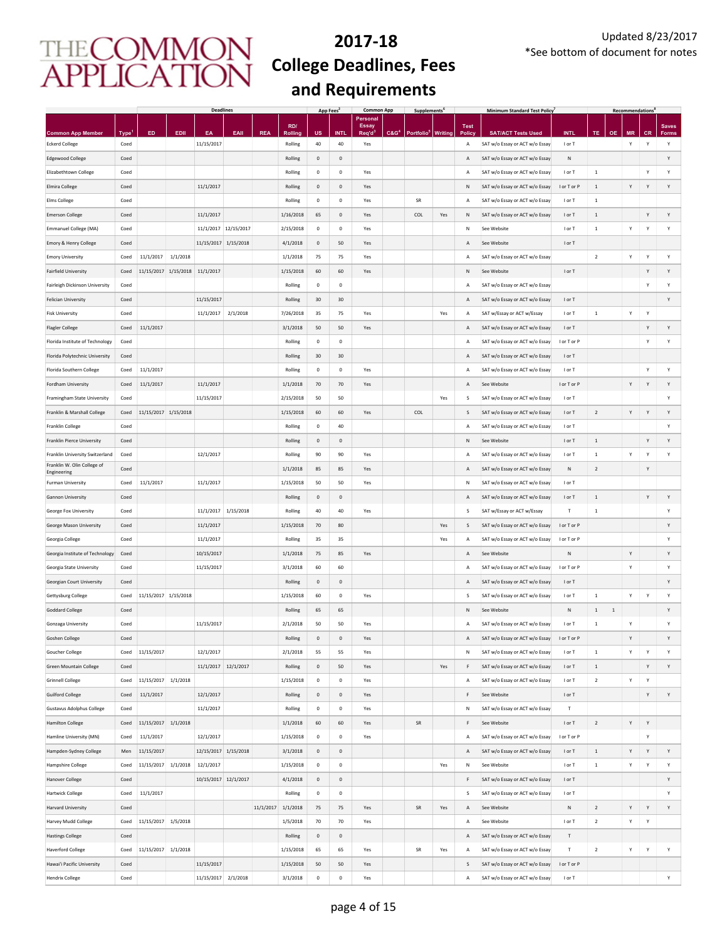|                                                   |                           |                                |          | <b>Deadlines</b>     |           |            |                    | App Fees     |                     | <b>Common App</b>        |                  | Supplements <sup>6</sup> |                |                | <b>Minimum Standard Test Policy</b>                         |                           |                |             | <b>Recommendations</b> |                |                   |
|---------------------------------------------------|---------------------------|--------------------------------|----------|----------------------|-----------|------------|--------------------|--------------|---------------------|--------------------------|------------------|--------------------------|----------------|----------------|-------------------------------------------------------------|---------------------------|----------------|-------------|------------------------|----------------|-------------------|
|                                                   |                           |                                |          |                      |           |            | RD/                |              |                     | Personal<br><b>Essay</b> |                  |                          |                | <b>Test</b>    |                                                             |                           |                |             |                        |                | <b>Saves</b>      |
| <b>Common App Member</b><br><b>Eckerd College</b> | Type <sup>1</sup><br>Coed | ED                             | EDII     | EA<br>11/15/2017     | EAII      | <b>REA</b> | Rolling<br>Rolling | US<br>40     | <b>INTI</b><br>40   | Req'd<br>Yes             | C&G <sup>4</sup> | Portfolio <sup>5</sup>   | <b>Writing</b> | Polic<br>Α     | <b>SAT/ACT Tests Used</b><br>SAT w/o Essay or ACT w/o Essay | <b>INTL</b><br>I or T     | TE             | <b>OE</b>   | <b>MR</b><br>Υ         | <b>CR</b><br>Y | <b>Forms</b><br>Υ |
| <b>Edgewood College</b>                           | Coed                      |                                |          |                      |           |            | Rolling            | $\mathbf 0$  | $\mathbf 0$         |                          |                  |                          |                | Α              | SAT w/o Essay or ACT w/o Essay                              | ${\sf N}$                 |                |             |                        |                | Υ                 |
| Elizabethtown College                             | Coed                      |                                |          |                      |           |            | Rolling            | $\mathbf 0$  | $\mathbf 0$         | Yes                      |                  |                          |                | А              | SAT w/o Essay or ACT w/o Essay                              | I or T                    | $\,$ 1         |             |                        | Y              | Υ                 |
| Elmira College                                    | Coed                      |                                |          | 11/1/2017            |           |            | Rolling            | $^{\circ}$   | $\mathbf 0$         | Yes                      |                  |                          |                | N              | SAT w/o Essay or ACT w/o Essay                              | I or T or P               | $\mathbf{1}$   |             | Υ                      | Y              | Υ                 |
| <b>Elms College</b>                               | Coed                      |                                |          |                      |           |            | Rolling            | $\mathbf 0$  | $\mathbf 0$         | Yes                      |                  | SR                       |                | А              | SAT w/o Essay or ACT w/o Essay                              | I or T                    | $\,$ 1         |             |                        |                |                   |
| <b>Emerson College</b>                            | Coed                      |                                |          | 11/1/2017            |           |            | 1/16/2018          | 65           | $\mathbf 0$         | Yes                      |                  | COL                      | Yes            | Ν              | SAT w/o Essay or ACT w/o Essay                              | I or T                    | $\,$ 1         |             |                        | Y              | Υ                 |
| Emmanuel College (MA)                             | Coed                      |                                |          | 11/1/2017 12/15/2017 |           |            | 2/15/2018          | $\,0\,$      | $\mathbf 0$         | Yes                      |                  |                          |                | N              | See Website                                                 | I or T                    | $\,$ 1         |             | Υ                      | Y              | Υ                 |
| Emory & Henry College                             | Coed                      |                                |          | 11/15/2017 1/15/2018 |           |            | 4/1/2018           | $\mathbf{0}$ | 50                  | Yes                      |                  |                          |                | Α              | See Website                                                 | I or T                    |                |             |                        |                |                   |
| <b>Emory University</b>                           | Coed                      | 11/1/2017                      | 1/1/2018 |                      |           |            | 1/1/2018           | 75           | 75                  | Yes                      |                  |                          |                | А              | SAT w/o Essay or ACT w/o Essay                              |                           | $\overline{2}$ |             | Y                      | Y              | Υ                 |
| <b>Fairfield University</b>                       | Coed                      | 11/15/2017 1/15/2018 11/1/2017 |          |                      |           |            | 1/15/2018          | 60           | 60                  | Yes                      |                  |                          |                | N              | See Website                                                 | I or T                    |                |             |                        | Y              | Y                 |
| Fairleigh Dickinson University                    | Coed                      |                                |          |                      |           |            | Rolling            | $\mathbf 0$  | $\mathsf{O}\xspace$ |                          |                  |                          |                | А              | SAT w/o Essay or ACT w/o Essay                              |                           |                |             |                        | Y              | Y                 |
| <b>Felician University</b>                        | Coed                      |                                |          | 11/15/2017           |           |            | Rolling            | 30           | 30                  |                          |                  |                          |                | Α              | SAT w/o Essay or ACT w/o Essay                              | I or T                    |                |             |                        |                | Y                 |
| <b>Fisk University</b>                            | Coed                      |                                |          | 11/1/2017            | 2/1/2018  |            | 7/26/2018          | 35           | 75                  | Yes                      |                  |                          | Yes            | А              | SAT w/Essay or ACT w/Essay                                  | I or T                    | $\,$ 1         |             | Υ                      | Y              |                   |
| <b>Flagler College</b>                            | Coed                      | 11/1/2017                      |          |                      |           |            | 3/1/2018           | 50           | 50                  | Yes                      |                  |                          |                | Α              | SAT w/o Essay or ACT w/o Essay                              | I or T                    |                |             |                        | Y              | Υ                 |
| Florida Institute of Technology                   | Coed                      |                                |          |                      |           |            | Rolling            | $\mathbf 0$  | $\mathbf 0$         |                          |                  |                          |                | A              | SAT w/o Essay or ACT w/o Essay                              | I or T or P               |                |             |                        | Y              | Υ                 |
| Florida Polytechnic University                    | Coed                      |                                |          |                      |           |            | Rolling            | 30           | 30                  |                          |                  |                          |                | Α              | SAT w/o Essay or ACT w/o Essay                              | I or T                    |                |             |                        |                |                   |
| Florida Southern College                          | Coed                      | 11/1/2017                      |          |                      |           |            | Rolling            | $\mathbf 0$  | $\pmb{0}$           | Yes                      |                  |                          |                | А              | SAT w/o Essay or ACT w/o Essay                              | I or T                    |                |             |                        | Y              | Y                 |
| Fordham University                                | Coed                      | 11/1/2017                      |          | 11/1/2017            |           |            | 1/1/2018           | 70           | 70                  | Yes                      |                  |                          |                | Α              | See Website                                                 | I or T or P               |                |             | Υ                      | Y              | Υ                 |
| Framingham State University                       | Coed                      |                                |          | 11/15/2017           |           |            | 2/15/2018          | 50           | 50                  |                          |                  |                          | Yes            | S              | SAT w/o Essay or ACT w/o Essay                              | I or T                    |                |             |                        |                | Υ                 |
| Franklin & Marshall College                       | Coed                      | 11/15/2017 1/15/2018           |          |                      |           |            | 1/15/2018          | 60           | 60                  | Yes                      |                  | COL                      |                | S              | SAT w/o Essay or ACT w/o Essay                              | I or T                    | $\sqrt{2}$     |             | Y                      | Y              | Υ                 |
| Franklin College                                  | Coed                      |                                |          |                      |           |            | Rolling            | $\mathbf 0$  | 40                  |                          |                  |                          |                | А              | SAT w/o Essay or ACT w/o Essay                              | I or T                    |                |             |                        |                | Υ                 |
| Franklin Pierce University                        | Coed                      |                                |          |                      |           |            | Rolling            | $\mathbf 0$  | $\mathsf{O}\xspace$ |                          |                  |                          |                | N              | See Website                                                 | I or T                    | $\,1\,$        |             |                        | Y              | Υ                 |
| Franklin University Switzerland                   | Coed                      |                                |          | 12/1/2017            |           |            | Rolling            | 90           | 90                  | Yes                      |                  |                          |                | А              | SAT w/o Essay or ACT w/o Essay                              | I or T                    | $\,$ 1         |             | Υ                      | Y              | Υ                 |
| Franklin W. Olin College of                       | Coed                      |                                |          |                      |           |            | 1/1/2018           | 85           | 85                  | Yes                      |                  |                          |                | A              | SAT w/o Essay or ACT w/o Essay                              | N                         | $\sqrt{2}$     |             |                        | Y              |                   |
| Engineering<br>Furman University                  | Coed                      | 11/1/2017                      |          | 11/1/2017            |           |            | 1/15/2018          | 50           | 50                  | Yes                      |                  |                          |                | N              | SAT w/o Essay or ACT w/o Essay                              | I or T                    |                |             |                        |                |                   |
| Gannon University                                 | Coed                      |                                |          |                      |           |            | Rolling            | $\mathbf 0$  | $\mathbf 0$         |                          |                  |                          |                | Α              | SAT w/o Essay or ACT w/o Essay                              | I or T                    | $\,$ 1         |             |                        | Y              | Y                 |
| George Fox University                             | Coed                      |                                |          | 11/1/2017            | 1/15/2018 |            | Rolling            | 40           | 40                  | Yes                      |                  |                          |                | S              | SAT w/Essay or ACT w/Essay                                  | $\mathsf T$               | $\,$ 1         |             |                        |                | Y                 |
| George Mason University                           | Coed                      |                                |          | 11/1/2017            |           |            | 1/15/2018          | 70           | 80                  |                          |                  |                          | Yes            | S              | SAT w/o Essay or ACT w/o Essay                              | I or T or P               |                |             |                        |                | Υ                 |
| Georgia College                                   | Coed                      |                                |          | 11/1/2017            |           |            | Rolling            | 35           | 35                  |                          |                  |                          | Yes            | А              | SAT w/o Essay or ACT w/o Essay                              | I or T or P               |                |             |                        |                | Y                 |
| Georgia Institute of Technology                   | Coed                      |                                |          | 10/15/2017           |           |            | 1/1/2018           | 75           | 85                  | Yes                      |                  |                          |                | A              | See Website                                                 | N                         |                |             | Y                      |                | Υ                 |
| Georgia State University                          | Coed                      |                                |          | 11/15/2017           |           |            | 3/1/2018           | 60           | 60                  |                          |                  |                          |                | Α              | SAT w/o Essay or ACT w/o Essay                              | I or T or P               |                |             | Υ                      |                | Y                 |
| Georgian Court University                         | Coed                      |                                |          |                      |           |            | Rolling            | $\mathbf{0}$ | $\mathbf{0}$        |                          |                  |                          |                | $\overline{A}$ | SAT w/o Essay or ACT w/o Essay                              | I or T                    |                |             |                        |                | Υ                 |
| Gettysburg College                                | Coed                      | 11/15/2017 1/15/2018           |          |                      |           |            | 1/15/2018          | 60           | $\mathbf 0$         | Yes                      |                  |                          |                | s              | SAT w/o Essay or ACT w/o Essay                              | I or T                    | $\,$ 1 $\,$    |             | Υ                      | Y              | Υ                 |
| <b>Goddard College</b>                            | Coed                      |                                |          |                      |           |            | Rolling            | 65           | 65                  |                          |                  |                          |                | $\mathsf{N}$   | See Website                                                 | $\mathsf{N}$              | $1\,$          | $\,$ 1 $\,$ |                        |                | Υ                 |
| Gonzaga University                                | Coed                      |                                |          | 11/15/2017           |           |            | 2/1/2018           | 50           | 50                  | Yes                      |                  |                          |                | А              | SAT w/o Essay or ACT w/o Essay                              | I or T                    | $\,$ 1         |             | Υ                      |                | Y                 |
| <b>Goshen College</b>                             | Coed                      |                                |          |                      |           |            | Rolling            | $\mathbf 0$  | $\mathbf 0$         | Yes                      |                  |                          |                | A              | SAT w/o Essay or ACT w/o Essay                              | I or T or P               |                |             | Y                      |                | Y                 |
| <b>Goucher College</b>                            | Coed                      | 11/15/2017                     |          | 12/1/2017            |           |            | 2/1/2018           | 55           | 55                  | Yes                      |                  |                          |                | N              | SAT w/o Essay or ACT w/o Essay                              | I or T                    | $1\,$          |             | Υ                      | Y              | Y                 |
| <b>Green Mountain College</b>                     | Coed                      |                                |          | 11/1/2017 12/1/2017  |           |            | Rolling            | $\mathbf 0$  | 50                  | Yes                      |                  |                          | Yes            | F              | SAT w/o Essay or ACT w/o Essay                              | I or T                    | $1\,$          |             |                        | Υ              | Υ                 |
| <b>Grinnell College</b>                           | Coed                      | 11/15/2017                     | 1/1/2018 |                      |           |            | 1/15/2018          | $\mathbf 0$  | $\mathbf 0$         | Yes                      |                  |                          |                | А              | SAT w/o Essay or ACT w/o Essay                              | I or T                    | $\overline{2}$ |             | Υ                      | Y              |                   |
| <b>Guilford College</b>                           | Coed                      | 11/1/2017                      |          | 12/1/2017            |           |            | Rolling            | $\mathbf 0$  | $\mathbf 0$         | Yes                      |                  |                          |                | F              | See Website                                                 | I or T                    |                |             |                        | Y              | Υ                 |
| <b>Gustavus Adolphus College</b>                  | Coed                      |                                |          | 11/1/2017            |           |            | Rolling            | $\mathbf 0$  | $\mathbf 0$         | Yes                      |                  |                          |                | Ν              | SAT w/o Essay or ACT w/o Essay                              | T                         |                |             |                        |                |                   |
| <b>Hamilton College</b>                           | Coed                      | 11/15/2017                     | 1/1/2018 |                      |           |            | 1/1/2018           | 60           | 60                  | Yes                      |                  | SR                       |                | F              | See Website                                                 | I or T                    | $\sqrt{2}$     |             | Υ                      | Υ              |                   |
| Hamline University (MN)                           | Coed                      | 11/1/2017                      |          | 12/1/2017            |           |            | 1/15/2018          | $\pmb{0}$    | $\pmb{0}$           | Yes                      |                  |                          |                | Α              | SAT w/o Essay or ACT w/o Essay                              | I or T or P               |                |             |                        | Υ              |                   |
| Hampden-Sydney College                            | Men                       | 11/15/2017                     |          | 12/15/2017 1/15/2018 |           |            | 3/1/2018           | $\mathbf 0$  | $\mathbf 0$         |                          |                  |                          |                | Α              | SAT w/o Essay or ACT w/o Essay                              | I or T                    | $\,$ 1 $\,$    |             | Υ                      | Υ              | Υ                 |
| Hampshire College                                 | Coed                      | 11/15/2017                     | 1/1/2018 | 12/1/2017            |           |            | 1/15/2018          | $\mathbf 0$  | $\mathbf 0$         |                          |                  |                          | Yes            | $\mathsf{N}$   | See Website                                                 | I or T                    | $\,1\,$        |             | Υ                      | Y              | Υ                 |
| <b>Hanover College</b>                            | Coed                      |                                |          | 10/15/2017 12/1/2017 |           |            | 4/1/2018           | $\mathbf 0$  | $\mathsf{O}\xspace$ |                          |                  |                          |                | F              | SAT w/o Essay or ACT w/o Essay                              | I or T                    |                |             |                        |                | Υ                 |
| <b>Hartwick College</b>                           | Coed                      | 11/1/2017                      |          |                      |           |            | Rolling            | $\mathbf 0$  | $\mathbf 0$         |                          |                  |                          |                | s              | SAT w/o Essay or ACT w/o Essay                              | I or T                    |                |             |                        |                | Υ                 |
| Harvard University                                | Coed                      |                                |          |                      |           | 11/1/2017  | 1/1/2018           | 75           | 75                  | Yes                      |                  | SR                       | Yes            | Α              | See Website                                                 | ${\sf N}$                 | $\sqrt{2}$     |             | Υ                      | Y              | Υ                 |
| Harvey Mudd College                               | Coed                      | 11/15/2017                     | 1/5/2018 |                      |           |            | 1/5/2018           | 70           | 70                  | Yes                      |                  |                          |                | А              | See Website                                                 | I or T                    | $\overline{2}$ |             | Υ                      | Y              |                   |
| <b>Hastings College</b>                           | Coed                      |                                |          |                      |           |            | Rolling            | $\mathbf 0$  | $\mathbf 0$         |                          |                  |                          |                | Α              | SAT w/o Essay or ACT w/o Essay                              | $\ensuremath{\mathsf{T}}$ |                |             |                        |                |                   |
| <b>Haverford College</b>                          | Coed                      | 11/15/2017                     | 1/1/2018 |                      |           |            | 1/15/2018          | 65           | 65                  | Yes                      |                  | SR                       | Yes            | А              | SAT w/o Essay or ACT w/o Essay                              | $\mathsf T$               | $\sqrt{2}$     |             | Υ                      | Y              | Υ                 |
| Hawai'i Pacific University                        | Coed                      |                                |          | 11/15/2017           |           |            | 1/15/2018          | 50           | 50                  | Yes                      |                  |                          |                | S              | SAT w/o Essay or ACT w/o Essay                              | I or T or P               |                |             |                        |                |                   |
| <b>Hendrix College</b>                            | Coed                      |                                |          | 11/15/2017 2/1/2018  |           |            | 3/1/2018           | $\,0\,$      | $\mathbf 0$         | Yes                      |                  |                          |                | А              | SAT w/o Essay or ACT w/o Essay                              | I or T                    |                |             |                        |                | Υ                 |
|                                                   |                           |                                |          |                      |           |            |                    |              |                     |                          |                  |                          |                |                |                                                             |                           |                |             |                        |                |                   |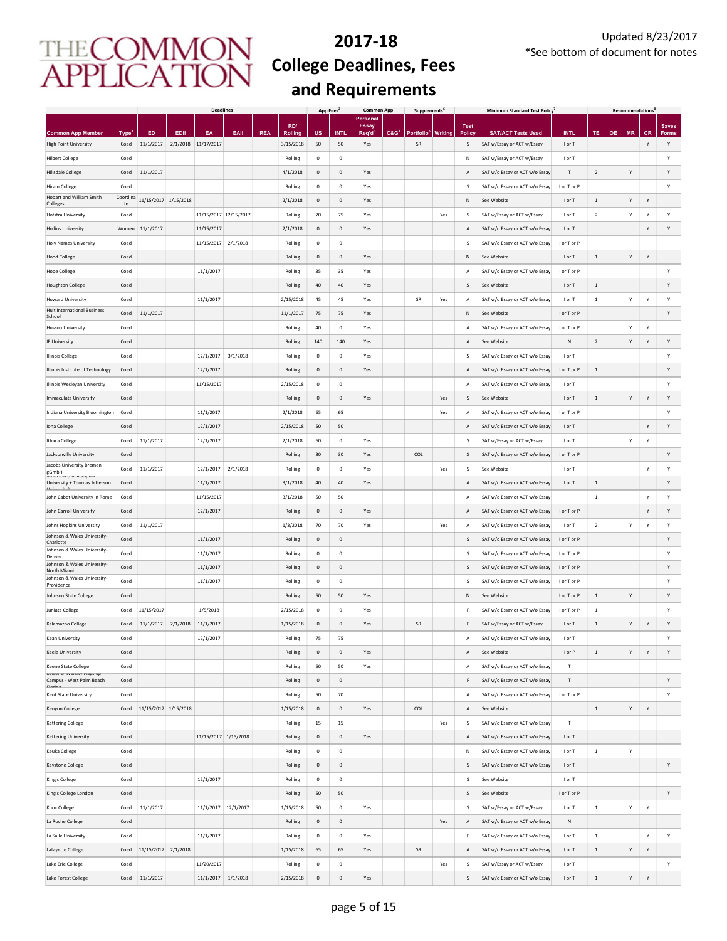|                                                               |                |                      |          | <b>Deadlines</b>      |          |            |           | App Fees    |                     | <b>Common App</b>        |                  | <b>Supplements</b>     |         |             | <b>Minimum Standard Test Policy</b> |                           |                |           | <b>Recommendations</b> |           |              |
|---------------------------------------------------------------|----------------|----------------------|----------|-----------------------|----------|------------|-----------|-------------|---------------------|--------------------------|------------------|------------------------|---------|-------------|-------------------------------------|---------------------------|----------------|-----------|------------------------|-----------|--------------|
|                                                               |                |                      |          |                       |          |            | RD/       |             |                     | Personal<br><b>Essay</b> |                  |                        |         | <b>Test</b> |                                     |                           |                |           |                        |           | <b>Saves</b> |
| <b>Common App Member</b>                                      | <b>Type</b>    | ED                   | EDII     | EA                    | EAII     | <b>REA</b> | Rolling   | US          | <b>INT</b>          | Req'd <sup>3</sup>       | C&G <sup>4</sup> | Portfolio <sup>t</sup> | Writing | Polic       | <b>SAT/ACT Tests Used</b>           | <b>INTL</b>               | <b>TE</b>      | <b>OE</b> | <b>MR</b>              | <b>CR</b> | <b>Forms</b> |
| <b>High Point University</b>                                  | Coed           | 11/1/2017            |          | 2/1/2018 11/17/2017   |          |            | 3/15/2018 | 50          | 50                  | Yes                      |                  | SR                     |         | S           | SAT w/Essay or ACT w/Essay          | I or T                    |                |           |                        | Y         | Υ            |
| <b>Hilbert College</b>                                        | Coed           |                      |          |                       |          |            | Rolling   | $\mathbf 0$ | $\mathsf{O}\xspace$ |                          |                  |                        |         | N           | SAT w/Essay or ACT w/Essay          | I or T                    |                |           |                        |           | Υ            |
| <b>Hillsdale College</b>                                      | Coed           | 11/1/2017            |          |                       |          |            | 4/1/2018  | $\mathbf 0$ | $\mathbf 0$         | Yes                      |                  |                        |         | Α           | SAT w/o Essay or ACT w/o Essay      | $\ensuremath{\mathsf{T}}$ | $\sqrt{2}$     |           | Y                      |           | Υ            |
| <b>Hiram College</b><br>Hobart and William Smith              | Coed           |                      |          |                       |          |            | Rolling   | $\,0\,$     | $\mathsf{O}\xspace$ | Yes                      |                  |                        |         | s           | SAT w/o Essay or ACT w/o Essay      | I or T or P               |                |           |                        |           | Y            |
| Colleges                                                      | Coordina<br>te | 11/15/2017 1/15/2018 |          |                       |          |            | 2/1/2018  | $\mathbf 0$ | $\mathsf{O}\xspace$ | Yes                      |                  |                        |         | N           | See Website                         | I or T                    | $\,$ 1         |           | Υ                      | Y         |              |
| Hofstra University                                            | Coed           |                      |          | 11/15/2017 12/15/2017 |          |            | Rolling   | 70          | 75                  | Yes                      |                  |                        | Yes     | s           | SAT w/Essay or ACT w/Essay          | I or T                    | $\overline{2}$ |           | Υ                      | Y         | Υ            |
| <b>Hollins University</b>                                     | Women          | 11/1/2017            |          | 11/15/2017            |          |            | 2/1/2018  | $\mathbf 0$ | $\mathbf{0}$        | Yes                      |                  |                        |         | Α           | SAT w/o Essay or ACT w/o Essay      | I or T                    |                |           |                        | Y         | Υ            |
| <b>Holy Names University</b>                                  | Coed           |                      |          | 11/15/2017 2/1/2018   |          |            | Rolling   | $\mathbf 0$ | $\mathsf 0$         |                          |                  |                        |         | s           | SAT w/o Essay or ACT w/o Essay      | I or T or P               |                |           |                        |           |              |
| <b>Hood College</b>                                           | Coed           |                      |          |                       |          |            | Rolling   | $\mathsf 0$ | $\mathsf{O}\xspace$ | Yes                      |                  |                        |         | N           | See Website                         | I or T                    | $\mathbf{1}$   |           | Y                      | Y         |              |
| <b>Hope College</b>                                           | Coed           |                      |          | 11/1/2017             |          |            | Rolling   | 35          | 35                  | Yes                      |                  |                        |         | А           | SAT w/o Essay or ACT w/o Essay      | I or T or P               |                |           |                        |           | Υ            |
| <b>Houghton College</b>                                       | Coed           |                      |          |                       |          |            | Rolling   | 40          | 40                  | Yes                      |                  |                        |         | S           | See Website                         | I or T                    | $\,$ 1         |           |                        |           | Y            |
| <b>Howard University</b>                                      | Coed           |                      |          | 11/1/2017             |          |            | 2/15/2018 | 45          | 45                  | Yes                      |                  | SR                     | Yes     | Α           | SAT w/o Essay or ACT w/o Essay      | I or T                    | $\,$ 1 $\,$    |           | Υ                      | Y         | Y            |
| <b>Hult International Business</b><br>School                  | Coed           | 11/1/2017            |          |                       |          |            | 11/1/2017 | 75          | 75                  | Yes                      |                  |                        |         | Ν           | See Website                         | I or T or P               |                |           |                        |           | Υ            |
| <b>Husson University</b>                                      | Coed           |                      |          |                       |          |            | Rolling   | 40          | $\mathsf{O}\xspace$ | Yes                      |                  |                        |         | А           | SAT w/o Essay or ACT w/o Essay      | I or T or P               |                |           | Υ                      | Y         |              |
| IE University                                                 | Coed           |                      |          |                       |          |            | Rolling   | 140         | 140                 | Yes                      |                  |                        |         | Α           | See Website                         | N                         | $\overline{2}$ |           | Υ                      | Y         | Υ            |
| <b>Illinois College</b>                                       | Coed           |                      |          | 12/1/2017             | 3/1/2018 |            | Rolling   | $\mathbf 0$ | $\mathbf 0$         | Yes                      |                  |                        |         | S           | SAT w/o Essay or ACT w/o Essay      | I or T                    |                |           |                        |           | Υ            |
| Illinois Institute of Technology                              | Coed           |                      |          | 12/1/2017             |          |            | Rolling   | $\mathbf 0$ | $\mathbf 0$         | Yes                      |                  |                        |         | Α           | SAT w/o Essay or ACT w/o Essay      | I or T or P               | $\,$ 1         |           |                        |           | Υ            |
|                                                               |                |                      |          | 11/15/2017            |          |            |           | $\mathbf 0$ | $\mathbf 0$         |                          |                  |                        |         |             |                                     |                           |                |           |                        |           | Υ            |
| Illinois Wesleyan University                                  | Coed           |                      |          |                       |          |            | 2/15/2018 |             |                     |                          |                  |                        |         | Α           | SAT w/o Essay or ACT w/o Essay      | I or T                    |                |           |                        |           |              |
| Immaculata University                                         | Coed           |                      |          |                       |          |            | Rolling   | $\,0\,$     | $\mathsf{O}\xspace$ | Yes                      |                  |                        | Yes     | s           | See Website                         | I or T                    | $\,$ 1         |           | Υ                      | Υ         | Υ            |
| Indiana University Bloomington                                | Coed           |                      |          | 11/1/2017             |          |            | 2/1/2018  | 65          | 65                  |                          |                  |                        | Yes     | А           | SAT w/o Essay or ACT w/o Essay      | I or T or P               |                |           |                        |           | Υ            |
| Iona College                                                  | Coed           |                      |          | 12/1/2017             |          |            | 2/15/2018 | 50          | 50                  |                          |                  |                        |         | Α           | SAT w/o Essay or ACT w/o Essay      | I or T                    |                |           |                        | Υ         | Υ            |
| <b>Ithaca College</b>                                         | Coed           | 11/1/2017            |          | 12/1/2017             |          |            | 2/1/2018  | 60          | $\mathbf 0$         | Yes                      |                  |                        |         | s           | SAT w/Essay or ACT w/Essay          | I or T                    |                |           | Y                      | Υ         |              |
| Jacksonville University                                       | Coed           |                      |          |                       |          |            | Rolling   | 30          | 30                  | Yes                      |                  | COL                    |         | S           | SAT w/o Essay or ACT w/o Essay      | I or T or P               |                |           |                        |           | Υ            |
| Jacobs University Bremen<br>gGmbH<br>Jerrerson (Primadelprila | Coed           | 11/1/2017            |          | 12/1/2017             | 2/1/2018 |            | Rolling   | $\mathbf 0$ | $\mathbf 0$         | Yes                      |                  |                        | Yes     | S           | See Website                         | I or T                    |                |           |                        | Υ         | Υ            |
| University + Thomas Jefferson<br>Linhunezitu                  | Coed           |                      |          | 11/1/2017             |          |            | 3/1/2018  | $40\,$      | 40                  | Yes                      |                  |                        |         | Α           | SAT w/o Essay or ACT w/o Essay      | I or T                    | $\,$ 1         |           |                        |           | Υ            |
| John Cabot University in Rome                                 | Coed           |                      |          | 11/15/2017            |          |            | 3/1/2018  | 50          | 50                  |                          |                  |                        |         | А           | SAT w/o Essay or ACT w/o Essay      |                           | $\,$ 1         |           |                        | Y         | Υ            |
| John Carroll University                                       | Coed           |                      |          | 12/1/2017             |          |            | Rolling   | 0           | $\mathbf 0$         | Yes                      |                  |                        |         | Α           | SAT w/o Essay or ACT w/o Essay      | I or T or P               |                |           |                        | Y         | Υ            |
| Johns Hopkins University                                      | Coed           | 11/1/2017            |          |                       |          |            | 1/3/2018  | 70          | 70                  | Yes                      |                  |                        | Yes     | А           | SAT w/o Essay or ACT w/o Essay      | I or T                    | $\overline{2}$ |           | Υ                      | Y         | Υ            |
| Johnson & Wales University-<br>Charlotte                      | Coed           |                      |          | 11/1/2017             |          |            | Rolling   | $\mathbf 0$ | $\mathbf{0}$        |                          |                  |                        |         | S           | SAT w/o Essay or ACT w/o Essay      | I or T or P               |                |           |                        |           | Υ            |
| Johnson & Wales University-                                   | Coed           |                      |          | 11/1/2017             |          |            | Rolling   | $\mathbf 0$ | $\mathbf 0$         |                          |                  |                        |         | s           | SAT w/o Essay or ACT w/o Essay      | I or T or P               |                |           |                        |           | Υ            |
| Denver<br>Johnson & Wales University-<br>North Miami          | Coed           |                      |          | 11/1/2017             |          |            | Rolling   | $\mathbf 0$ | $\mathsf{O}\xspace$ |                          |                  |                        |         | S           | SAT w/o Essay or ACT w/o Essay      | I or T or P               |                |           |                        |           | Υ            |
| Johnson & Wales University-                                   | Coed           |                      |          | 11/1/2017             |          |            | Rolling   | $^{\circ}$  | $\mathbf 0$         |                          |                  |                        |         | s           | SAT w/o Essay or ACT w/o Essay      | I or T or P               |                |           |                        |           | Υ            |
| Providence<br>Johnson State College                           | Coed           |                      |          |                       |          |            | Rolling   | 50          | 50                  | Yes                      |                  |                        |         | N           | See Website                         | I or T or P               | $\,$ 1 $\,$    |           | Υ                      |           | Υ            |
| Juniata College                                               | Coed           | 11/15/2017           |          | 1/5/2018              |          |            | 2/15/2018 | $\circ$     | $\mathbf 0$         | Yes                      |                  |                        |         | F           | SAT w/o Essay or ACT w/o Essay      | I or T or P               | $\,$ 1         |           |                        |           | Y            |
| Kalamazoo College                                             | Coed           | 11/1/2017            | 2/1/2018 | 11/1/2017             |          |            | 1/15/2018 | $\mathbf 0$ | $\mathbf 0$         | Yes                      |                  | SR                     |         | F           | SAT w/Essay or ACT w/Essay          | I or T                    | $\,1\,$        |           | Υ                      | Y         | Y            |
|                                                               |                |                      |          |                       |          |            |           |             |                     |                          |                  |                        |         |             | SAT w/o Essay or ACT w/o Essay      |                           |                |           |                        |           | Y            |
| Kean University                                               | Coed           |                      |          | 12/1/2017             |          |            | Rolling   | 75          | 75                  |                          |                  |                        |         | А           |                                     | I or T                    |                |           |                        |           |              |
| <b>Keele University</b>                                       | Coed           |                      |          |                       |          |            | Rolling   | 0           | $\mathsf{O}\xspace$ | Yes                      |                  |                        |         | А           | See Website                         | I or P                    | $\,$ 1         |           | Υ                      | Y         | Υ            |
| Keene State College<br>Keiser University Fiagship             | Coed           |                      |          |                       |          |            | Rolling   | 50          | 50                  | Yes                      |                  |                        |         | А           | SAT w/o Essay or ACT w/o Essay      | Т                         |                |           |                        |           |              |
| Campus - West Palm Beach<br>Elevide                           | Coed           |                      |          |                       |          |            | Rolling   | 0           | $\mathbf 0$         |                          |                  |                        |         | F           | SAT w/o Essay or ACT w/o Essay      | $\ensuremath{\mathsf{T}}$ |                |           |                        |           | Υ            |
| Kent State University                                         | Coed           |                      |          |                       |          |            | Rolling   | 50          | 70                  |                          |                  |                        |         | А           | SAT w/o Essay or ACT w/o Essay      | I or T or P               |                |           |                        |           | Υ            |
| Kenyon College                                                | Coed           | 11/15/2017 1/15/2018 |          |                       |          |            | 1/15/2018 | $\mathbf 0$ | $\mathbf 0$         | Yes                      |                  | COL                    |         | Α           | See Website                         |                           | $\,$ 1 $\,$    |           | Υ                      | Y         |              |
| <b>Kettering College</b>                                      | Coed           |                      |          |                       |          |            | Rolling   | 15          | 15                  |                          |                  |                        | Yes     | s           | SAT w/o Essay or ACT w/o Essay      | $\top$                    |                |           |                        |           |              |
| Kettering University                                          | Coed           |                      |          | 11/15/2017 1/15/2018  |          |            | Rolling   | 0           | $\mathsf{O}\xspace$ | Yes                      |                  |                        |         | Α           | SAT w/o Essay or ACT w/o Essay      | I or T                    |                |           |                        |           |              |
| Keuka College                                                 | Coed           |                      |          |                       |          |            | Rolling   | $\,0\,$     | $\mathsf{O}\xspace$ |                          |                  |                        |         | Ν           | SAT w/o Essay or ACT w/o Essay      | I or T                    | $\,$ 1 $\,$    |           | Υ                      |           |              |
| <b>Keystone College</b>                                       | Coed           |                      |          |                       |          |            | Rolling   | $\mathbf 0$ | $\mathsf{O}\xspace$ |                          |                  |                        |         | s           | SAT w/o Essay or ACT w/o Essay      | I or T                    |                |           |                        |           | Υ            |
| King's College                                                | Coed           |                      |          | 12/1/2017             |          |            | Rolling   | $\mathbf 0$ | $\mathbf 0$         |                          |                  |                        |         | s           | See Website                         | I or T                    |                |           |                        |           |              |
| King's College London                                         | Coed           |                      |          |                       |          |            | Rolling   | 50          | 50                  |                          |                  |                        |         | s           | See Website                         | I or T or P               |                |           |                        |           | Υ            |
| Knox College                                                  | Coed           | 11/1/2017            |          | 11/1/2017 12/1/2017   |          |            | 1/15/2018 | 50          | $\mathbf 0$         | Yes                      |                  |                        |         | s           | SAT w/Essay or ACT w/Essay          | I or T                    | $\,1\,$        |           | Υ                      | Y         |              |
| La Roche College                                              | Coed           |                      |          |                       |          |            | Rolling   | $\mathbf 0$ | $\mathbf 0$         |                          |                  |                        | Yes     | А           | SAT w/o Essay or ACT w/o Essay      | ${\sf N}$                 |                |           |                        |           |              |
| La Salle University                                           | Coed           |                      |          | 11/1/2017             |          |            | Rolling   | $\,0\,$     | $\mathsf{O}\xspace$ | Yes                      |                  |                        |         | F           | SAT w/o Essay or ACT w/o Essay      | I or T                    | $\,$ 1         |           |                        | Y         | Υ            |
| Lafayette College                                             | Coed           | 11/15/2017           | 2/1/2018 |                       |          |            | 1/15/2018 | 65          | 65                  | Yes                      |                  | <b>SR</b>              |         | Α           | SAT w/o Essay or ACT w/o Essay      | I or T                    | $\,1\,$        |           | Υ                      | Y         |              |
| Lake Erie College                                             | Coed           |                      |          | 11/20/2017            |          |            | Rolling   | $\mathbf 0$ | $\mathsf{O}\xspace$ |                          |                  |                        | Yes     | s           | SAT w/Essay or ACT w/Essay          | I or T                    |                |           |                        |           | Υ            |
|                                                               |                |                      |          |                       |          |            |           |             |                     |                          |                  |                        |         |             |                                     |                           |                |           |                        |           |              |
| Lake Forest College                                           | Coed           | 11/1/2017            |          | 11/1/2017             | 1/1/2018 |            | 2/15/2018 | $\mathbf 0$ | $\mathsf{O}\xspace$ | Yes                      |                  |                        |         | s           | SAT w/o Essay or ACT w/o Essay      | I or T                    | $\,$ 1         |           | Υ                      | Y         |              |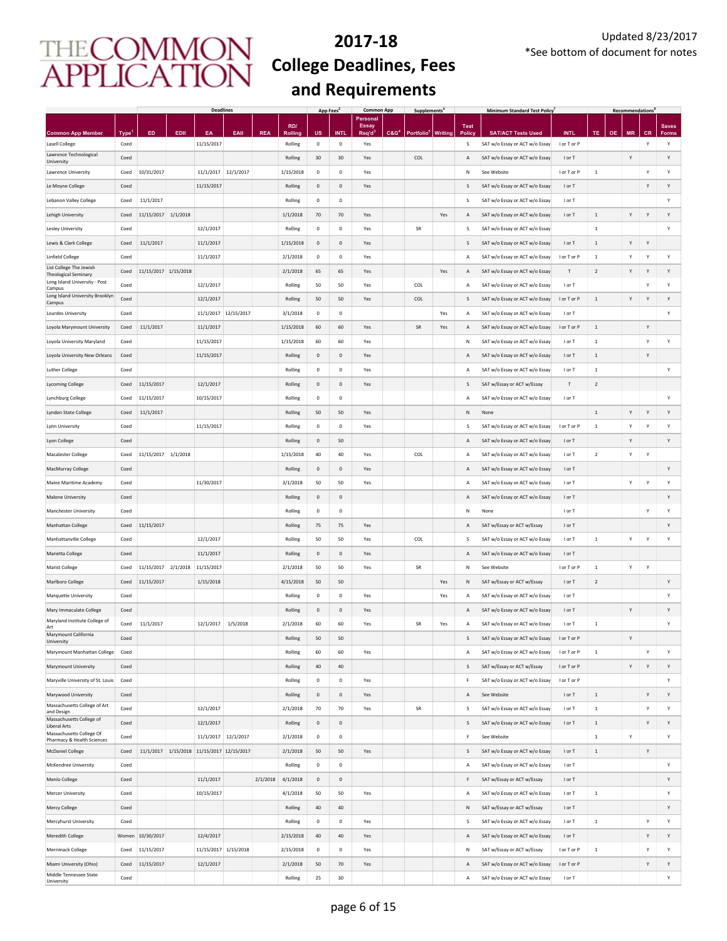|                                                              |                     |                          |          | <b>Deadlines</b>                          |                      |            |                       | App Fees       |                     | <b>Common App</b>        |                  | <b>Supplements</b>             |     |                    | <b>Minimum Standard Test Policy</b>                              |                            |                          |           | <b>Recommendations</b> |                |                   |
|--------------------------------------------------------------|---------------------|--------------------------|----------|-------------------------------------------|----------------------|------------|-----------------------|----------------|---------------------|--------------------------|------------------|--------------------------------|-----|--------------------|------------------------------------------------------------------|----------------------------|--------------------------|-----------|------------------------|----------------|-------------------|
|                                                              |                     |                          |          |                                           |                      |            | RD/                   |                |                     | Personal<br><b>Essay</b> |                  |                                |     | <b>Test</b>        |                                                                  |                            |                          |           |                        |                | <b>Saves</b>      |
| <b>Common App Member</b><br>Lasell College                   | <b>Type</b><br>Coed | ED                       | EDII     | EA<br>11/15/2017                          | EAII                 | <b>REA</b> | Rolling<br>Rolling    | <b>US</b><br>0 | <b>INTL</b><br>0    | Req'd<br>Yes             | C&G <sup>4</sup> | Portfolio <sup>5</sup> Writing |     | <b>Policy</b><br>S | <b>SAT/ACT Tests Used</b><br>SAT w/o Essay or ACT w/o Essay      | <b>INTL</b><br>I or T or P | TE                       | <b>OE</b> | <b>MR</b>              | <b>CR</b><br>Y | <b>Forms</b><br>Υ |
| Lawrence Technological                                       | Coed                |                          |          |                                           |                      |            | Rolling               | 30             | 30                  | Yes                      |                  | COL                            |     | A                  | SAT w/o Essay or ACT w/o Essay                                   | I or T                     |                          |           | Y                      |                | Υ                 |
| University<br>Lawrence University                            | Coed                | 10/31/2017               |          | 11/1/2017                                 | 12/1/2017            |            | 1/15/2018             | $\mathbf 0$    | 0                   | Yes                      |                  |                                |     | N                  | See Website                                                      | I or T or P                | $1\,$                    |           |                        | Y              | Υ                 |
| Le Moyne College                                             | Coed                |                          |          | 11/15/2017                                |                      |            | Rolling               | $\mathbf 0$    | $\mathsf{O}\xspace$ | Yes                      |                  |                                |     | S                  | SAT w/o Essay or ACT w/o Essay                                   | I or T                     |                          |           |                        | Υ              | Υ                 |
| Lebanon Valley College                                       | Coed                | 11/1/2017                |          |                                           |                      |            | Rolling               | $\mathbf 0$    | $\mathbf 0$         |                          |                  |                                |     | s                  | SAT w/o Essay or ACT w/o Essay                                   | I or T                     |                          |           |                        |                | Υ                 |
| Lehigh University                                            | Coed                | 11/15/2017               | 1/1/2018 |                                           |                      |            | 1/1/2018              | 70             | 70                  | Yes                      |                  |                                | Yes | Α                  | SAT w/o Essay or ACT w/o Essay                                   | I or T                     | $\,$ 1                   |           | Υ                      | Y              | Υ                 |
| Lesley University                                            | Coed                |                          |          | 12/1/2017                                 |                      |            | Rolling               | $^{\circ}$     | $\mathbf 0$         | Yes                      |                  | SR                             |     | s                  | SAT w/o Essay or ACT w/o Essay                                   |                            | $\,$ 1 $\,$              |           |                        |                | Υ                 |
| Lewis & Clark College                                        | Coed                | 11/1/2017                |          | 11/1/2017                                 |                      |            | 1/15/2018             | $\mathbf{0}$   | $\mathsf{O}\xspace$ | Yes                      |                  |                                |     | S                  | SAT w/o Essay or ACT w/o Essay                                   | I or T                     | $\,$ 1 $\,$              |           | Υ                      | Y              |                   |
| <b>Linfield College</b>                                      | Coed                |                          |          | 11/1/2017                                 |                      |            | 2/1/2018              | $^{\circ}$     | $\mathsf 0$         | Yes                      |                  |                                |     | A                  | SAT w/o Essay or ACT w/o Essay                                   | I or T or P                | $1\,$                    |           | Y                      | Y              | Υ                 |
| List College The Jewish                                      | Coed                | 11/15/2017 1/15/2018     |          |                                           |                      |            | 2/1/2018              | 65             | 65                  | Yes                      |                  |                                | Yes | Α                  | SAT w/o Essay or ACT w/o Essay                                   | T                          | $\overline{2}$           |           | Υ                      | Y              | Y                 |
| <b>Theological Seminary</b><br>Long Island University - Post | Coed                |                          |          | 12/1/2017                                 |                      |            | Rolling               | 50             | 50                  | Yes                      |                  | COL                            |     | А                  | SAT w/o Essay or ACT w/o Essay                                   | I or T                     |                          |           |                        | Υ              | Υ                 |
| Campus<br>Long Island University Brooklyn                    | Coed                |                          |          | 12/1/2017                                 |                      |            | Rolling               | 50             | 50                  | Yes                      |                  | COL                            |     | S                  | SAT w/o Essay or ACT w/o Essay                                   | I or T or P                | $\,$ 1 $\,$              |           | Υ                      | Y              | Υ                 |
| Campus<br>Lourdes University                                 | Coed                |                          |          |                                           | 11/1/2017 12/15/2017 |            | 3/1/2018              | $\pmb{0}$      | 0                   |                          |                  |                                | Yes | Α                  | SAT w/o Essay or ACT w/o Essay                                   | I or T                     |                          |           |                        |                | Y                 |
| Loyola Marymount University                                  | Coed                | 11/1/2017                |          | 11/1/2017                                 |                      |            | 1/15/2018             | 60             | 60                  | Yes                      |                  | SR                             | Yes | Α                  | SAT w/o Essay or ACT w/o Essay                                   | I or T or P                | $\,$ 1 $\,$              |           |                        | Υ              |                   |
| Loyola University Maryland                                   | Coed                |                          |          | 11/15/2017                                |                      |            | 1/15/2018             | 60             | 60                  | Yes                      |                  |                                |     | N                  | SAT w/o Essay or ACT w/o Essay                                   | I or T                     | $\,$ 1                   |           |                        | Υ              | Υ                 |
| Loyola University New Orleans                                | Coed                |                          |          | 11/15/2017                                |                      |            | Rolling               | 0              | $\mathsf 0$         | Yes                      |                  |                                |     | A                  | SAT w/o Essay or ACT w/o Essay                                   | I or T                     | $\,$ 1 $\,$              |           |                        | Υ              |                   |
| <b>Luther College</b>                                        | Coed                |                          |          |                                           |                      |            | Rolling               | $\mathbf 0$    | $\mathbf 0$         | Yes                      |                  |                                |     | Α                  | SAT w/o Essay or ACT w/o Essay                                   | I or T                     | $\mathbf{1}$             |           |                        |                | Υ                 |
| <b>Lycoming College</b>                                      | Coed                | 11/15/2017               |          | 12/1/2017                                 |                      |            | Rolling               | $\mathbf 0$    | $\mathbf 0$         | Yes                      |                  |                                |     | S                  | SAT w/Essay or ACT w/Essay                                       | $\mathsf T$                | $\sqrt{2}$               |           |                        |                |                   |
| Lynchburg College                                            | Coed                | 11/15/2017               |          | 10/15/2017                                |                      |            | Rolling               | $\mathbf 0$    | $\mathbf 0$         |                          |                  |                                |     | Α                  | SAT w/o Essay or ACT w/o Essay                                   | I or T                     |                          |           |                        |                | Υ                 |
| Lyndon State College                                         | Coed                | 11/1/2017                |          |                                           |                      |            | Rolling               | 50             | 50                  | Yes                      |                  |                                |     | ${\sf N}$          | None                                                             |                            | $\,$ 1 $\,$              |           | Y                      | Υ              | Υ                 |
| Lynn University                                              | Coed                |                          |          | 11/15/2017                                |                      |            | Rolling               | $\mathbf 0$    | $\mathbb O$         | Yes                      |                  |                                |     | s                  | SAT w/o Essay or ACT w/o Essay                                   | I or T or P                | $\,$ 1                   |           | Y                      | Υ              | Υ                 |
| Lyon College                                                 | Coed                |                          |          |                                           |                      |            | Rolling               | $\mathbf 0$    | 50                  |                          |                  |                                |     | A                  | SAT w/o Essay or ACT w/o Essay                                   | I or T                     |                          |           | Y                      |                | Υ                 |
| Macalester College                                           | Coed                | 11/15/2017               | 1/1/2018 |                                           |                      |            | 1/15/2018             | 40             | 40                  | Yes                      |                  | COL                            |     | Α                  | SAT w/o Essay or ACT w/o Essay                                   | I or T                     | $\overline{2}$           |           | Υ                      | Υ              |                   |
| MacMurray College                                            | Coed                |                          |          |                                           |                      |            | Rolling               | $\mathbf 0$    | $\mathbf 0$         | Yes                      |                  |                                |     | A                  | SAT w/o Essay or ACT w/o Essay                                   | I or T                     |                          |           |                        |                | Υ                 |
| Maine Maritime Academy                                       | Coed                |                          |          | 11/30/2017                                |                      |            | 3/1/2018              | 50             | 50                  | Yes                      |                  |                                |     | Α                  | SAT w/o Essay or ACT w/o Essay                                   | I or T                     |                          |           | Υ                      | Υ              | Υ                 |
|                                                              | Coed                |                          |          |                                           |                      |            |                       | 0              | 0                   |                          |                  |                                |     | A                  |                                                                  | I or T                     |                          |           |                        |                | Υ                 |
| Malone University                                            | Coed                |                          |          |                                           |                      |            | Rolling<br>Rolling    | $\mathbf 0$    | 0                   |                          |                  |                                |     | Ν                  | SAT w/o Essay or ACT w/o Essay<br>None                           | I or T                     |                          |           |                        | Υ              | Υ                 |
| Manchester University                                        |                     |                          |          |                                           |                      |            |                       |                |                     |                          |                  |                                |     |                    |                                                                  |                            |                          |           |                        |                | Υ                 |
| Manhattan College                                            | Coed                | 11/15/2017               |          | 12/1/2017                                 |                      |            | Rolling               | 75<br>50       | 75<br>50            | Yes                      |                  | COL                            |     | A                  | SAT w/Essay or ACT w/Essay                                       | I or T<br>I or T           |                          |           | Υ                      |                | Υ                 |
| Manhattanville College                                       | Coed                |                          |          |                                           |                      |            | Rolling<br>Rolling    |                |                     | Yes                      |                  |                                |     | S                  | SAT w/o Essay or ACT w/o Essay                                   |                            | $\mathbf 1$              |           |                        | Υ              |                   |
| Marietta College                                             | Coed                |                          |          | 11/1/2017                                 |                      |            |                       | $\mathbf 0$    | $\mathbf{0}$        | Yes                      |                  | SR                             |     | A                  | SAT w/o Essay or ACT w/o Essay                                   | I or T                     |                          |           |                        |                |                   |
| Marist College<br>Marlboro College                           | Coed<br>Coed        | 11/15/2017<br>11/15/2017 | 2/1/2018 | 11/15/2017<br>1/15/2018                   |                      |            | 2/1/2018<br>4/15/2018 | 50<br>50       | 50<br>50            | Yes                      |                  |                                | Yes | N<br>$\mathsf{N}$  | See Website                                                      | I or T or P<br>I or T      | $\,$ 1<br>$\overline{2}$ |           | Υ                      | Υ              | Υ                 |
|                                                              | Coed                |                          |          |                                           |                      |            | Rolling               | $^{\circ}$     | $\mathsf 0$         |                          |                  |                                |     |                    | SAT w/Essay or ACT w/Essay                                       | I or T                     |                          |           |                        |                | Υ                 |
| Marquette University                                         |                     |                          |          |                                           |                      |            |                       |                |                     | Yes                      |                  |                                | Yes | $\overline{A}$     | SAT w/o Essay or ACT w/o Essay                                   |                            |                          |           |                        |                |                   |
| Mary Immaculate College<br>Maryland Institute College of     | Coed                |                          |          |                                           |                      |            | Rolling               | $\mathbf{0}$   | $\mathbf{0}$        | Yes                      |                  |                                |     | $\mathsf{A}$       | SAT w/o Essay or ACT w/o Essay<br>SAT w/o Essay or ACT w/o Essay | I or T                     |                          |           | Υ                      |                | Υ<br>Υ            |
| Art<br>Marymount California                                  | Coed                | 11/1/2017                |          | 12/1/2017                                 | 1/5/2018             |            | 2/1/2018              | 60             | 60                  | Yes                      |                  | SR                             | Yes | Α                  |                                                                  | I or T                     | $\,$ 1 $\,$              |           |                        |                |                   |
| University                                                   | Coed                |                          |          |                                           |                      |            | Rolling               | 50             | 50                  |                          |                  |                                |     | S                  | SAT w/o Essay or ACT w/o Essay                                   | I or T or P                |                          |           | Υ                      |                |                   |
| Marymount Manhattan College                                  | Coed                |                          |          |                                           |                      |            | Rolling               | 60             | 60                  | Yes                      |                  |                                |     | A                  | SAT w/o Essay or ACT w/o Essay                                   | I or T or P                | $1\,$                    |           |                        | Υ              | Y                 |
| Marymount University                                         | Coed                |                          |          |                                           |                      |            | Rolling               | 40             | 40                  |                          |                  |                                |     | s                  | SAT w/Essay or ACT w/Essay                                       | I or T or P                |                          |           | Υ                      | Y              | Υ                 |
| Maryville University of St. Louis                            | Coed                |                          |          |                                           |                      |            | Rolling               | $\mathbf 0$    | 0                   | Yes                      |                  |                                |     | F                  | SAT w/o Essay or ACT w/o Essay                                   | I or T or P                |                          |           |                        |                | Υ                 |
| Marywood University<br>Massachusetts College of Art          | Coed                |                          |          |                                           |                      |            | Rolling               | 0              | $\mathsf{O}\xspace$ | Yes                      |                  |                                |     | Α                  | See Website                                                      | I or T                     | $1\,$                    |           |                        | Υ              | Υ                 |
| and Design<br>Massachusetts College of                       | Coed                |                          |          | 12/1/2017                                 |                      |            | 2/1/2018              | 70             | 70                  | Yes                      |                  | SR                             |     | S                  | SAT w/o Essay or ACT w/o Essay                                   | I or T                     | $\,$ 1                   |           |                        | Υ              | Υ                 |
| Liberal Arts<br>Massachusetts College Of                     | Coed                |                          |          | 12/1/2017                                 |                      |            | Rolling               | $\mathbf 0$    | $\mathbb O$         |                          |                  |                                |     | S                  | SAT w/o Essay or ACT w/o Essay                                   | I or T                     | $\,$ 1 $\,$              |           |                        | Υ              | Υ                 |
| Pharmacy & Health Sciences                                   | Coed                |                          |          | 11/1/2017 12/1/2017                       |                      |            | 2/1/2018              | $\pmb{0}$      | $\mathbf 0$         |                          |                  |                                |     | F                  | See Website                                                      |                            | $\,$ 1                   |           | Υ                      |                | Y                 |
| <b>McDaniel College</b>                                      | Coed                |                          |          | 11/1/2017 1/15/2018 11/15/2017 12/15/2017 |                      |            | 2/1/2018              | 50             | 50                  | Yes                      |                  |                                |     | S                  | SAT w/o Essay or ACT w/o Essay                                   | I or T                     | $\,$ 1 $\,$              |           |                        | Υ              |                   |
| McKendree University                                         | Coed                |                          |          |                                           |                      |            | Rolling               | $\mathbf 0$    | $\mathbb O$         |                          |                  |                                |     | A                  | SAT w/o Essay or ACT w/o Essay                                   | I or T                     |                          |           |                        |                | Y                 |
| Menlo College                                                | Coed                |                          |          | 11/1/2017                                 |                      | 2/1/2018   | 4/1/2018              | $\mathbf 0$    | $\mathbb O$         |                          |                  |                                |     | F                  | SAT w/Essay or ACT w/Essay                                       | I or T                     |                          |           |                        |                | Υ                 |
| Mercer University                                            | Coed                |                          |          | 10/15/2017                                |                      |            | 4/1/2018              | 50             | 50                  | Yes                      |                  |                                |     | Α                  | SAT w/o Essay or ACT w/o Essay                                   | I or T                     | $\,$ 1 $\,$              |           |                        |                | Υ                 |
| Mercy College                                                | Coed                |                          |          |                                           |                      |            | Rolling               | 40             | 40                  |                          |                  |                                |     | N                  | SAT w/Essay or ACT w/Essay                                       | I or T                     |                          |           |                        |                | Υ                 |
| Mercyhurst University                                        | Coed                |                          |          |                                           |                      |            | Rolling               | $\mathbf 0$    | $\mathbb O$         | Yes                      |                  |                                |     | s                  | SAT w/o Essay or ACT w/o Essay                                   | I or T                     | $\,$ 1 $\,$              |           |                        | Y              | Υ                 |
| Meredith College                                             |                     | Women 10/30/2017         |          | 12/4/2017                                 |                      |            | 2/15/2018             | 40             | 40                  | Yes                      |                  |                                |     | Α                  | SAT w/o Essay or ACT w/o Essay                                   | I or T                     |                          |           |                        | Υ              | Υ                 |
| Merrimack College                                            | Coed                | 11/15/2017               |          | 11/15/2017 1/15/2018                      |                      |            | 2/15/2018             | $\pmb{0}$      | 0                   | Yes                      |                  |                                |     | Ν                  | SAT w/Essay or ACT w/Essay                                       | I or T or P                | $1\,$                    |           |                        | Υ              | Y                 |
| Miami University (Ohio)                                      | Coed                | 11/15/2017               |          | 12/1/2017                                 |                      |            | 2/1/2018              | 50             | 70                  | Yes                      |                  |                                |     | A                  | SAT w/o Essay or ACT w/o Essay                                   | I or T or P                |                          |           |                        | Υ              | Υ                 |
| Middle Tennessee State<br>University                         | Coed                |                          |          |                                           |                      |            | Rolling               | 25             | 30                  |                          |                  |                                |     | А                  | SAT w/o Essay or ACT w/o Essay                                   | I or T                     |                          |           |                        |                | Υ                 |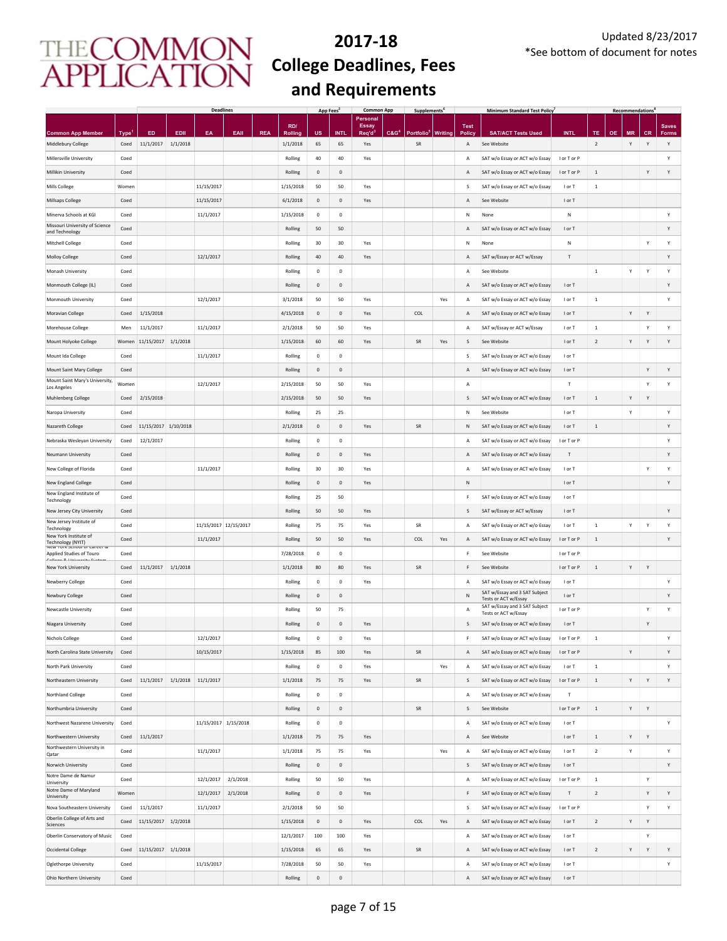|                                                             |             |                      |          | <b>Deadlines</b>      |          |            |           | App Fees <sup>2</sup> |                     | <b>Common App</b>        |                  | <b>Supplements</b> |                |                    | <b>Minimum Standard Test Policy</b>                   |                           |                |           | <b>Recommendations</b> |           |              |
|-------------------------------------------------------------|-------------|----------------------|----------|-----------------------|----------|------------|-----------|-----------------------|---------------------|--------------------------|------------------|--------------------|----------------|--------------------|-------------------------------------------------------|---------------------------|----------------|-----------|------------------------|-----------|--------------|
|                                                             |             |                      |          |                       |          |            | RD/       |                       |                     | Personal<br><b>Essay</b> |                  |                    |                | <b>Test</b>        |                                                       |                           |                |           |                        |           | <b>Saves</b> |
| <b>Common App Member</b>                                    | <b>Type</b> | ED                   | EDII     | EA                    | EAII     | <b>REA</b> | Rolling   | US                    | <b>INT</b>          | Req'd <sup>3</sup>       | C&G <sup>4</sup> | <b>Portfolio</b>   | <b>Writing</b> | Polic <sub>1</sub> | <b>SAT/ACT Tests Used</b>                             | <b>INTL</b>               | TE             | <b>OE</b> | <b>MR</b>              | <b>CR</b> | <b>Forms</b> |
| Middlebury College                                          | Coed        | 11/1/2017            | 1/1/2018 |                       |          |            | 1/1/2018  | 65                    | 65                  | Yes                      |                  | SR                 |                | Α                  | See Website                                           |                           | $\overline{2}$ |           | Υ                      | Y         | Υ            |
| Millersville University                                     | Coed        |                      |          |                       |          |            | Rolling   | 40                    | 40                  | Yes                      |                  |                    |                | А                  | SAT w/o Essay or ACT w/o Essay                        | I or T or P               |                |           |                        |           | Υ            |
| Millikin University                                         | Coed        |                      |          |                       |          |            | Rolling   | 0                     | $\mathsf{O}\xspace$ |                          |                  |                    |                | Α                  | SAT w/o Essay or ACT w/o Essay                        | I or T or P               | $\,$ 1         |           |                        | Y         | Υ            |
| Mills College                                               | Women       |                      |          | 11/15/2017            |          |            | 1/15/2018 | 50                    | 50                  | Yes                      |                  |                    |                | s                  | SAT w/o Essay or ACT w/o Essay                        | I or T                    | $\,$ 1         |           |                        |           |              |
| Millsaps College                                            | Coed        |                      |          | 11/15/2017            |          |            | 6/1/2018  | $\mathsf 0$           | $\mathsf{O}\xspace$ | Yes                      |                  |                    |                | Α                  | See Website                                           | I or T                    |                |           |                        |           |              |
| Minerva Schools at KGI                                      | Coed        |                      |          | 11/1/2017             |          |            | 1/15/2018 | $\pmb{0}$             | $\mathsf{O}\xspace$ |                          |                  |                    |                | Ν                  | None                                                  | Ν                         |                |           |                        |           | Υ            |
| Missouri University of Science                              | Coed        |                      |          |                       |          |            | Rolling   | 50                    | 50                  |                          |                  |                    |                | Α                  | SAT w/o Essay or ACT w/o Essay                        | I or T                    |                |           |                        |           | Υ            |
| and Technology                                              |             |                      |          |                       |          |            |           |                       |                     |                          |                  |                    |                |                    |                                                       |                           |                |           |                        |           |              |
| Mitchell College                                            | Coed        |                      |          |                       |          |            | Rolling   | 30                    | 30                  | Yes                      |                  |                    |                | N                  | None                                                  | ${\sf N}$                 |                |           |                        | Y         | Υ            |
| <b>Molloy College</b>                                       | Coed        |                      |          | 12/1/2017             |          |            | Rolling   | 40                    | 40                  | Yes                      |                  |                    |                | Α                  | SAT w/Essay or ACT w/Essay                            | T                         |                |           |                        |           | Υ            |
| Monash University                                           | Coed        |                      |          |                       |          |            | Rolling   | $\,0\,$               | $\mathsf{O}\xspace$ |                          |                  |                    |                | А                  | See Website                                           |                           | $\,$ 1 $\,$    |           | Υ                      | Y         | Y            |
| Monmouth College (IL)                                       | Coed        |                      |          |                       |          |            | Rolling   | $\,0\,$               | $\mathsf{O}\xspace$ |                          |                  |                    |                | Α                  | SAT w/o Essay or ACT w/o Essay                        | I or T                    |                |           |                        |           | Y            |
| Monmouth University                                         | Coed        |                      |          | 12/1/2017             |          |            | 3/1/2018  | 50                    | 50                  | Yes                      |                  |                    | Yes            | Α                  | SAT w/o Essay or ACT w/o Essay                        | I or T                    | $\,$ 1 $\,$    |           |                        |           | Υ            |
| Moravian College                                            | Coed        | 1/15/2018            |          |                       |          |            | 4/15/2018 | $\,0\,$               | $\mathsf{O}\xspace$ | Yes                      |                  | COL                |                | А                  | SAT w/o Essay or ACT w/o Essay                        | I or T                    |                |           | Υ                      | Y         |              |
| Morehouse College                                           | Men         | 11/1/2017            |          | 11/1/2017             |          |            | 2/1/2018  | 50                    | 50                  | Yes                      |                  |                    |                | Α                  | SAT w/Essay or ACT w/Essay                            | I or T                    | $\,$ 1         |           |                        | Y         | Υ            |
| Mount Holyoke College                                       | Women       | 11/15/2017           | 1/1/2018 |                       |          |            | 1/15/2018 | 60                    | 60                  | Yes                      |                  | SR                 | Yes            | S                  | See Website                                           | I or T                    | $\overline{2}$ |           | Υ                      | Y         | Υ            |
|                                                             | Coed        |                      |          |                       |          |            |           | $\mathbf 0$           | $\mathsf{O}\xspace$ |                          |                  |                    |                | s                  |                                                       | I or T                    |                |           |                        |           |              |
| Mount Ida College                                           |             |                      |          | 11/1/2017             |          |            | Rolling   |                       |                     |                          |                  |                    |                |                    | SAT w/o Essay or ACT w/o Essay                        |                           |                |           |                        |           |              |
| Mount Saint Mary College<br>Mount Saint Mary's University,  | Coed        |                      |          |                       |          |            | Rolling   | $\mathbf 0$           | $\mathbf 0$         |                          |                  |                    |                | Α                  | SAT w/o Essay or ACT w/o Essay                        | I or T                    |                |           |                        | Y         | Υ            |
| Los Angeles                                                 | Women       |                      |          | 12/1/2017             |          |            | 2/15/2018 | 50                    | 50                  | Yes                      |                  |                    |                | Α                  |                                                       | T                         |                |           |                        | Υ         | Υ            |
| <b>Muhlenberg College</b>                                   | Coed        | 2/15/2018            |          |                       |          |            | 2/15/2018 | 50                    | 50                  | Yes                      |                  |                    |                | S                  | SAT w/o Essay or ACT w/o Essay                        | I or T                    | $\,1\,$        |           | Y                      | Y         |              |
| Naropa University                                           | Coed        |                      |          |                       |          |            | Rolling   | 25                    | 25                  |                          |                  |                    |                | N                  | See Website                                           | I or T                    |                |           | Y                      |           | Υ            |
| Nazareth College                                            | Coed        | 11/15/2017 1/10/2018 |          |                       |          |            | 2/1/2018  | $\mathbf 0$           | $\mathsf{O}\xspace$ | Yes                      |                  | ${\sf SR}$         |                | Ν                  | SAT w/o Essay or ACT w/o Essay                        | I or T                    | $\,$ 1         |           |                        |           | Υ            |
| Nebraska Wesleyan University                                | Coed        | 12/1/2017            |          |                       |          |            | Rolling   | $\mathbf 0$           | $\mathbf 0$         |                          |                  |                    |                | Α                  | SAT w/o Essay or ACT w/o Essay                        | I or T or P               |                |           |                        |           | Υ            |
| Neumann University                                          | Coed        |                      |          |                       |          |            | Rolling   | $\mathbf 0$           | $\mathbf 0$         | Yes                      |                  |                    |                | Α                  | SAT w/o Essay or ACT w/o Essay                        | $\ensuremath{\mathsf{T}}$ |                |           |                        |           | Y            |
| New College of Florida                                      | Coed        |                      |          | 11/1/2017             |          |            | Rolling   | 30                    | 30                  | Yes                      |                  |                    |                | А                  | SAT w/o Essay or ACT w/o Essay                        | I or T                    |                |           |                        | Y         | Υ            |
|                                                             |             |                      |          |                       |          |            |           |                       |                     |                          |                  |                    |                |                    |                                                       |                           |                |           |                        |           |              |
| New England College<br>New England Institute of             | Coed        |                      |          |                       |          |            | Rolling   | $\,0\,$               | $\mathbf 0$         | Yes                      |                  |                    |                | N                  |                                                       | I or T                    |                |           |                        |           | Υ            |
| Technology                                                  | Coed        |                      |          |                       |          |            | Rolling   | 25                    | 50                  |                          |                  |                    |                | F                  | SAT w/o Essay or ACT w/o Essay                        | I or T                    |                |           |                        |           |              |
| New Jersey City University                                  | Coed        |                      |          |                       |          |            | Rolling   | 50                    | 50                  | Yes                      |                  |                    |                | S                  | SAT w/Essay or ACT w/Essay                            | I or T                    |                |           |                        |           | Υ            |
| New Jersey Institute of<br>Technology                       | Coed        |                      |          | 11/15/2017 12/15/2017 |          |            | Rolling   | 75                    | 75                  | Yes                      |                  | SR                 |                | А                  | SAT w/o Essay or ACT w/o Essay                        | I or T                    | $\,$ 1         |           | Υ                      | Y         | Y            |
| New York Institute of<br>Technology (NYIT)                  | Coed        |                      |          | 11/1/2017             |          |            | Rolling   | 50                    | 50                  | Yes                      |                  | COL                | Yes            | Α                  | SAT w/o Essay or ACT w/o Essay                        | I or T or P               | $\mathbf{1}$   |           |                        |           | Υ            |
| IVEW TOTK SCITODI OF Calleer of<br>Applied Studies of Touro | Coed        |                      |          |                       |          |            | 7/28/2018 | $\mathbf 0$           | $\mathbf 0$         |                          |                  |                    |                | F                  | See Website                                           | I or T or P               |                |           |                        |           |              |
| Callage Q. Linksaning Cust<br>New York University           | Coed        | 11/1/2017            | 1/1/2018 |                       |          |            | 1/1/2018  | 80                    | 80                  | Yes                      |                  | SR                 |                | F                  | See Website                                           | I or T or P               | $\,$ 1         |           | Υ                      | Y         |              |
| Newberry College                                            | Coed        |                      |          |                       |          |            | Rolling   | $\mathbf 0$           | $\mathbf 0$         | Yes                      |                  |                    |                | А                  | SAT w/o Essay or ACT w/o Essay                        | I or T                    |                |           |                        |           | Υ            |
|                                                             | Coed        |                      |          |                       |          |            | Rolling   | $\circ$               | $\mathbf{0}$        |                          |                  |                    |                | N                  | SAT w/Essay and 3 SAT Subject                         | I or T                    |                |           |                        |           | Υ            |
| Newbury College                                             |             |                      |          |                       |          |            |           |                       |                     |                          |                  |                    |                |                    | Tests or ACT w/Essay<br>SAT w/Essay and 3 SAT Subject |                           |                |           |                        |           |              |
| Newcastle University                                        | Coed        |                      |          |                       |          |            | Rolling   | 50                    | 75                  |                          |                  |                    |                | А                  | Tests or ACT w/Essay                                  | I or T or P               |                |           |                        | Y         | Υ            |
| Niagara University                                          | Coed        |                      |          |                       |          |            | Rolling   | 0                     | $\mathbf 0$         | Yes                      |                  |                    |                | S                  | SAT w/o Essay or ACT w/o Essay                        | I or T                    |                |           |                        | Y         |              |
| <b>Nichols College</b>                                      | Coed        |                      |          | 12/1/2017             |          |            | Rolling   | $\mathbf 0$           | $\circ$             | Yes                      |                  |                    |                | F                  | SAT w/o Essay or ACT w/o Essay                        | I or T or P               | $\mathbf{1}$   |           |                        |           | Υ            |
| North Carolina State University                             | Coed        |                      |          | 10/15/2017            |          |            | 1/15/2018 | 85                    | 100                 | Yes                      |                  | SR                 |                | Α                  | SAT w/o Essay or ACT w/o Essay                        | I or T or P               |                |           | Υ                      |           | Y            |
| North Park University                                       | Coed        |                      |          |                       |          |            | Rolling   | $\mathbf 0$           | $\mathsf{O}\xspace$ | Yes                      |                  |                    | Yes            | А                  | SAT w/o Essay or ACT w/o Essay                        | I or T                    | $\,$ 1 $\,$    |           |                        |           | Y            |
| Northeastern University                                     | Coed        | 11/1/2017            |          | 1/1/2018 11/1/2017    |          |            | 1/1/2018  | 75                    | 75                  | Yes                      |                  | SR                 |                | S                  | SAT w/o Essay or ACT w/o Essay                        | I or T or P               | $\,$ 1         |           | Υ                      | Y         | Υ            |
| Northland College                                           | Coed        |                      |          |                       |          |            | Rolling   | $\mathbf 0$           | $\mathsf{O}\xspace$ |                          |                  |                    |                | А                  | SAT w/o Essay or ACT w/o Essay                        | $\mathsf T$               |                |           |                        |           |              |
| Northumbria University                                      | Coed        |                      |          |                       |          |            | Rolling   | 0                     | $\mathbf 0$         |                          |                  | SR                 |                | S                  | See Website                                           | I or T or P               | $\,$ 1         |           | Υ                      | Y         |              |
|                                                             |             |                      |          |                       |          |            |           |                       |                     |                          |                  |                    |                |                    | SAT w/o Essay or ACT w/o Essay                        |                           |                |           |                        |           | Υ            |
| Northwest Nazarene University                               | Coed        |                      |          | 11/15/2017 1/15/2018  |          |            | Rolling   | $^{\circ}$            | 0                   |                          |                  |                    |                | Α                  |                                                       | I or T                    |                |           |                        |           |              |
| Northwestern University<br>Northwestern University in       | Coed        | 11/1/2017            |          |                       |          |            | 1/1/2018  | 75                    | 75                  | Yes                      |                  |                    |                | Α                  | See Website                                           | I or T                    | $\,$ 1 $\,$    |           | Υ                      | Υ         |              |
| Qatar                                                       | Coed        |                      |          | 11/1/2017             |          |            | 1/1/2018  | 75                    | 75                  | Yes                      |                  |                    | Yes            | Α                  | SAT w/o Essay or ACT w/o Essay                        | I or T                    | $\sqrt{2}$     |           | Υ                      |           | Υ            |
| Norwich University                                          | Coed        |                      |          |                       |          |            | Rolling   | $\mathbf 0$           | $\mathsf{O}\xspace$ |                          |                  |                    |                | s                  | SAT w/o Essay or ACT w/o Essay                        | I or T                    |                |           |                        |           | Υ            |
| Notre Dame de Namur<br>University                           | Coed        |                      |          | 12/1/2017             | 2/1/2018 |            | Rolling   | 50                    | 50                  | Yes                      |                  |                    |                | А                  | SAT w/o Essay or ACT w/o Essay                        | I or T or P               | $\,$ 1         |           |                        | Υ         |              |
| Notre Dame of Maryland<br>University                        | Women       |                      |          | 12/1/2017             | 2/1/2018 |            | Rolling   | $\mathbf 0$           | $\mathsf{O}\xspace$ | Yes                      |                  |                    |                | F                  | SAT w/o Essay or ACT w/o Essay                        | T                         | $\sqrt{2}$     |           |                        | Y         | Υ            |
| Nova Southeastern University                                | Coed        | 11/1/2017            |          | 11/1/2017             |          |            | 2/1/2018  | 50                    | 50                  |                          |                  |                    |                | S                  | SAT w/o Essay or ACT w/o Essay                        | I or T or P               |                |           |                        | Υ         | Υ            |
| Oberlin College of Arts and                                 | Coed        | 11/15/2017           | 1/2/2018 |                       |          |            | 1/15/2018 | $\mathbb O$           | $\mathbf 0$         | Yes                      |                  | COL                | Yes            | Α                  | SAT w/o Essay or ACT w/o Essay                        | I or T                    | $\sqrt{2}$     |           | Υ                      | Y         |              |
| Sciences<br>Oberlin Conservatory of Music                   | Coed        |                      |          |                       |          |            | 12/1/2017 | 100                   | 100                 | Yes                      |                  |                    |                | А                  | SAT w/o Essay or ACT w/o Essay                        | I or T                    |                |           |                        | Y         |              |
|                                                             |             |                      |          |                       |          |            |           |                       |                     |                          |                  |                    |                |                    |                                                       |                           |                |           |                        |           |              |
| Occidental College                                          | Coed        | 11/15/2017           | 1/1/2018 |                       |          |            | 1/15/2018 | 65                    | 65                  | Yes                      |                  | SR                 |                | Α                  | SAT w/o Essay or ACT w/o Essay                        | I or T                    | $\overline{2}$ |           | Y                      | Y         | Υ            |
| Oglethorpe University                                       | Coed        |                      |          | 11/15/2017            |          |            | 7/28/2018 | 50                    | 50                  | Yes                      |                  |                    |                | А                  | SAT w/o Essay or ACT w/o Essay                        | I or T                    |                |           |                        |           | Υ            |
| Ohio Northern University                                    | Coed        |                      |          |                       |          |            | Rolling   | 0                     | $\mathsf{O}\xspace$ |                          |                  |                    |                | А                  | SAT w/o Essay or ACT w/o Essay                        | I or T                    |                |           |                        |           |              |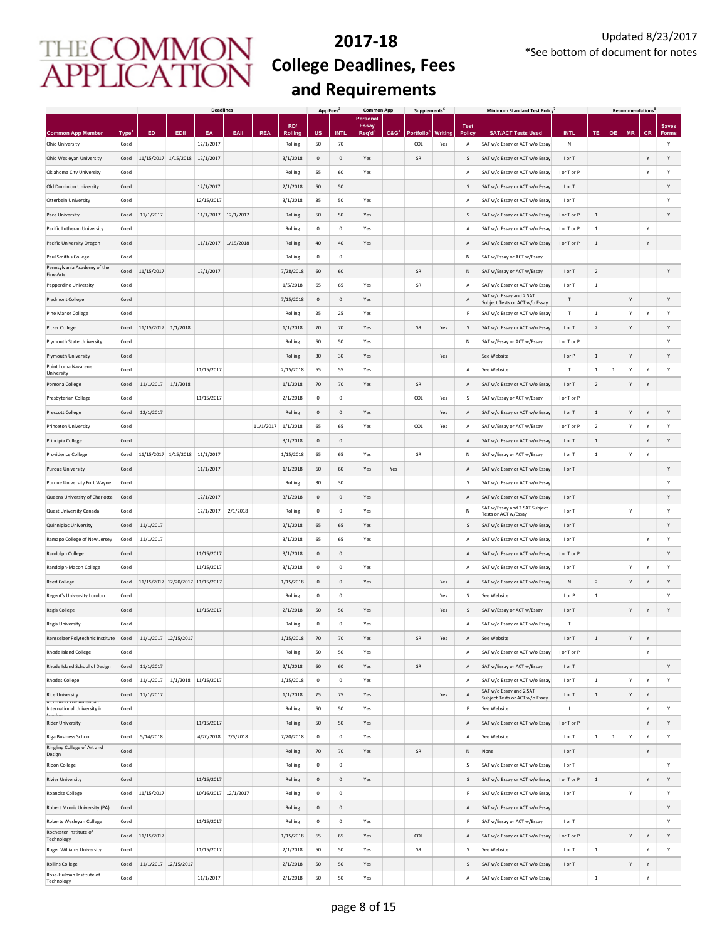|                                                   |       |                                  |                     | <b>Deadlines</b>     |           |            |                | App Fees     |              | <b>Common App</b>        |                  | <b>Supplements</b> |                |              | <b>Minimum Standard Test Policy</b>                       |              |                |              | <b>Recommendations</b> |              |              |
|---------------------------------------------------|-------|----------------------------------|---------------------|----------------------|-----------|------------|----------------|--------------|--------------|--------------------------|------------------|--------------------|----------------|--------------|-----------------------------------------------------------|--------------|----------------|--------------|------------------------|--------------|--------------|
|                                                   |       |                                  |                     |                      |           |            | RD/            |              |              | Personal<br><b>Essay</b> |                  |                    |                | <b>Test</b>  |                                                           |              |                |              |                        |              | <b>Saves</b> |
| <b>Common App Member</b>                          | Type' | ED                               | EDII                | EA                   | EAII      | <b>REA</b> | <b>Rolling</b> | นร           | <b>INTL</b>  | Req'd <sup>3</sup>       | C&G <sup>4</sup> | Portfolio          | <b>Writing</b> | <b>Polic</b> | <b>SAT/ACT Tests Used</b>                                 | <b>INTL</b>  | TE             | <b>OE</b>    | <b>MR</b>              | <b>CR</b>    | Forms        |
| Ohio University                                   | Coed  |                                  |                     | 12/1/2017            |           |            | Rolling        | 50           | 70           |                          |                  | COL                | Yes            | А            | SAT w/o Essay or ACT w/o Essay                            | N            |                |              |                        |              | Υ            |
| Ohio Wesleyan University                          | Coed  | 11/15/2017                       | 1/15/2018 12/1/2017 |                      |           |            | 3/1/2018       | $\mathbf 0$  | $\mathbf 0$  | Yes                      |                  | SR                 |                | S            | SAT w/o Essay or ACT w/o Essay                            | I or T       |                |              |                        | Y            | Y            |
| Oklahoma City University                          | Coed  |                                  |                     |                      |           |            | Rolling        | 55           | 60           | Yes                      |                  |                    |                | А            | SAT w/o Essay or ACT w/o Essay                            | I or T or P  |                |              |                        | Y            | Y            |
| Old Dominion University                           | Coed  |                                  |                     | 12/1/2017            |           |            | 2/1/2018       | 50           | 50           |                          |                  |                    |                | S            | SAT w/o Essay or ACT w/o Essay                            | I or T       |                |              |                        |              | Y            |
| Otterbein University                              | Coed  |                                  |                     | 12/15/2017           |           |            | 3/1/2018       | 35           | 50           | Yes                      |                  |                    |                | Α            | SAT w/o Essay or ACT w/o Essay                            | I or T       |                |              |                        |              | Y            |
| Pace University                                   | Coed  | 11/1/2017                        |                     | 11/1/2017 12/1/2017  |           |            | Rolling        | 50           | 50           | Yes                      |                  |                    |                | S            | SAT w/o Essay or ACT w/o Essay                            | I or T or P  | $\overline{1}$ |              |                        |              | Y            |
| Pacific Lutheran University                       | Coed  |                                  |                     |                      |           |            | Rolling        | $^{\circ}$   | $\mathbf 0$  | Yes                      |                  |                    |                | А            | SAT w/o Essay or ACT w/o Essay                            | I or T or P  | 1              |              |                        | Y            |              |
|                                                   |       |                                  |                     |                      |           |            |                |              |              |                          |                  |                    |                |              |                                                           |              |                |              |                        |              |              |
| Pacific University Oregon                         | Coed  |                                  |                     | 11/1/2017            | 1/15/2018 |            | Rolling        | 40           | 40           | Yes                      |                  |                    |                | Α            | SAT w/o Essay or ACT w/o Essay                            | I or T or P  | <sup>1</sup>   |              |                        | Y            |              |
| Paul Smith's College                              | Coed  |                                  |                     |                      |           |            | Rolling        | $^{\circ}$   | $\mathbf 0$  |                          |                  |                    |                | Ν            | SAT w/Essay or ACT w/Essay                                |              |                |              |                        |              |              |
| Pennsylvania Academy of the<br>Fine Arts          | Coed  | 11/15/2017                       |                     | 12/1/2017            |           |            | 7/28/2018      | 60           | 60           |                          |                  | SR                 |                | Ν            | SAT w/Essay or ACT w/Essay                                | I or T       | $\overline{2}$ |              |                        |              | Υ            |
| Pepperdine University                             | Coed  |                                  |                     |                      |           |            | 1/5/2018       | 65           | 65           | Yes                      |                  | SR                 |                | Α            | SAT w/o Essay or ACT w/o Essay                            | I or T       | $\,$ 1 $\,$    |              |                        |              |              |
| <b>Piedmont College</b>                           | Coed  |                                  |                     |                      |           |            | 7/15/2018      | $\mathbf 0$  | $\mathbf 0$  | Yes                      |                  |                    |                | А            | SAT w/o Essay and 2 SAT<br>Subject Tests or ACT w/o Essay | $\mathsf T$  |                |              | Υ                      |              | Υ            |
| Pine Manor College                                | Coed  |                                  |                     |                      |           |            | Rolling        | 25           | 25           | Yes                      |                  |                    |                | F            | SAT w/o Essay or ACT w/o Essay                            | T            | $\,$ 1 $\,$    |              | Y                      | Y            | Y            |
| <b>Pitzer College</b>                             | Coed  | 11/15/2017                       | 1/1/2018            |                      |           |            | 1/1/2018       | 70           | 70           | Yes                      |                  | SR                 | Yes            | S            | SAT w/o Essay or ACT w/o Essay                            | I or T       | $\overline{2}$ |              | Y                      |              | Y            |
| Plymouth State University                         | Coed  |                                  |                     |                      |           |            | Rolling        | 50           | 50           | Yes                      |                  |                    |                | Ν            | SAT w/Essay or ACT w/Essay                                | I or T or P  |                |              |                        |              | Υ            |
| Plymouth University                               | Coed  |                                  |                     |                      |           |            | Rolling        | 30           | 30           | Yes                      |                  |                    | Yes            | $\mathbf{I}$ | See Website                                               | I or P       | $\,$ 1         |              | Υ                      |              | Υ            |
| Point Loma Nazarene                               | Coed  |                                  |                     | 11/15/2017           |           |            | 2/15/2018      |              |              |                          |                  |                    |                |              |                                                           | Т            |                |              |                        |              | Υ            |
| University                                        |       |                                  |                     |                      |           |            |                | 55           | 55           | Yes                      |                  |                    |                | Α            | See Website                                               |              | $\mathbf{1}$   | $\mathbf{1}$ | Υ                      | Y            |              |
| Pomona College                                    | Coed  | 11/1/2017                        | 1/1/2018            |                      |           |            | 1/1/2018       | 70           | 70           | Yes                      |                  | SR                 |                | Α            | SAT w/o Essay or ACT w/o Essay                            | I or T       | $\overline{2}$ |              | Y                      | Y            |              |
| Presbyterian College                              | Coed  |                                  |                     | 11/15/2017           |           |            | 2/1/2018       | $\mathbf 0$  | $\mathbf 0$  |                          |                  | COL                | Yes            | S            | SAT w/Essay or ACT w/Essay                                | I or T or P  |                |              |                        |              |              |
| <b>Prescott College</b>                           | Coed  | 12/1/2017                        |                     |                      |           |            | Rolling        | $\mathbf{0}$ | $\mathbf 0$  | Yes                      |                  |                    | Yes            | Α            | SAT w/o Essay or ACT w/o Essay                            | I or T       | $\,$ 1 $\,$    |              | Y                      | Y            | Y            |
| Princeton University                              | Coed  |                                  |                     |                      |           | 11/1/2017  | 1/1/2018       | 65           | 65           | Yes                      |                  | COL                | Yes            | Α            | SAT w/Essay or ACT w/Essay                                | I or T or P  | $\overline{2}$ |              | Y                      | Y            | Y            |
| Principia College                                 | Coed  |                                  |                     |                      |           |            | 3/1/2018       | $\mathbf 0$  | $\mathbf 0$  |                          |                  |                    |                | Α            | SAT w/o Essay or ACT w/o Essay                            | I or T       | $\,$ 1 $\,$    |              |                        | Y            | Y            |
| Providence College                                | Coed  | 11/15/2017                       | 1/15/2018           | 11/1/2017            |           |            | 1/15/2018      | 65           | 65           | Yes                      |                  | SR                 |                | Ν            | SAT w/Essay or ACT w/Essay                                | I or T       | $\,$ 1 $\,$    |              | Y                      | Y            |              |
| <b>Purdue University</b>                          | Coed  |                                  |                     | 11/1/2017            |           |            | 1/1/2018       | 60           | 60           | Yes                      | Yes              |                    |                | Α            | SAT w/o Essay or ACT w/o Essay                            | I or T       |                |              |                        |              | Υ            |
| Purdue University Fort Wayne                      | Coed  |                                  |                     |                      |           |            | Rolling        | 30           | 30           |                          |                  |                    |                | s            | SAT w/o Essay or ACT w/o Essay                            |              |                |              |                        |              | Y            |
| Queens University of Charlotte                    | Coed  |                                  |                     | 12/1/2017            |           |            | 3/1/2018       | $\mathbf 0$  | $\mathbf 0$  | Yes                      |                  |                    |                | Α            | SAT w/o Essay or ACT w/o Essay                            | I or T       |                |              |                        |              | Y            |
|                                                   |       |                                  |                     |                      |           |            |                |              |              |                          |                  |                    |                |              | SAT w/Essay and 2 SAT Subject                             |              |                |              |                        |              |              |
| Quest University Canada                           | Coed  |                                  |                     | 12/1/2017            | 2/1/2018  |            | Rolling        | $\mathbf 0$  | $\mathbf 0$  | Yes                      |                  |                    |                | N            | Tests or ACT w/Essay                                      | I or T       |                |              | Y                      |              | Υ            |
| Quinnipiac University                             | Coed  | 11/1/2017                        |                     |                      |           |            | 2/1/2018       | 65           | 65           | Yes                      |                  |                    |                | S            | SAT w/o Essay or ACT w/o Essay                            | I or T       |                |              |                        |              | Υ            |
| Ramapo College of New Jersey                      | Coed  | 11/1/2017                        |                     |                      |           |            | 3/1/2018       | 65           | 65           | Yes                      |                  |                    |                | Α            | SAT w/o Essay or ACT w/o Essay                            | I or T       |                |              |                        | Y            | Υ            |
| Randolph College                                  | Coed  |                                  |                     | 11/15/2017           |           |            | 3/1/2018       | $\mathbf 0$  | $\mathbf 0$  |                          |                  |                    |                | Α            | SAT w/o Essay or ACT w/o Essay                            | I or T or P  |                |              |                        |              | Υ            |
| Randolph-Macon College                            | Coed  |                                  |                     | 11/15/2017           |           |            | 3/1/2018       | $\mathbf 0$  | $\mathbf 0$  | Yes                      |                  |                    |                | А            | SAT w/o Essay or ACT w/o Essay                            | I or T       |                |              | Υ                      | Y            | Υ            |
| <b>Reed College</b>                               | Coed  | 11/15/2017 12/20/2017 11/15/2017 |                     |                      |           |            | 1/15/2018      | $\mathbf{0}$ | $\mathsf{O}$ | Yes                      |                  |                    | Yes            | Α            | SAT w/o Essay or ACT w/o Essay                            | N            | $\overline{2}$ |              | Y                      | Y            | Y            |
| Regent's University London                        | Coed  |                                  |                     |                      |           |            | Rolling        | $^{\circ}$   | $\mathbf 0$  |                          |                  |                    | Yes            | s            | See Website                                               | I or P       | 1              |              |                        |              | Y            |
| <b>Regis College</b>                              | Coed  |                                  |                     | 11/15/2017           |           |            | 2/1/2018       | 50           | 50           | Yes                      |                  |                    | Yes            | S            | SAT w/Essay or ACT w/Essay                                | I or T       |                |              | Y                      | Y            | Y            |
| <b>Regis University</b>                           | Coed  |                                  |                     |                      |           |            | Rolling        | 0            | $\mathbf 0$  | Yes                      |                  |                    |                | А            | SAT w/o Essay or ACT w/o Essay                            | т            |                |              |                        |              |              |
| Rensselaer Polytechnic Institute                  | Coed  | 11/1/2017 12/15/2017             |                     |                      |           |            | 1/15/2018      | 70           | 70           | Yes                      |                  | SR                 | Yes            | Α            | See Website                                               | I or T       | $\mathbf{1}$   |              | Y                      | Y            |              |
|                                                   |       |                                  |                     |                      |           |            |                |              |              |                          |                  |                    |                |              |                                                           |              |                |              |                        |              |              |
| Rhode Island College                              | Coed  |                                  |                     |                      |           |            | Rolling        | 50           | 50           | Yes                      |                  |                    |                | А            | SAT w/o Essay or ACT w/o Essay                            | I or T or P  |                |              |                        | Y            |              |
| Rhode Island School of Design                     | Coed  | 11/1/2017                        |                     |                      |           |            | 2/1/2018       | 60           | 60           | Yes                      |                  | ${\sf SR}$         |                | Α            | SAT w/Essay or ACT w/Essay                                | I or T       |                |              |                        |              | Υ            |
| <b>Rhodes College</b>                             | Coed  | 11/1/2017                        |                     | 1/1/2018 11/15/2017  |           |            | 1/15/2018      | $\pmb{0}$    | $\mathbf 0$  | Yes                      |                  |                    |                | Α            | SAT w/o Essay or ACT w/o Essay                            | I or T       | $\,$ 1 $\,$    |              | Υ                      | Y            | Υ            |
| <b>Rice University</b><br>KICHINONG THE PITIENCAN | Coed  | 11/1/2017                        |                     |                      |           |            | 1/1/2018       | 75           | 75           | Yes                      |                  |                    | Yes            | Α            | SAT w/o Essay and 2 SAT<br>Subject Tests or ACT w/o Essay | I or T       | $\,$ 1 $\,$    |              | Υ                      | Y            |              |
| International University in<br>ممامعما            | Coed  |                                  |                     |                      |           |            | Rolling        | 50           | 50           | Yes                      |                  |                    |                | F            | See Website                                               | $\mathbf{I}$ |                |              |                        | Y            | Υ            |
| <b>Rider University</b>                           | Coed  |                                  |                     | 11/15/2017           |           |            | Rolling        | 50           | 50           | Yes                      |                  |                    |                | Α            | SAT w/o Essay or ACT w/o Essay                            | I or T or P  |                |              |                        | Y            | Υ            |
| Riga Business School                              | Coed  | 5/14/2018                        |                     | 4/20/2018            | 7/5/2018  |            | 7/20/2018      | $\mathbf 0$  | $\,0\,$      | Yes                      |                  |                    |                | А            | See Website                                               | I or T       | $\,$ 1         | $\,$ 1       | Υ                      | Y            | Υ            |
| Ringling College of Art and                       | Coed  |                                  |                     |                      |           |            | Rolling        | 70           | 70           | Yes                      |                  | ${\sf SR}$         |                | Ν            | None                                                      | I or T       |                |              |                        | $\mathsf{Y}$ |              |
| Design<br><b>Ripon College</b>                    | Coed  |                                  |                     |                      |           |            | Rolling        | $\mathbf 0$  | $\mathbf 0$  |                          |                  |                    |                | s            | SAT w/o Essay or ACT w/o Essay                            | I or T       |                |              |                        |              | Y            |
|                                                   |       |                                  |                     | 11/15/2017           |           |            | Rolling        |              | $\mathbf 0$  |                          |                  |                    |                |              |                                                           |              | 1              |              |                        |              | Υ            |
| <b>Rivier University</b>                          | Coed  |                                  |                     |                      |           |            |                | $\mathbf 0$  |              | Yes                      |                  |                    |                | S            | SAT w/o Essay or ACT w/o Essay                            | I or T or P  |                |              |                        | Y            |              |
| Roanoke College                                   | Coed  | 11/15/2017                       |                     | 10/16/2017 12/1/2017 |           |            | Rolling        | $\mathsf{o}$ | $\mathbf 0$  |                          |                  |                    |                | F            | SAT w/o Essay or ACT w/o Essay                            | I or T       |                |              | Υ                      |              | Y            |
| Robert Morris University (PA)                     | Coed  |                                  |                     |                      |           |            | Rolling        | $\mathbf 0$  | $\mathbf 0$  |                          |                  |                    |                | Α            | SAT w/o Essay or ACT w/o Essay                            |              |                |              |                        |              | Υ            |
| Roberts Wesleyan College                          | Coed  |                                  |                     | 11/15/2017           |           |            | Rolling        | $\mathbf 0$  | $\mathbf 0$  | Yes                      |                  |                    |                | F            | SAT w/Essay or ACT w/Essay                                | I or T       |                |              |                        |              | Υ            |
| Rochester Institute of<br>Technology              | Coed  | 11/15/2017                       |                     |                      |           |            | 1/15/2018      | 65           | 65           | Yes                      |                  | COL                |                | Α            | SAT w/o Essay or ACT w/o Essay                            | I or T or P  |                |              | Y                      | Y            | Y            |
| Roger Williams University                         | Coed  |                                  |                     | 11/15/2017           |           |            | 2/1/2018       | 50           | 50           | Yes                      |                  | SR                 |                | s            | See Website                                               | I or T       | $\,$ 1 $\,$    |              |                        | Y            | Y            |
| <b>Rollins College</b>                            | Coed  | 11/1/2017 12/15/2017             |                     |                      |           |            | 2/1/2018       | 50           | 50           | Yes                      |                  |                    |                | S            | SAT w/o Essay or ACT w/o Essay                            | I or T       |                |              | Y                      | Y            |              |
| Rose-Hulman Institute of<br>Technology            | Coed  |                                  |                     | 11/1/2017            |           |            | 2/1/2018       | 50           | 50           | Yes                      |                  |                    |                | Α            | SAT w/o Essay or ACT w/o Essay                            |              | $\,$ 1         |              |                        | Y            |              |
|                                                   |       |                                  |                     |                      |           |            |                |              |              |                          |                  |                    |                |              |                                                           |              |                |              |                        |              |              |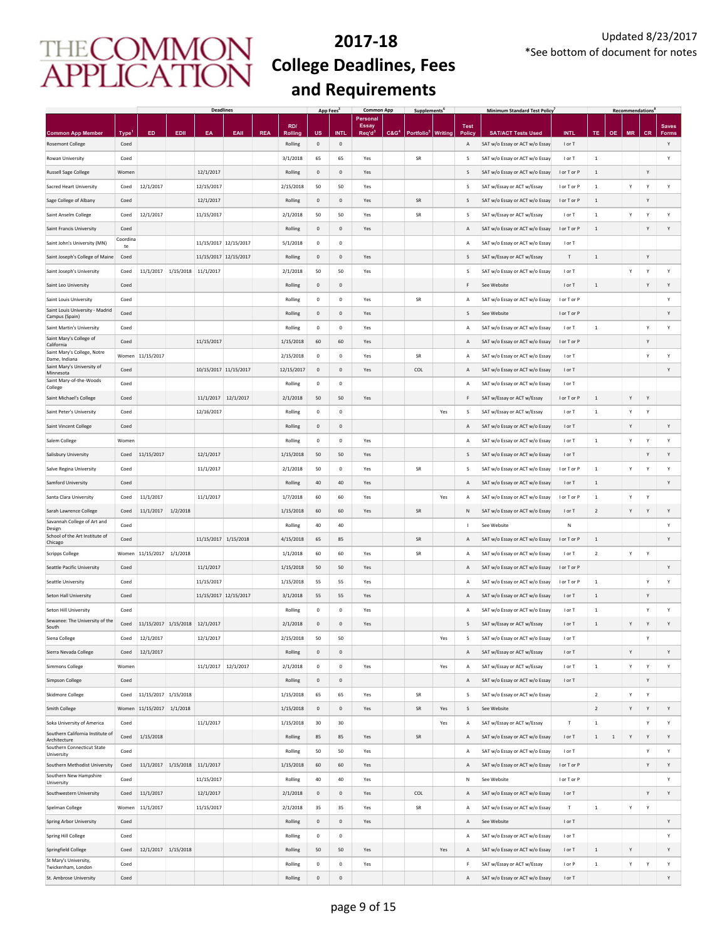|                                                   |             |            |                     | <b>Deadlines</b>      |      |            |            | App Fees <sup>2</sup> |                     | <b>Common App</b>        |         | <b>Supplements</b>             |     |             | <b>Minimum Standard Test Policy</b> |             |                |              | <b>Recommendations</b> |              |              |
|---------------------------------------------------|-------------|------------|---------------------|-----------------------|------|------------|------------|-----------------------|---------------------|--------------------------|---------|--------------------------------|-----|-------------|-------------------------------------|-------------|----------------|--------------|------------------------|--------------|--------------|
|                                                   |             |            |                     |                       |      |            | RD/        |                       |                     | Personal<br><b>Essay</b> |         |                                |     | <b>Test</b> |                                     |             |                |              |                        |              | <b>Saves</b> |
| <b>Common App Member</b>                          | <b>Type</b> | ED         | EDII                | EA                    | EAII | <b>REA</b> | Rolling    | US                    | <b>INT</b>          | Req'd <sup>3</sup>       | $C&G^*$ | Portfolio <sup>5</sup> Writing |     | Polic       | <b>SAT/ACT Tests Used</b>           | <b>INTL</b> | TE             | <b>OE</b>    | <b>MR</b>              | <b>CR</b>    | <b>Forms</b> |
| <b>Rosemont College</b>                           | Coed        |            |                     |                       |      |            | Rolling    | 0                     | $\mathbf 0$         |                          |         |                                |     | Α           | SAT w/o Essay or ACT w/o Essay      | I or T      |                |              |                        |              | Y            |
| Rowan University                                  | Coed        |            |                     |                       |      |            | 3/1/2018   | 65                    | 65                  | Yes                      |         | SR                             |     | s           | SAT w/o Essay or ACT w/o Essay      | I or T      | $\,$ 1         |              |                        |              | Y            |
| <b>Russell Sage College</b>                       | Women       |            |                     | 12/1/2017             |      |            | Rolling    | 0                     | $\mathbf 0$         | Yes                      |         |                                |     | S           | SAT w/o Essay or ACT w/o Essay      | I or T or P | $\,$ 1         |              |                        | Y            |              |
| Sacred Heart University                           | Coed        | 12/1/2017  |                     | 12/15/2017            |      |            | 2/15/2018  | 50                    | 50                  | Yes                      |         |                                |     | s           | SAT w/Essay or ACT w/Essay          | I or T or P | $\,$ 1         |              | Υ                      | Y            | Υ            |
| Sage College of Albany                            | Coed        |            |                     | 12/1/2017             |      |            | Rolling    | $\mathsf 0$           | $\mathbf{0}$        | Yes                      |         | <b>SR</b>                      |     | S           | SAT w/o Essay or ACT w/o Essay      | I or T or P | $\,$ 1         |              |                        | Y            |              |
| Saint Anselm College                              | Coed        | 12/1/2017  |                     | 11/15/2017            |      |            | 2/1/2018   | 50                    | 50                  | Yes                      |         | <b>SR</b>                      |     | s           | SAT w/Essay or ACT w/Essay          | I or T      | $\,$ 1         |              | Υ                      | Y            | Υ            |
| Saint Francis University                          | Coed        |            |                     |                       |      |            | Rolling    | $\mathbf{0}$          | $\mathbf{0}$        | Yes                      |         |                                |     | Α           | SAT w/o Essay or ACT w/o Essay      | I or T or P | $\mathbf{1}$   |              |                        | Y            | Υ            |
| Saint John's University (MN)                      | Coordina    |            |                     | 11/15/2017 12/15/2017 |      |            | 5/1/2018   | $\mathbf 0$           | $\mathsf 0$         |                          |         |                                |     | Α           | SAT w/o Essay or ACT w/o Essay      | I or T      |                |              |                        |              |              |
|                                                   | te<br>Coed  |            |                     |                       |      |            | Rolling    | $\mathbf{0}$          | $\mathbf{0}$        | Yes                      |         |                                |     | S           |                                     | T           | $\mathbf{1}$   |              |                        | Y            |              |
| Saint Joseph's College of Maine                   |             |            |                     | 11/15/2017 12/15/2017 |      |            |            |                       |                     |                          |         |                                |     |             | SAT w/Essay or ACT w/Essay          |             |                |              |                        |              |              |
| Saint Joseph's University                         | Coed        | 11/1/2017  | 1/15/2018 11/1/2017 |                       |      |            | 2/1/2018   | 50                    | 50                  | Yes                      |         |                                |     | s           | SAT w/o Essay or ACT w/o Essay      | I or T      |                |              | Y                      | Y            | Y            |
| Saint Leo University                              | Coed        |            |                     |                       |      |            | Rolling    | $\mathbf 0$           | $\mathsf{O}\xspace$ |                          |         |                                |     | F           | See Website                         | I or T      | $\,$ 1         |              |                        | Y            | Y            |
| Saint Louis University                            | Coed        |            |                     |                       |      |            | Rolling    | $\,0\,$               | $\mathsf{O}\xspace$ | Yes                      |         | SR                             |     | А           | SAT w/o Essay or ACT w/o Essay      | I or T or P |                |              |                        |              | Y            |
| Saint Louis University - Madrid<br>Campus (Spain) | Coed        |            |                     |                       |      |            | Rolling    | $\mathbf 0$           | $\mathsf{O}\xspace$ | Yes                      |         |                                |     | S           | See Website                         | I or T or P |                |              |                        |              | Υ            |
| Saint Martin's University                         | Coed        |            |                     |                       |      |            | Rolling    | $\,0\,$               | $\mathbf 0$         | Yes                      |         |                                |     | А           | SAT w/o Essay or ACT w/o Essay      | I or T      | $\,$ 1         |              |                        | Y            | Υ            |
| Saint Mary's College of<br>California             | Coed        |            |                     | 11/15/2017            |      |            | 1/15/2018  | 60                    | 60                  | Yes                      |         |                                |     | Α           | SAT w/o Essay or ACT w/o Essay      | I or T or P |                |              |                        | Y            |              |
| Saint Mary's College, Notre<br>Dame, Indiana      | Women       | 11/15/2017 |                     |                       |      |            | 2/15/2018  | $\pmb{0}$             | $\bf{0}$            | Yes                      |         | SR                             |     | Α           | SAT w/o Essay or ACT w/o Essay      | I or T      |                |              |                        | Y            | Υ            |
| Saint Mary's University of                        | Coed        |            |                     | 10/15/2017 11/15/2017 |      |            | 12/15/2017 | $\bf{0}$              | $\mathbf 0$         | Yes                      |         | COL                            |     | Α           | SAT w/o Essay or ACT w/o Essay      | I or T      |                |              |                        |              | Υ            |
| Minnesota<br>Saint Mary-of-the-Woods              | Coed        |            |                     |                       |      |            | Rolling    | $\,0\,$               | $\mathbf 0$         |                          |         |                                |     | Α           | SAT w/o Essay or ACT w/o Essay      | I or T      |                |              |                        |              |              |
| College                                           |             |            |                     |                       |      |            |            |                       |                     |                          |         |                                |     |             |                                     |             |                |              |                        |              |              |
| Saint Michael's College                           | Coed        |            |                     | 11/1/2017 12/1/2017   |      |            | 2/1/2018   | 50                    | 50                  | Yes                      |         |                                |     | F           | SAT w/Essay or ACT w/Essay          | I or T or P | $\,$ 1         |              | Υ                      | Υ            |              |
| Saint Peter's University                          | Coed        |            |                     | 12/16/2017            |      |            | Rolling    | $\mathbf 0$           | $\mathbf 0$         |                          |         |                                | Yes | s           | SAT w/Essay or ACT w/Essay          | I or T      | $\,$ 1 $\,$    |              | Y                      | Υ            |              |
| Saint Vincent College                             | Coed        |            |                     |                       |      |            | Rolling    | $\mathbf 0$           | $\mathsf{O}\xspace$ |                          |         |                                |     | Α           | SAT w/o Essay or ACT w/o Essay      | I or T      |                |              | Y                      |              | Υ            |
| Salem College                                     | Women       |            |                     |                       |      |            | Rolling    | $\mathbf 0$           | $\mathsf{O}\xspace$ | Yes                      |         |                                |     | А           | SAT w/o Essay or ACT w/o Essay      | I or T      | $\,$ 1 $\,$    |              | Y                      | Υ            | Υ            |
| Salisbury University                              | Coed        | 11/15/2017 |                     | 12/1/2017             |      |            | 1/15/2018  | 50                    | 50                  | Yes                      |         |                                |     | S           | SAT w/o Essay or ACT w/o Essay      | I or T      |                |              |                        | Y            | Y            |
| Salve Regina University                           | Coed        |            |                     | 11/1/2017             |      |            | 2/1/2018   | 50                    | $\mathbf 0$         | Yes                      |         | SR                             |     | S           | SAT w/o Essay or ACT w/o Essay      | I or T or P | $\,1\,$        |              | Y                      | Y            | Υ            |
| Samford University                                | Coed        |            |                     |                       |      |            | Rolling    | 40                    | 40                  | Yes                      |         |                                |     | Α           | SAT w/o Essay or ACT w/o Essay      | I or T      | $\,$ 1         |              |                        |              | Υ            |
| Santa Clara University                            | Coed        | 11/1/2017  |                     | 11/1/2017             |      |            | 1/7/2018   | 60                    | 60                  | Yes                      |         |                                | Yes | Α           | SAT w/o Essay or ACT w/o Essay      | I or T or P | $\,$ 1         |              | Υ                      | Y            |              |
| Sarah Lawrence College                            | Coed        | 11/1/2017  | 1/2/2018            |                       |      |            | 1/15/2018  | 60                    | 60                  | Yes                      |         | SR                             |     | Ν           | SAT w/o Essay or ACT w/o Essay      | I or T      | $\overline{2}$ |              | Y                      | Y            | Υ            |
| Savannah College of Art and                       | Coed        |            |                     |                       |      |            | Rolling    | 40                    | 40                  |                          |         |                                |     | J.          | See Website                         | N           |                |              |                        |              | Y            |
| Design<br>School of the Art Institute of          | Coed        |            |                     | 11/15/2017 1/15/2018  |      |            | 4/15/2018  | 65                    | 85                  |                          |         | <b>SR</b>                      |     |             | SAT w/o Essay or ACT w/o Essay      | I or T or P | $\mathbf{1}$   |              |                        |              | Υ            |
| Chicago                                           |             |            |                     |                       |      |            |            |                       |                     |                          |         |                                |     | Α           |                                     |             |                |              |                        |              |              |
| <b>Scripps College</b>                            | Women       | 11/15/2017 | 1/1/2018            |                       |      |            | 1/1/2018   | 60                    | 60                  | Yes                      |         | SR                             |     | Α           | SAT w/o Essay or ACT w/o Essay      | I or T      | $\overline{2}$ |              | Υ                      | Y            |              |
| Seattle Pacific University                        | Coed        |            |                     | 11/1/2017             |      |            | 1/15/2018  | 50                    | 50                  | Yes                      |         |                                |     | Α           | SAT w/o Essay or ACT w/o Essay      | I or T or P |                |              |                        |              | Υ            |
| Seattle University                                | Coed        |            |                     | 11/15/2017            |      |            | 1/15/2018  | 55                    | 55                  | Yes                      |         |                                |     | Α           | SAT w/o Essay or ACT w/o Essay      | I or T or P | $\,$ 1         |              |                        | Y            | Υ            |
| Seton Hall University                             | Coed        |            |                     | 11/15/2017 12/15/2017 |      |            | 3/1/2018   | 55                    | 55                  | Yes                      |         |                                |     | Α           | SAT w/o Essay or ACT w/o Essay      | I or T      | $\mathbf{1}$   |              |                        | Y            |              |
| Seton Hill University                             | Coed        |            |                     |                       |      |            | Rolling    | $^{\circ}$            | $\mathbf 0$         | Yes                      |         |                                |     | A           | SAT w/o Essay or ACT w/o Essay      | I or T      | $\mathbf{1}$   |              |                        | Y            | Υ            |
| Sewanee: The University of the<br>South           | Coed        | 11/15/2017 | 1/15/2018 12/1/2017 |                       |      |            | 2/1/2018   | $\mathbf 0$           | $\mathbf 0$         | Yes                      |         |                                |     | S           | SAT w/Essay or ACT w/Essay          | I or T      | $\,1\,$        |              | Υ                      | Y            | Y            |
| Siena College                                     | Coed        | 12/1/2017  |                     | 12/1/2017             |      |            | 2/15/2018  | 50                    | 50                  |                          |         |                                | Yes | s           | SAT w/o Essay or ACT w/o Essay      | I or T      |                |              |                        | $\mathsf{v}$ |              |
| Sierra Nevada College                             | Coed        | 12/1/2017  |                     |                       |      |            | Rolling    | 0                     | $\mathbf 0$         |                          |         |                                |     | А           | SAT w/Essay or ACT w/Essay          | I or T      |                |              | Υ                      |              | Y            |
| <b>Simmons College</b>                            | Women       |            |                     | 11/1/2017 12/1/2017   |      |            | 2/1/2018   | $\pmb{0}$             | $\mathsf{O}\xspace$ | Yes                      |         |                                | Yes | Α           | SAT w/Essay or ACT w/Essay          | I or T      | $\,$ 1 $\,$    |              | Υ                      | Υ            | Υ            |
| Simpson College                                   | Coed        |            |                     |                       |      |            | Rolling    | 0                     | $\mathbf 0$         |                          |         |                                |     | Α           | SAT w/o Essay or ACT w/o Essay      | I or T      |                |              |                        | Y            |              |
|                                                   |             | 11/15/2017 | 1/15/2018           |                       |      |            |            |                       |                     |                          |         |                                |     | s           | SAT w/o Essay or ACT w/o Essay      |             |                |              |                        |              |              |
| <b>Skidmore College</b>                           | Coed        |            |                     |                       |      |            | 1/15/2018  | 65                    | 65                  | Yes                      |         | SR                             |     |             |                                     |             | $\overline{2}$ |              | Υ                      | Y            |              |
| <b>Smith College</b>                              | Women       | 11/15/2017 | 1/1/2018            |                       |      |            | 1/15/2018  | $\mathbf 0$           | $\mathbf 0$         | Yes                      |         | SR                             | Yes | s           | See Website                         |             | $\overline{2}$ |              | Υ                      | Y            | Υ            |
| Soka University of America                        | Coed        |            |                     | 11/1/2017             |      |            | 1/15/2018  | 30                    | 30                  |                          |         |                                | Yes | Α           | SAT w/Essay or ACT w/Essay          | Т           | $\,$ 1         |              |                        | Y            | Υ            |
| Southern California Institute of<br>Architecture  | Coed        | 1/15/2018  |                     |                       |      |            | Rolling    | 85                    | 85                  | Yes                      |         | SR                             |     | Α           | SAT w/o Essay or ACT w/o Essay      | I or T      | $\mathbf{1}$   | $\mathbf{1}$ | Υ                      | Y            | Υ            |
| Southern Connecticut State<br>University          | Coed        |            |                     |                       |      |            | Rolling    | 50                    | 50                  | Yes                      |         |                                |     | А           | SAT w/o Essay or ACT w/o Essay      | I or T      |                |              |                        | Y            | Υ            |
| Southern Methodist University                     | Coed        | 11/1/2017  | 1/15/2018 11/1/2017 |                       |      |            | 1/15/2018  | 60                    | 60                  | Yes                      |         |                                |     | Α           | SAT w/o Essay or ACT w/o Essay      | I or T or P |                |              |                        | Y            | Υ            |
| Southern New Hampshire<br>University              | Coed        |            |                     | 11/15/2017            |      |            | Rolling    | 40                    | 40                  | Yes                      |         |                                |     | N           | See Website                         | I or T or P |                |              |                        |              | Υ            |
| Southwestern University                           | Coed        | 11/1/2017  |                     | 12/1/2017             |      |            | 2/1/2018   | $\mathbf 0$           | $\mathbf{0}$        | Yes                      |         | COL                            |     | Α           | SAT w/o Essay or ACT w/o Essay      | I or T      |                |              |                        | Y            | Υ            |
| Spelman College                                   | Women       | 11/1/2017  |                     | 11/15/2017            |      |            | 2/1/2018   | 35                    | 35                  | Yes                      |         | SR                             |     | А           | SAT w/o Essay or ACT w/o Essay      | $\mathsf T$ | $\,1\,$        |              | Υ                      | Y            |              |
| <b>Spring Arbor University</b>                    | Coed        |            |                     |                       |      |            | Rolling    | $\mathbf 0$           | $\mathbf 0$         | Yes                      |         |                                |     | А           | See Website                         | I or T      |                |              |                        |              | Υ            |
|                                                   |             |            |                     |                       |      |            |            |                       |                     |                          |         |                                |     |             |                                     |             |                |              |                        |              |              |
| Spring Hill College                               | Coed        |            |                     |                       |      |            | Rolling    | $\,0\,$               | $\mathsf{O}\xspace$ |                          |         |                                |     | А           | SAT w/o Essay or ACT w/o Essay      | I or T      |                |              |                        |              | Y            |
| Springfield College<br>St Mary's University,      | Coed        | 12/1/2017  | 1/15/2018           |                       |      |            | Rolling    | 50                    | 50                  | Yes                      |         |                                | Yes | А           | SAT w/o Essay or ACT w/o Essay      | I or T      | $\,$ 1         |              | Y                      |              | Υ            |
| Twickenham, London                                | Coed        |            |                     |                       |      |            | Rolling    | $\,0\,$               | $\mathsf{O}\xspace$ | Yes                      |         |                                |     | F           | SAT w/Essay or ACT w/Essay          | I or P      | $\,$ 1         |              | Υ                      | Y            | Υ            |
| St. Ambrose University                            | Coed        |            |                     |                       |      |            | Rolling    | 0                     | $\mathbf 0$         |                          |         |                                |     | А           | SAT w/o Essay or ACT w/o Essay      | I or T      |                |              |                        |              | Υ            |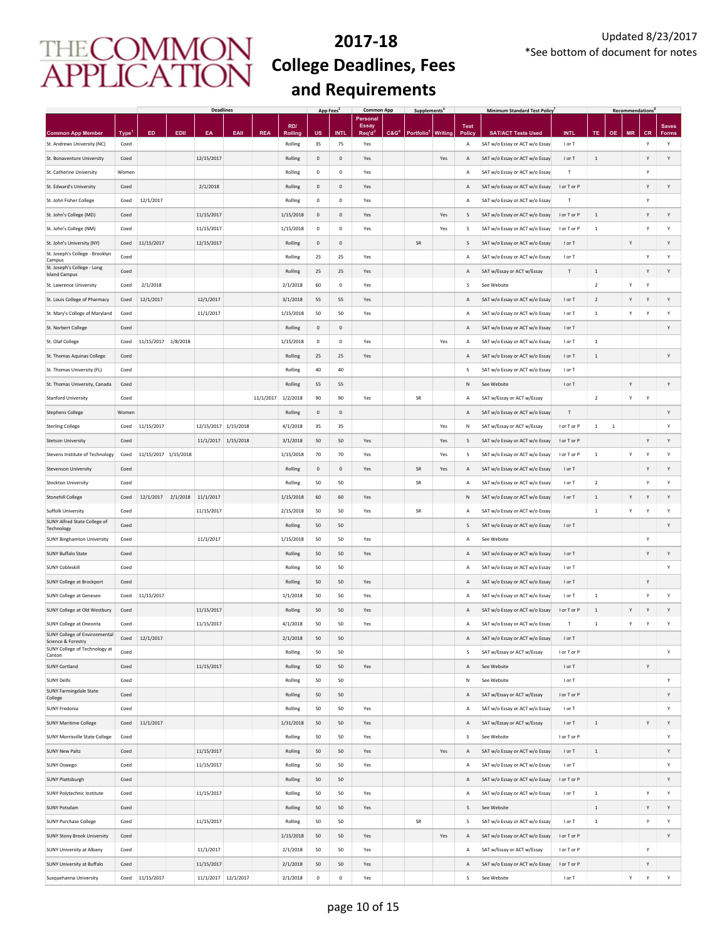|                                                                        |                           |                      |          | <b>Deadlines</b>     |      |            |                    | App Fees            |                     | <b>Common App</b>         | Supplements <sup>t</sup>                |                |                    | <b>Minimum Standard Test Policy</b>                          |                       |                |           | <b>Recommendations</b> |                |              |
|------------------------------------------------------------------------|---------------------------|----------------------|----------|----------------------|------|------------|--------------------|---------------------|---------------------|---------------------------|-----------------------------------------|----------------|--------------------|--------------------------------------------------------------|-----------------------|----------------|-----------|------------------------|----------------|--------------|
|                                                                        |                           |                      |          |                      |      |            | RD/                |                     |                     | Personal<br><b>Essay</b>  |                                         |                | <b>Test</b>        |                                                              |                       |                |           |                        |                | <b>Saves</b> |
| <b>Common App Member</b><br>St. Andrews University (NC)                | Type <sup>1</sup><br>Coed | ED.                  | EDII     | EA                   | EAII | <b>REA</b> | Rolling<br>Rolling | <b>US</b><br>35     | <b>INTL</b><br>75   | Req'd <sup>3</sup><br>Yes | C&G <sup>4</sup> Portfolio <sup>5</sup> | <b>Writing</b> | <b>Policy</b><br>Α | <b>SAT/ACT Tests Used</b><br>SAT w/o Essay or ACT w/o Essay  | <b>INTL</b><br>I or T | TE             | <b>OE</b> | <b>MR</b>              | <b>CR</b><br>Y | Forms<br>Υ   |
| St. Bonaventure University                                             | Coed                      |                      |          | 12/15/2017           |      |            | Rolling            | $\mathbf 0$         | $\mathbf 0$         | Yes                       |                                         | Yes            | A                  | SAT w/o Essay or ACT w/o Essay                               | I or T                | $\,$ 1         |           |                        | Y              | Υ            |
| St. Catherine University                                               | Women                     |                      |          |                      |      |            | Rolling            | 0                   | $\mathbf 0$         | Yes                       |                                         |                | А                  | SAT w/o Essay or ACT w/o Essay                               | T                     |                |           |                        | Y              |              |
| St. Edward's University                                                | Coed                      |                      |          | 2/1/2018             |      |            | Rolling            | $\mathsf{O}\xspace$ | $\mathbf{0}$        | Yes                       |                                         |                | A                  | SAT w/o Essay or ACT w/o Essay                               | I or T or P           |                |           |                        | $\mathsf{Y}$   | Y            |
| St. John Fisher College                                                | Coed                      | 12/1/2017            |          |                      |      |            | Rolling            | $\mathbf 0$         | $\mathsf{O}\xspace$ | Yes                       |                                         |                | А                  | SAT w/o Essay or ACT w/o Essay                               | T                     |                |           |                        | Y              |              |
| St. John's College (MD)                                                | Coed                      |                      |          | 11/15/2017           |      |            | 1/15/2018          | $\mathbf 0$         | $\mathbf{0}$        | Yes                       |                                         | Yes            | S                  | SAT w/o Essay or ACT w/o Essay                               | I or T or P           | $\mathbf{1}$   |           |                        | Y              | Y            |
| St. John's College (NM)                                                | Coed                      |                      |          | 11/15/2017           |      |            | 1/15/2018          | $^{\circ}$          | $\mathsf 0$         | Yes                       |                                         | Yes            | s                  | SAT w/o Essay or ACT w/o Essay                               | I or T or P           | $\,$ 1 $\,$    |           |                        | Y              | Y            |
| St. John's University (NY)                                             | Coed                      | 11/15/2017           |          | 12/15/2017           |      |            | Rolling            | $\mathbf{0}$        | $\mathsf{O}\xspace$ |                           | <b>SR</b>                               |                | S                  | SAT w/o Essay or ACT w/o Essay                               | I or T                |                |           | Υ                      |                | Y            |
| St. Joseph's College - Brooklyn                                        | Coed                      |                      |          |                      |      |            | Rolling            | 25                  | 25                  | Yes                       |                                         |                | $\overline{A}$     | SAT w/o Essay or ACT w/o Essay                               | I or T                |                |           |                        | Y              | Y            |
| Campus<br>St. Joseph's College - Long                                  | Coed                      |                      |          |                      |      |            | Rolling            | 25                  | 25                  | Yes                       |                                         |                | Α                  | SAT w/Essay or ACT w/Essay                                   | $\mathsf T$           | $\,$ 1 $\,$    |           |                        | Y              | Υ            |
| <b>Island Campus</b><br>St. Lawrence University                        | Coed                      | 2/1/2018             |          |                      |      |            | 2/1/2018           | 60                  | $\mathbf 0$         | Yes                       |                                         |                | s                  | See Website                                                  |                       | $\overline{2}$ |           | Y                      | Y              |              |
| St. Louis College of Pharmacy                                          | Coed                      | 12/1/2017            |          | 12/1/2017            |      |            | 3/1/2018           | 55                  | 55                  | Yes                       |                                         |                | Α                  | SAT w/o Essay or ACT w/o Essay                               | I or T                | $\overline{2}$ |           | Y                      | Y              | Y            |
| St. Mary's College of Maryland                                         | Coed                      |                      |          | 11/1/2017            |      |            | 1/15/2018          | 50                  | 50                  | Yes                       |                                         |                | А                  | SAT w/o Essay or ACT w/o Essay                               | I or T                | $\,$ 1 $\,$    |           | Y                      | Y              | Υ            |
| St. Norbert College                                                    | Coed                      |                      |          |                      |      |            | Rolling            | $\mathbf 0$         | $\mathbf 0$         |                           |                                         |                | A                  | SAT w/o Essay or ACT w/o Essay                               | I or T                |                |           |                        |                | Υ            |
| St. Olaf College                                                       | Coed                      | 11/15/2017           | 1/8/2018 |                      |      |            | 1/15/2018          | $\mathbf 0$         | $\mathsf{O}\xspace$ | Yes                       |                                         | Yes            | А                  | SAT w/o Essay or ACT w/o Essay                               | I or T                | $\,$ 1 $\,$    |           |                        |                |              |
| St. Thomas Aquinas College                                             | Coed                      |                      |          |                      |      |            | Rolling            | 25                  | 25                  | Yes                       |                                         |                | Α                  | SAT w/o Essay or ACT w/o Essay                               | I or T                | $\,$ 1 $\,$    |           |                        |                | Y            |
| St. Thomas University (FL)                                             | Coed                      |                      |          |                      |      |            | Rolling            | $40\,$              | $40\,$              |                           |                                         |                | s                  | SAT w/o Essay or ACT w/o Essay                               | I or T                |                |           |                        |                |              |
| St. Thomas University, Canada                                          | Coed                      |                      |          |                      |      |            | Rolling            | 55                  | 55                  |                           |                                         |                | N                  | See Website                                                  | I or T                |                |           | Υ                      |                | Y            |
|                                                                        |                           |                      |          |                      |      | 11/1/2017  | 1/2/2018           |                     |                     |                           |                                         |                |                    |                                                              |                       | $\sqrt{2}$     |           |                        | Y              |              |
| <b>Stanford University</b>                                             | Coed<br>Women             |                      |          |                      |      |            | Rolling            | 90<br>$\mathbf 0$   | 90<br>$\mathbb O$   | Yes                       | SR                                      |                | Α<br>A             | SAT w/Essay or ACT w/Essay                                   | $\mathsf T$           |                |           | Υ                      |                | Y            |
| <b>Stephens College</b>                                                |                           | 11/15/2017           |          |                      |      |            |                    | 35                  | 35                  |                           |                                         | Yes            |                    | SAT w/o Essay or ACT w/o Essay<br>SAT w/Essay or ACT w/Essay | I or T or P           | $\,$ 1 $\,$    | $\,1\,$   |                        |                | Y            |
| <b>Sterling College</b>                                                | Coed                      |                      |          | 12/15/2017 1/15/2018 |      |            | 4/1/2018           |                     |                     |                           |                                         |                | ${\sf N}$          |                                                              |                       |                |           |                        |                |              |
| <b>Stetson University</b>                                              | Coed                      |                      |          | 11/1/2017 1/15/2018  |      |            | 3/1/2018           | 50                  | 50                  | Yes                       |                                         | Yes            | S                  | SAT w/o Essay or ACT w/o Essay                               | I or T or P           |                |           |                        | Y              | Y            |
| Stevens Institute of Technology                                        | Coed                      | 11/15/2017 1/15/2018 |          |                      |      |            | 1/15/2018          | 70                  | 70                  | Yes                       |                                         | Yes            | s                  | SAT w/o Essay or ACT w/o Essay                               | I or T or P           | $\,$ 1 $\,$    |           | Y                      | Y              | Υ            |
| <b>Stevenson University</b>                                            | Coed                      |                      |          |                      |      |            | Rolling            | $\mathbf 0$         | $\mathsf{O}\xspace$ | Yes                       | <b>SR</b>                               | Yes            | A                  | SAT w/o Essay or ACT w/o Essay                               | I or T                |                |           |                        | Y              | Υ            |
| Stockton University                                                    | Coed                      |                      |          |                      |      |            | Rolling            | 50                  | 50                  |                           | SR                                      |                | А                  | SAT w/o Essay or ACT w/o Essay                               | I or T                | $\overline{2}$ |           |                        | Y              | Υ            |
| <b>Stonehill College</b>                                               | Coed                      | 12/1/2017            |          | 2/1/2018 11/1/2017   |      |            | 1/15/2018          | 60                  | 60                  | Yes                       |                                         |                | N                  | SAT w/o Essay or ACT w/o Essay                               | I or T                | $\,1\,$        |           | Y                      | Y              | Υ            |
| Suffolk University<br>SUNY Alfred State College of                     | Coed                      |                      |          | 11/15/2017           |      |            | 2/15/2018          | 50                  | 50                  | Yes                       | SR                                      |                | А                  | SAT w/o Essay or ACT w/o Essay                               |                       | $\,$ 1 $\,$    |           | Y                      | Y              | Υ            |
| Technology                                                             | Coed                      |                      |          |                      |      |            | Rolling            | 50                  | 50                  |                           |                                         |                | S                  | SAT w/o Essay or ACT w/o Essay                               | I or T                |                |           |                        |                | Υ            |
| <b>SUNY Binghamton University</b>                                      | Coed                      |                      |          | 11/1/2017            |      |            | 1/15/2018          | 50                  | 50                  | Yes                       |                                         |                | Α                  | See Website                                                  |                       |                |           |                        | Y              |              |
| <b>SUNY Buffalo State</b>                                              | Coed                      |                      |          |                      |      |            | Rolling            | 50                  | 50                  | Yes                       |                                         |                | A                  | SAT w/o Essay or ACT w/o Essay                               | I or T                |                |           |                        | Y              | Υ            |
| <b>SUNY Cobleskill</b>                                                 | Coed                      |                      |          |                      |      |            | Rolling            | 50                  | 50                  |                           |                                         |                | А                  | SAT w/o Essay or ACT w/o Essay                               | I or T                |                |           |                        |                | Υ            |
| <b>SUNY College at Brockport</b>                                       | Coed                      |                      |          |                      |      |            | Rolling            | 50                  | 50                  | Yes                       |                                         |                | $\overline{A}$     | SAT w/o Essay or ACT w/o Essay                               | I or T                |                |           |                        | Y              |              |
| <b>SUNY College at Geneseo</b>                                         | Coed                      | 11/15/2017           |          |                      |      |            | 1/1/2018           | 50                  | 50                  | Yes                       |                                         |                | $\overline{A}$     | SAT w/o Essay or ACT w/o Essay                               | I or T                | $\,$ 1 $\,$    |           |                        | Y              | Y            |
| SUNY College at Old Westbury                                           | Coed                      |                      |          | 11/15/2017           |      |            | Rolling            | 50                  | 50                  | Yes                       |                                         |                | $\overline{A}$     | SAT w/o Essay or ACT w/o Essay                               | I or T or P           | $\mathbf{1}$   |           | Υ                      | $\mathsf{Y}$   | Y            |
| <b>SUNY College at Oneonta</b><br><b>SUNY College of Environmental</b> | Coed                      |                      |          | 11/15/2017           |      |            | 4/1/2018           | 50                  | 50                  | Yes                       |                                         |                | Α                  | SAT w/o Essay or ACT w/o Essay                               | T                     | $1\,$          |           | Y                      | Y              | Υ            |
| Science & Forestry<br>SUNY College of Technology at                    | Coed                      | 12/1/2017            |          |                      |      |            | 2/1/2018           | 50                  | 50                  |                           |                                         |                | Α                  | SAT w/o Essay or ACT w/o Essay                               | I or T                |                |           |                        |                |              |
| Canton                                                                 | Coed                      |                      |          |                      |      |            | Rolling            | 50                  | 50                  |                           |                                         |                | s                  | SAT w/Essay or ACT w/Essay                                   | I or T or P           |                |           |                        |                | Υ            |
| <b>SUNY Cortland</b>                                                   | Coed                      |                      |          | 11/15/2017           |      |            | Rolling            | 50                  | 50                  | Yes                       |                                         |                | Α                  | See Website                                                  | I or T                |                |           |                        | Y              |              |
| <b>SUNY Delhi</b><br>SUNY Farmingdale State                            | Coed                      |                      |          |                      |      |            | Rolling            | 50                  | 50                  |                           |                                         |                | N                  | See Website                                                  | I or T                |                |           |                        |                | Y            |
| College                                                                | Coed                      |                      |          |                      |      |            | Rolling            | 50                  | 50                  |                           |                                         |                | A                  | SAT w/Essay or ACT w/Essay                                   | I or T or P           |                |           |                        |                | Υ            |
| SUNY Fredonia                                                          | Coed                      |                      |          |                      |      |            | Rolling            | 50                  | 50                  | Yes                       |                                         |                | A                  | SAT w/o Essay or ACT w/o Essay                               | I or T                |                |           |                        |                | Υ            |
| <b>SUNY Maritime College</b>                                           | Coed                      | 11/1/2017            |          |                      |      |            | 1/31/2018          | 50                  | 50                  | Yes                       |                                         |                | A                  | SAT w/Essay or ACT w/Essay                                   | I or T                | $\,$ 1 $\,$    |           |                        | Y              | Y            |
| <b>SUNY Morrisville State College</b>                                  | Coed                      |                      |          |                      |      |            | Rolling            | 50                  | 50                  | Yes                       |                                         |                | s                  | See Website                                                  | I or T or P           |                |           |                        |                | Υ            |
| <b>SUNY New Paltz</b>                                                  | Coed                      |                      |          | 11/15/2017           |      |            | Rolling            | 50                  | 50                  | Yes                       |                                         | Yes            | Α                  | SAT w/o Essay or ACT w/o Essay                               | I or T                | $\,$ 1 $\,$    |           |                        |                | Y            |
| <b>SUNY Oswego</b>                                                     | Coed                      |                      |          | 11/15/2017           |      |            | Rolling            | 50                  | 50                  | Yes                       |                                         |                | A                  | SAT w/o Essay or ACT w/o Essay                               | I or T                |                |           |                        |                | Y            |
| <b>SUNY Plattsburgh</b>                                                | Coed                      |                      |          |                      |      |            | Rolling            | 50                  | 50                  |                           |                                         |                | A                  | SAT w/o Essay or ACT w/o Essay                               | I or T or P           |                |           |                        |                | Y            |
| <b>SUNY Polytechnic Institute</b>                                      | Coed                      |                      |          | 11/15/2017           |      |            | Rolling            | 50                  | 50                  | Yes                       |                                         |                | A                  | SAT w/o Essay or ACT w/o Essay                               | I or T                | $\,$ 1 $\,$    |           |                        | Y              | Y            |
| <b>SUNY Potsdam</b>                                                    | Coed                      |                      |          |                      |      |            | Rolling            | 50                  | 50                  | Yes                       |                                         |                | S                  | See Website                                                  |                       | $\,$ 1 $\,$    |           |                        | Y              | Y            |
| <b>SUNY Purchase College</b>                                           | Coed                      |                      |          | 11/15/2017           |      |            | Rolling            | 50                  | 50                  |                           | SR                                      |                | s                  | SAT w/o Essay or ACT w/o Essay                               | I or T                | $\,$ 1 $\,$    |           |                        | Y              | Y            |
| <b>SUNY Stony Brook University</b>                                     | Coed                      |                      |          |                      |      |            | 1/15/2018          | 50                  | 50                  | Yes                       |                                         | Yes            | Α                  | SAT w/o Essay or ACT w/o Essay                               | I or T or P           |                |           |                        |                | Y            |
| <b>SUNY University at Albany</b>                                       | Coed                      |                      |          | 11/1/2017            |      |            | 2/1/2018           | 50                  | 50                  | Yes                       |                                         |                | А                  | SAT w/Essay or ACT w/Essay                                   | I or T or P           |                |           |                        | Y              |              |
| SUNY University at Buffalo                                             | Coed                      |                      |          | 11/15/2017           |      |            | 2/1/2018           | 50                  | 50                  | Yes                       |                                         |                | Α                  | SAT w/o Essay or ACT w/o Essay                               | I or T or P           |                |           |                        | Y              |              |
| Susquehanna University                                                 |                           | Coed 11/15/2017      |          | 11/1/2017 12/1/2017  |      |            | 2/1/2018           | $\mathbf 0$         | $\mathbf 0$         | Yes                       |                                         |                | S                  | See Website                                                  | I or T                |                |           | Υ                      | Y              | $\mathsf Y$  |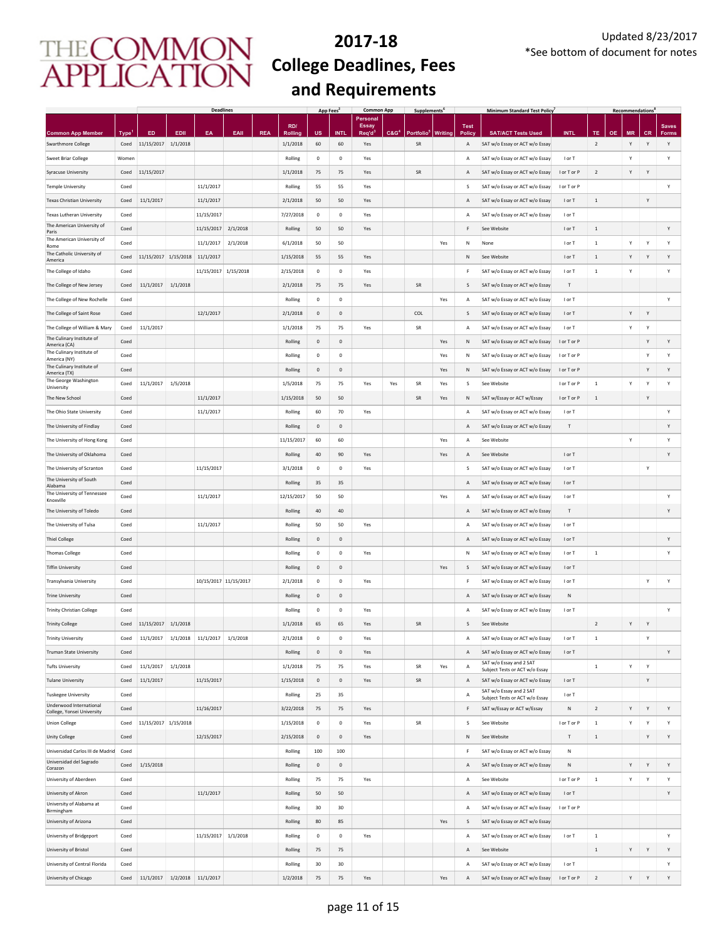|                                                             |                     |                                |                  | <b>Deadlines</b>      |          |            |                            | App Fees            |                     | <b>Common App</b>        |                  | Supplements <sup>t</sup>     |                |                         | <b>Minimum Standard Test Policy</b>                         |             |                      |           | <b>Recommendations</b> |                |              |
|-------------------------------------------------------------|---------------------|--------------------------------|------------------|-----------------------|----------|------------|----------------------------|---------------------|---------------------|--------------------------|------------------|------------------------------|----------------|-------------------------|-------------------------------------------------------------|-------------|----------------------|-----------|------------------------|----------------|--------------|
|                                                             |                     |                                |                  |                       |          |            | RD/                        |                     |                     | Personal<br><b>Essay</b> |                  |                              |                | <b>Test</b>             |                                                             |             |                      |           |                        |                | <b>Saves</b> |
| <b>Common App Member</b><br><b>Swarthmore College</b>       | <b>Type</b><br>Coed | ED<br>11/15/2017               | EDII<br>1/1/2018 | EA                    | EAII     | <b>REA</b> | <b>Rolling</b><br>1/1/2018 | US<br>60            | <b>INTL</b><br>60   | Req'd<br>Yes             | C&G <sup>4</sup> | Portfolio <sup>t</sup><br>SR | <b>Writing</b> | Polic <sub>1</sub><br>Α | <b>SAT/ACT Tests Used</b><br>SAT w/o Essay or ACT w/o Essay | <b>INTL</b> | TE<br>$\overline{2}$ | <b>OE</b> | <b>MR</b><br>Y         | <b>CR</b><br>Y | Forms<br>Y   |
| <b>Sweet Briar College</b>                                  | Women               |                                |                  |                       |          |            | Rolling                    | 0                   | $\mathbf 0$         | Yes                      |                  |                              |                | А                       | SAT w/o Essay or ACT w/o Essay                              | I or T      |                      |           | Y                      |                | Υ            |
| <b>Syracuse University</b>                                  | Coed                | 11/15/2017                     |                  |                       |          |            | 1/1/2018                   | 75                  | 75                  | Yes                      |                  | SR                           |                | Α                       | SAT w/o Essay or ACT w/o Essay                              | I or T or P | $\overline{2}$       |           | Y                      | Y              |              |
| <b>Temple University</b>                                    | Coed                |                                |                  | 11/1/2017             |          |            | Rolling                    | 55                  | 55                  | Yes                      |                  |                              |                | s                       | SAT w/o Essay or ACT w/o Essay                              | I or T or P |                      |           |                        |                | Υ            |
| <b>Texas Christian University</b>                           | Coed                | 11/1/2017                      |                  | 11/1/2017             |          |            | 2/1/2018                   | 50                  | 50                  | Yes                      |                  |                              |                | Α                       | SAT w/o Essay or ACT w/o Essay                              | I or T      | $\,$ 1               |           |                        | $\mathsf{Y}$   |              |
| Texas Lutheran University                                   | Coed                |                                |                  | 11/15/2017            |          |            | 7/27/2018                  | $\mathbf 0$         | $\mathsf{O}\xspace$ | Yes                      |                  |                              |                | Α                       | SAT w/o Essay or ACT w/o Essay                              | I or T      |                      |           |                        |                |              |
| The American University of                                  | Coed                |                                |                  | 11/15/2017            | 2/1/2018 |            | Rolling                    | 50                  | 50                  | Yes                      |                  |                              |                | F                       | See Website                                                 | I or T      | $\mathbf{1}$         |           |                        |                | Y            |
| Paris<br>The American University of                         | Coed                |                                |                  | 11/1/2017             | 2/1/2018 |            | 6/1/2018                   | 50                  | 50                  |                          |                  |                              | Yes            | N                       | None                                                        | I or T      | $\,$ 1 $\,$          |           | Υ                      | Y              | Y            |
| Rome<br>The Catholic University of                          | Coed                | 11/15/2017 1/15/2018 11/1/2017 |                  |                       |          |            | 1/15/2018                  | 55                  | 55                  | Yes                      |                  |                              |                | N                       | See Website                                                 | I or T      | $\,$ 1 $\,$          |           | Y                      | Y              | Y            |
| America<br>The College of Idaho                             | Coed                |                                |                  | 11/15/2017 1/15/2018  |          |            | 2/15/2018                  | 0                   | $\mathbf 0$         | Yes                      |                  |                              |                | F                       | SAT w/o Essay or ACT w/o Essay                              | I or T      | $\,$ 1 $\,$          |           | Y                      |                | Υ            |
| The College of New Jersey                                   | Coed                | 11/1/2017                      | 1/1/2018         |                       |          |            | 2/1/2018                   | 75                  | 75                  | Yes                      |                  | SR                           |                | s                       | SAT w/o Essay or ACT w/o Essay                              | T           |                      |           |                        |                |              |
| The College of New Rochelle                                 | Coed                |                                |                  |                       |          |            | Rolling                    | 0                   | $\mathsf{O}\xspace$ |                          |                  |                              | Yes            | Α                       | SAT w/o Essay or ACT w/o Essay                              | I or T      |                      |           |                        |                | Υ            |
| The College of Saint Rose                                   | Coed                |                                |                  | 12/1/2017             |          |            | 2/1/2018                   | $\mathbf 0$         | $\mathbf 0$         |                          |                  | COL                          |                | S                       | SAT w/o Essay or ACT w/o Essay                              | I or T      |                      |           | Υ                      | $\mathsf{Y}$   |              |
| The College of William & Mary                               | Coed                | 11/1/2017                      |                  |                       |          |            | 1/1/2018                   | 75                  | 75                  | Yes                      |                  | SR                           |                | А                       | SAT w/o Essay or ACT w/o Essay                              | I or T      |                      |           | Y                      | Y              |              |
| The Culinary Institute of                                   | Coed                |                                |                  |                       |          |            | Rolling                    | $\mathbf 0$         | $\mathbf 0$         |                          |                  |                              | Yes            | N                       | SAT w/o Essay or ACT w/o Essay                              | I or T or P |                      |           |                        | Y              | Y            |
| America (CA)<br>The Culinary Institute of                   | Coed                |                                |                  |                       |          |            | Rolling                    | 0                   | $\mathbf 0$         |                          |                  |                              | Yes            | N                       | SAT w/o Essay or ACT w/o Essay                              | I or T or P |                      |           |                        | Y              | Υ            |
| America (NY)<br>The Culinary Institute of                   | Coed                |                                |                  |                       |          |            | Rolling                    | 0                   | $\mathsf{O}\xspace$ |                          |                  |                              |                | N                       |                                                             |             |                      |           |                        | Y              | Y            |
| America (TX)<br>The George Washington                       |                     |                                | 1/5/2018         |                       |          |            |                            |                     |                     |                          |                  |                              | Yes            |                         | SAT w/o Essay or ACT w/o Essay                              | I or T or P |                      |           | Υ                      |                | Υ            |
| University                                                  | Coed                | 11/1/2017                      |                  |                       |          |            | 1/5/2018                   | 75                  | 75                  | Yes                      | Yes              | SR                           | Yes            | s                       | See Website                                                 | I or T or P | $\,$ 1               |           |                        | Y              |              |
| The New School                                              | Coed                |                                |                  | 11/1/2017             |          |            | 1/15/2018                  | 50                  | 50                  |                          |                  | SR                           | Yes            | Ν                       | SAT w/Essay or ACT w/Essay                                  | I or T or P | $\mathbf{1}$         |           |                        | Y              |              |
| The Ohio State University                                   | Coed                |                                |                  | 11/1/2017             |          |            | Rolling                    | 60                  | 70                  | Yes                      |                  |                              |                | А                       | SAT w/o Essay or ACT w/o Essay                              | I or T      |                      |           |                        |                | Υ            |
| The University of Findlay                                   | Coed                |                                |                  |                       |          |            | Rolling                    | $\mathbf 0$         | $\mathsf{O}\xspace$ |                          |                  |                              |                | Α                       | SAT w/o Essay or ACT w/o Essay                              | $\top$      |                      |           |                        |                | Y            |
| The University of Hong Kong                                 | Coed                |                                |                  |                       |          |            | 11/15/2017                 | 60                  | 60                  |                          |                  |                              | Yes            | Α                       | See Website                                                 |             |                      |           | Y                      |                | Y            |
| The University of Oklahoma                                  | Coed                |                                |                  |                       |          |            | Rolling                    | 40                  | 90                  | Yes                      |                  |                              | Yes            | Α                       | See Website                                                 | I or T      |                      |           |                        |                | Y            |
| The University of Scranton<br>The University of South       | Coed                |                                |                  | 11/15/2017            |          |            | 3/1/2018                   | $\mathbf 0$         | $\mathbf 0$         | Yes                      |                  |                              |                | S                       | SAT w/o Essay or ACT w/o Essay                              | I or T      |                      |           |                        | Y              |              |
| Alabama<br>The University of Tennessee                      | Coed                |                                |                  |                       |          |            | Rolling                    | 35                  | 35                  |                          |                  |                              |                | Α                       | SAT w/o Essay or ACT w/o Essay                              | I or T      |                      |           |                        |                |              |
| Knoxville                                                   | Coed                |                                |                  | 11/1/2017             |          |            | 12/15/2017                 | 50                  | 50                  |                          |                  |                              | Yes            | Α                       | SAT w/o Essay or ACT w/o Essay                              | I or T      |                      |           |                        |                | Y            |
| The University of Toledo                                    | Coed                |                                |                  |                       |          |            | Rolling                    | 40                  | 40                  |                          |                  |                              |                | Α                       | SAT w/o Essay or ACT w/o Essay                              | $\sf T$     |                      |           |                        |                | Y            |
| The University of Tulsa                                     | Coed                |                                |                  | 11/1/2017             |          |            | Rolling                    | 50                  | 50                  | Yes                      |                  |                              |                | А                       | SAT w/o Essay or ACT w/o Essay                              | I or T      |                      |           |                        |                |              |
| <b>Thiel College</b>                                        | Coed                |                                |                  |                       |          |            | Rolling                    | $\mathbf 0$         | $\mathbf 0$         |                          |                  |                              |                | Α                       | SAT w/o Essay or ACT w/o Essay                              | I or T      |                      |           |                        |                | Υ            |
| <b>Thomas College</b>                                       | Coed                |                                |                  |                       |          |            | Rolling                    | 0                   | $\mathbf 0$         | Yes                      |                  |                              |                | N                       | SAT w/o Essay or ACT w/o Essay                              | I or T      | $\,$ 1 $\,$          |           |                        |                | Υ            |
| <b>Tiffin University</b>                                    | Coed                |                                |                  |                       |          |            | Rolling                    | $\mathbf 0$         | $\mathbf 0$         |                          |                  |                              | Yes            | S                       | SAT w/o Essay or ACT w/o Essay                              | I or T      |                      |           |                        |                |              |
| Transylvania University                                     | Coed                |                                |                  | 10/15/2017 11/15/2017 |          |            | 2/1/2018                   | $\mathbf 0$         | $\mathsf{O}\xspace$ | Yes                      |                  |                              |                | F                       | SAT w/o Essay or ACT w/o Essay                              | I or T      |                      |           |                        | Y              | Y            |
| <b>Trine University</b>                                     | Coed                |                                |                  |                       |          |            | Rolling                    | $\mathbf{0}$        | $\mathsf{O}\xspace$ |                          |                  |                              |                | Α                       | SAT w/o Essay or ACT w/o Essay                              | ${\sf N}$   |                      |           |                        |                |              |
| <b>Trinity Christian College</b>                            | Coed                |                                |                  |                       |          |            | Rolling                    | $^{\circ}$          | $\mathbf 0$         | Yes                      |                  |                              |                | Α                       | SAT w/o Essay or ACT w/o Essay                              | I or T      |                      |           |                        |                | Y            |
| <b>Trinity College</b>                                      | Coed                | 11/15/2017                     | 1/1/2018         |                       |          |            | 1/1/2018                   | 65                  | 65                  | Yes                      |                  | SR                           |                | S                       | See Website                                                 |             | $\sqrt{2}$           |           | Υ                      | Y              |              |
| <b>Trinity University</b>                                   | Coed                | 11/1/2017                      |                  | 1/1/2018 11/1/2017    | 1/1/2018 |            | 2/1/2018                   | $\mathbf 0$         | $\mathbf 0$         | Yes                      |                  |                              |                | $\overline{A}$          | SAT w/o Essay or ACT w/o Essay                              | I or T      | $\mathbf{1}$         |           |                        | Y              |              |
| Truman State University                                     | Coed                |                                |                  |                       |          |            | Rolling                    | $\mathbf 0$         | $\mathbf 0$         | Yes                      |                  |                              |                | Α                       | SAT w/o Essay or ACT w/o Essay<br>SAT w/o Essay and 2 SAT   | I or T      |                      |           |                        |                | Y            |
| <b>Tufts University</b>                                     | Coed                | 11/1/2017                      | 1/1/2018         |                       |          |            | 1/1/2018                   | 75                  | 75                  | Yes                      |                  | SR                           | Yes            | Α                       | Subject Tests or ACT w/o Essay                              |             | $\,$ 1 $\,$          |           | Υ                      | Y              |              |
| <b>Tulane University</b>                                    | Coed                | 11/1/2017                      |                  | 11/15/2017            |          |            | 1/15/2018                  | $\mathbf 0$         | $\mathbf 0$         | Yes                      |                  | SR                           |                | Α                       | SAT w/o Essay or ACT w/o Essay<br>SAT w/o Essay and 2 SAT   | I or T      |                      |           |                        | Y              |              |
| <b>Tuskegee University</b><br>Underwood International       | Coed                |                                |                  |                       |          |            | Rolling                    | 25                  | 35                  |                          |                  |                              |                | А                       | Subject Tests or ACT w/o Essay                              | I or T      |                      |           |                        |                |              |
| College, Yonsei University                                  | Coed                |                                |                  | 11/16/2017            |          |            | 3/22/2018                  | 75                  | 75                  | Yes                      |                  |                              |                | F                       | SAT w/Essay or ACT w/Essay                                  | N           | $\overline{2}$       |           | Y                      | Y              | Υ            |
| <b>Union College</b>                                        | Coed                | 11/15/2017 1/15/2018           |                  |                       |          |            | 1/15/2018                  | $\mathbf 0$         | $\mathbf 0$         | Yes                      |                  | SR                           |                | s                       | See Website                                                 | I or T or P | $\,$ 1 $\,$          |           | Y                      | Y              | Υ            |
| <b>Unity College</b>                                        | Coed                |                                |                  | 12/15/2017            |          |            | 2/15/2018                  | $\mathbf 0$         | $\mathbf 0$         | Yes                      |                  |                              |                | Ν                       | See Website                                                 | T           | $\mathbf{1}$         |           |                        | Y              | Υ            |
| Universidad Carlos III de Madrid<br>Universidad del Sagrado | Coed                |                                |                  |                       |          |            | Rolling                    | 100                 | 100                 |                          |                  |                              |                | F                       | SAT w/o Essay or ACT w/o Essay                              | N           |                      |           |                        |                |              |
| Corazon                                                     | Coed                | 1/15/2018                      |                  |                       |          |            | Rolling                    | $\mathsf{O}\xspace$ | $\mathsf{O}\xspace$ |                          |                  |                              |                | Α                       | SAT w/o Essay or ACT w/o Essay                              | ${\sf N}$   |                      |           | Y                      | Y              | Υ            |
| University of Aberdeen                                      | Coed                |                                |                  |                       |          |            | Rolling                    | 75                  | 75                  | Yes                      |                  |                              |                | А                       | See Website                                                 | I or T or P | $\,$ 1 $\,$          |           | Y                      | Y              | Y            |
| University of Akron<br>University of Alabama at             | Coed                |                                |                  | 11/1/2017             |          |            | Rolling                    | 50                  | 50                  |                          |                  |                              |                | Α                       | SAT w/o Essay or ACT w/o Essay                              | I or T      |                      |           |                        |                | Y            |
| Birmingham                                                  | Coed                |                                |                  |                       |          |            | Rolling                    | 30                  | 30                  |                          |                  |                              |                | А                       | SAT w/o Essay or ACT w/o Essay                              | I or T or P |                      |           |                        |                |              |
| University of Arizona                                       | Coed                |                                |                  |                       |          |            | Rolling                    | $80\,$              | 85                  |                          |                  |                              | Yes            | S                       | SAT w/o Essay or ACT w/o Essay                              |             |                      |           |                        |                |              |
| University of Bridgeport                                    | Coed                |                                |                  | 11/15/2017 1/1/2018   |          |            | Rolling                    | 0                   | $\mathbf 0$         | Yes                      |                  |                              |                | А                       | SAT w/o Essay or ACT w/o Essay                              | I or T      | $\,$ 1 $\,$          |           |                        |                | Υ            |
| University of Bristol                                       | Coed                |                                |                  |                       |          |            | Rolling                    | 75                  | 75                  |                          |                  |                              |                | Α                       | See Website                                                 |             | $\,1\,$              |           | Y                      | Y              | Y            |
| University of Central Florida                               | Coed                |                                |                  |                       |          |            | Rolling                    | 30                  | 30                  |                          |                  |                              |                | А                       | SAT w/o Essay or ACT w/o Essay                              | I or T      |                      |           |                        |                | Y            |
| University of Chicago                                       | Coed                | 11/1/2017                      |                  | $1/2/2018$ 11/1/2017  |          |            | 1/2/2018                   | 75                  | 75                  | Yes                      |                  |                              | Yes            | Α                       | SAT w/o Essay or ACT w/o Essay                              | I or T or P | $\overline{2}$       |           | Y                      | Y              | Υ            |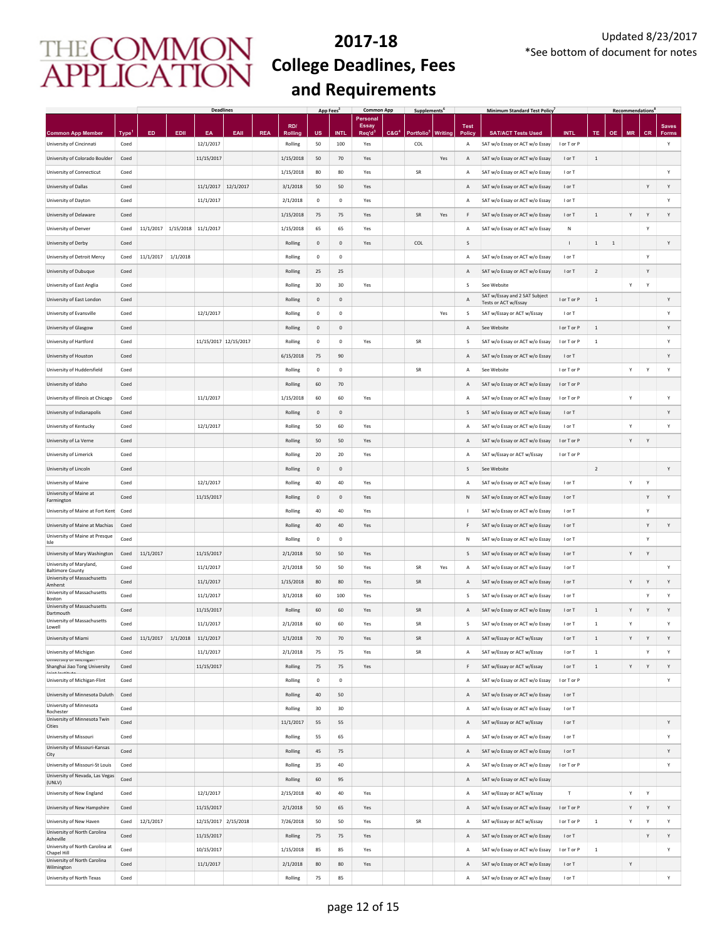|                                                                  |                           |           |                     | <b>Deadlines</b>       |      |            |                           | App Fees <sup>2</sup> |                     | <b>Common App</b>        |                    | Supplements <sup>t</sup>             |         |                     | <b>Minimum Standard Test Policy</b>                              |                            |                |           | <b>Recommendations</b> |              |              |
|------------------------------------------------------------------|---------------------------|-----------|---------------------|------------------------|------|------------|---------------------------|-----------------------|---------------------|--------------------------|--------------------|--------------------------------------|---------|---------------------|------------------------------------------------------------------|----------------------------|----------------|-----------|------------------------|--------------|--------------|
|                                                                  |                           |           |                     |                        |      |            | RD/                       |                       |                     | Personal<br><b>Essay</b> |                    |                                      |         | <b>Test</b>         |                                                                  |                            |                |           |                        |              | <b>Saves</b> |
| <b>Common App Member</b><br>University of Cincinnati             | Type <sup>1</sup><br>Coed | ED        | EDII                | EA<br>12/1/2017        | EAII | <b>REA</b> | <b>Rolling</b><br>Rolling | <b>US</b><br>50       | <b>INTL</b><br>100  | Req'd<br>Yes             | C & G <sup>4</sup> | <b>Portfolio</b> <sup>5</sup><br>COL | Writing | Policy<br>А         | <b>SAT/ACT Tests Used</b><br>SAT w/o Essay or ACT w/o Essay      | <b>INTL</b><br>I or T or P | TE.            | <b>OE</b> | <b>MR</b>              | <b>CR</b>    | Forms<br>Y   |
| University of Colorado Boulder                                   | Coed                      |           |                     | 11/15/2017             |      |            | 1/15/2018                 | 50                    | 70                  | Yes                      |                    |                                      | Yes     | Α                   | SAT w/o Essay or ACT w/o Essay                                   | I or T                     | $\,$ 1         |           |                        |              |              |
| University of Connecticut                                        | Coed                      |           |                     |                        |      |            | 1/15/2018                 | 80                    | 80                  | Yes                      |                    | SR                                   |         | Α                   | SAT w/o Essay or ACT w/o Essay                                   | I or T                     |                |           |                        |              | Υ            |
| University of Dallas                                             | Coed                      |           |                     | 11/1/2017 12/1/2017    |      |            | 3/1/2018                  | 50                    | 50                  | Yes                      |                    |                                      |         | Α                   | SAT w/o Essay or ACT w/o Essay                                   | I or T                     |                |           |                        | Υ            | Υ            |
| University of Dayton                                             | Coed                      |           |                     | 11/1/2017              |      |            | 2/1/2018                  | $\mathbf 0$           | $\mathbf 0$         | Yes                      |                    |                                      |         | Α                   | SAT w/o Essay or ACT w/o Essay                                   | I or T                     |                |           |                        |              | Y            |
| University of Delaware                                           | Coed                      |           |                     |                        |      |            | 1/15/2018                 | 75                    | 75                  | Yes                      |                    | <b>SR</b>                            | Yes     | F                   | SAT w/o Essay or ACT w/o Essay                                   | I or T                     | $\,$ 1 $\,$    |           | Υ                      | $\mathsf Y$  | Υ            |
| University of Denver                                             | Coed                      | 11/1/2017 | 1/15/2018 11/1/2017 |                        |      |            | 1/15/2018                 | 65                    | 65                  | Yes                      |                    |                                      |         | А                   | SAT w/o Essay or ACT w/o Essay                                   | N                          |                |           |                        | Y            |              |
| University of Derby                                              | Coed                      |           |                     |                        |      |            | Rolling                   | $\mathbf{0}$          | $\mathsf 0$         | Yes                      |                    | COL                                  |         | $\mathsf S$         |                                                                  | $\overline{1}$             | $\,$ 1 $\,$    | $\,$ 1    |                        |              | Y            |
| University of Detroit Mercy                                      | Coed                      | 11/1/2017 | 1/1/2018            |                        |      |            | Rolling                   | $\mathbf 0$           | $\mathbf 0$         |                          |                    |                                      |         | $\overline{A}$      | SAT w/o Essay or ACT w/o Essay                                   | I or T                     |                |           |                        | Y            |              |
| University of Dubuque                                            | Coed                      |           |                     |                        |      |            | Rolling                   | 25                    | 25                  |                          |                    |                                      |         | Α                   | SAT w/o Essay or ACT w/o Essay                                   | I or T                     | $\overline{2}$ |           |                        | Υ            |              |
| University of East Anglia                                        | Coed                      |           |                     |                        |      |            | Rolling                   | 30                    | 30                  | Yes                      |                    |                                      |         | s                   | See Website                                                      |                            |                |           | Y                      | Y            |              |
| University of East London                                        | Coed                      |           |                     |                        |      |            | Rolling                   | $\mathbf 0$           | $\mathsf{O}\xspace$ |                          |                    |                                      |         | A                   | SAT w/Essay and 2 SAT Subject                                    | I or T or P                | $\,$ 1 $\,$    |           |                        |              | Y            |
| University of Evansville                                         | Coed                      |           |                     | 12/1/2017              |      |            | Rolling                   | $\mathbf 0$           | $\mathbf 0$         |                          |                    |                                      | Yes     | s                   | Tests or ACT w/Essay<br>SAT w/Essay or ACT w/Essay               | I or T                     |                |           |                        |              | Υ            |
| University of Glasgow                                            | Coed                      |           |                     |                        |      |            | Rolling                   | $\mathbf 0$           | $\mathsf{O}\xspace$ |                          |                    |                                      |         | А                   | See Website                                                      | I or T or P                | $\,$ 1         |           |                        |              | Υ            |
| University of Hartford                                           | Coed                      |           |                     | 11/15/2017 12/15/2017  |      |            | Rolling                   | $\mathbf 0$           | $\mathbf 0$         | Yes                      |                    | SR                                   |         | s                   | SAT w/o Essay or ACT w/o Essay                                   | I or T or P                | $\,$ 1 $\,$    |           |                        |              | Y            |
| University of Houston                                            | Coed                      |           |                     |                        |      |            | 6/15/2018                 | 75                    | 90                  |                          |                    |                                      |         | Α                   | SAT w/o Essay or ACT w/o Essay                                   | I or T                     |                |           |                        |              | Υ            |
| University of Huddersfield                                       | Coed                      |           |                     |                        |      |            | Rolling                   | $\mathbf 0$           | $\,0\,$             |                          |                    | ${\sf SR}$                           |         | Α                   | See Website                                                      | I or T or P                |                |           | Υ                      | Υ            | Y            |
| University of Idaho                                              | Coed                      |           |                     |                        |      |            | Rolling                   | 60                    | 70                  |                          |                    |                                      |         | Α                   | SAT w/o Essay or ACT w/o Essay                                   | I or T or P                |                |           |                        |              |              |
| University of Illinois at Chicago                                | Coed                      |           |                     | 11/1/2017              |      |            | 1/15/2018                 | 60                    | 60                  | Yes                      |                    |                                      |         | A                   | SAT w/o Essay or ACT w/o Essay                                   | I or T or P                |                |           | Υ                      |              | Υ            |
| University of Indianapolis                                       | Coed                      |           |                     |                        |      |            | Rolling                   | $\mathbf 0$           | $\mathsf 0$         |                          |                    |                                      |         | s                   | SAT w/o Essay or ACT w/o Essay                                   | I or T                     |                |           |                        |              | Y            |
| University of Kentucky                                           | Coed                      |           |                     | 12/1/2017              |      |            | Rolling                   | 50                    | 60                  | Yes                      |                    |                                      |         | $\mathsf{A}$        | SAT w/o Essay or ACT w/o Essay                                   | I or T                     |                |           | Y                      |              | Y            |
| University of La Verne                                           | Coed                      |           |                     |                        |      |            | Rolling                   | 50                    | 50                  | Yes                      |                    |                                      |         | A                   | SAT w/o Essay or ACT w/o Essay                                   | I or T or P                |                |           | Υ                      | Υ            |              |
| University of Limerick                                           | Coed                      |           |                     |                        |      |            | Rolling                   | 20                    | 20                  | Yes                      |                    |                                      |         | A                   | SAT w/Essay or ACT w/Essay                                       | I or T or P                |                |           |                        |              |              |
| University of Lincoln                                            | Coed                      |           |                     |                        |      |            | Rolling                   | $\mathbf 0$           | $\mathsf{O}\xspace$ |                          |                    |                                      |         | s                   | See Website                                                      |                            | $\overline{2}$ |           |                        |              | Υ            |
| University of Maine                                              | Coed                      |           |                     | 12/1/2017              |      |            | Rolling                   | 40                    | 40                  | Yes                      |                    |                                      |         | Α                   | SAT w/o Essay or ACT w/o Essay                                   | I or T                     |                |           | Y                      | Y            |              |
| University of Maine at                                           | Coed                      |           |                     | 11/15/2017             |      |            | Rolling                   | 0                     | $\mathsf{O}\xspace$ | Yes                      |                    |                                      |         | Ν                   | SAT w/o Essay or ACT w/o Essay                                   | I or T                     |                |           |                        | Υ            | Υ            |
| Farmington                                                       | Coed                      |           |                     |                        |      |            | Rolling                   | 40                    | 40                  | Yes                      |                    |                                      |         | J.                  |                                                                  | I or T                     |                |           |                        | Υ            |              |
| University of Maine at Fort Kent                                 | Coed                      |           |                     |                        |      |            | Rolling                   | 40                    | 40                  | Yes                      |                    |                                      |         | F                   | SAT w/o Essay or ACT w/o Essay                                   | I or T                     |                |           |                        | Υ            | Υ            |
| University of Maine at Machias<br>University of Maine at Presque | Coed                      |           |                     |                        |      |            | Rolling                   | $\mathbf 0$           | $\mathbf 0$         |                          |                    |                                      |         | N                   | SAT w/o Essay or ACT w/o Essay<br>SAT w/o Essay or ACT w/o Essay | I or T                     |                |           |                        | Y            |              |
| Isle                                                             |                           | 11/1/2017 |                     | 11/15/2017             |      |            |                           | 50                    |                     |                          |                    |                                      |         |                     |                                                                  |                            |                |           |                        | Υ            |              |
| University of Mary Washington<br>University of Maryland,         | Coed                      |           |                     |                        |      |            | 2/1/2018                  |                       | 50                  | Yes                      |                    |                                      |         | S                   | SAT w/o Essay or ACT w/o Essay                                   | I or T                     |                |           | Y                      |              |              |
| <b>Baltimore County</b><br>University of Massachusetts           | Coed<br>Coed              |           |                     | 11/1/2017<br>11/1/2017 |      |            | 2/1/2018<br>1/15/2018     | 50<br>80              | 50<br>80            | Yes<br>Yes               |                    | SR<br>SR                             | Yes     | А<br>$\overline{A}$ | SAT w/o Essay or ACT w/o Essay<br>SAT w/o Essay or ACT w/o Essay | I or T<br>I or T           |                |           | Y                      | Υ            | Y<br>Y       |
| Amherst<br>University of Massachusetts                           |                           |           |                     |                        |      |            |                           |                       |                     |                          |                    |                                      |         |                     |                                                                  |                            |                |           |                        |              |              |
| Boston<br>University of Massachusetts                            | Coed                      |           |                     | 11/1/2017              |      |            | 3/1/2018                  | 60                    | 100                 | Yes                      |                    |                                      |         | s                   | SAT w/o Essay or ACT w/o Essay                                   | I or T                     |                |           |                        | Υ            | Y            |
| Dartmouth<br>University of Massachusetts                         | Coed                      |           |                     | 11/15/2017             |      |            | Rolling                   | 60                    | 60                  | Yes                      |                    | SR                                   |         | $\overline{A}$      | SAT w/o Essay or ACT w/o Essay                                   | I or T                     | $\,1\,$        |           | Υ                      | $\mathsf{Y}$ | Y            |
| Lowell                                                           | Coed                      |           |                     | 11/1/2017              |      |            | 2/1/2018                  | 60                    | 60                  | Yes                      |                    | SR                                   |         | s                   | SAT w/o Essay or ACT w/o Essay                                   | I or T                     | $\,$ 1 $\,$    |           | Υ                      |              | Υ            |
| University of Miami                                              | Coed                      | 11/1/2017 |                     | 1/1/2018 11/1/2017     |      |            | 1/1/2018                  | 70                    | 70                  | Yes                      |                    | SR                                   |         | Α                   | SAT w/Essay or ACT w/Essay                                       | I or T                     | $\mathbf{1}$   |           | Y                      | Y            | Υ            |
| University of Michigan<br>University or ivilenigari's            | Coed                      |           |                     | 11/1/2017              |      |            | 2/1/2018                  | 75                    | 75                  | Yes                      |                    | SR                                   |         | А                   | SAT w/Essay or ACT w/Essay                                       | I or T                     | $\,$ 1 $\,$    |           |                        | Υ            | Y            |
| Shanghai Jiao Tong University<br>Inint Inctitud                  | Coed                      |           |                     | 11/15/2017             |      |            | Rolling                   | 75                    | 75                  | Yes                      |                    |                                      |         | F                   | SAT w/Essay or ACT w/Essay                                       | I or T                     | $\,$ 1 $\,$    |           | Υ                      | Υ            | Y            |
| University of Michigan-Flint                                     | Coed                      |           |                     |                        |      |            | Rolling                   | $\mathbf 0$           | $\mathbf 0$         |                          |                    |                                      |         | Α                   | SAT w/o Essay or ACT w/o Essay                                   | I or T or P                |                |           |                        |              | Y            |
| University of Minnesota Duluth<br>University of Minnesota        | Coed                      |           |                     |                        |      |            | Rolling                   | 40                    | 50                  |                          |                    |                                      |         | Α                   | SAT w/o Essay or ACT w/o Essay                                   | I or T                     |                |           |                        |              |              |
| Rochester<br>University of Minnesota Twin                        | Coed                      |           |                     |                        |      |            | Rolling                   | 30                    | 30                  |                          |                    |                                      |         | A                   | SAT w/o Essay or ACT w/o Essay                                   | I or T                     |                |           |                        |              |              |
| Cities                                                           | Coed                      |           |                     |                        |      |            | 11/1/2017                 | 55                    | 55                  |                          |                    |                                      |         | Α                   | SAT w/Essay or ACT w/Essay                                       | I or T                     |                |           |                        |              | Y            |
| University of Missouri<br>University of Missouri-Kansas          | Coed                      |           |                     |                        |      |            | Rolling                   | 55                    | 65                  |                          |                    |                                      |         | Α                   | SAT w/o Essay or ACT w/o Essay                                   | I or T                     |                |           |                        |              | Υ            |
| City                                                             | Coed                      |           |                     |                        |      |            | Rolling                   | 45                    | 75                  |                          |                    |                                      |         | Α                   | SAT w/o Essay or ACT w/o Essay                                   | I or T                     |                |           |                        |              | Y            |
| University of Missouri-St Louis                                  | Coed                      |           |                     |                        |      |            | Rolling                   | 35                    | 40                  |                          |                    |                                      |         | A                   | SAT w/o Essay or ACT w/o Essay                                   | I or T or P                |                |           |                        |              | Y            |
| University of Nevada, Las Vegas<br>(UNLV)                        | Coed                      |           |                     |                        |      |            | Rolling                   | 60                    | 95                  |                          |                    |                                      |         | A                   | SAT w/o Essay or ACT w/o Essay                                   |                            |                |           |                        |              |              |
| University of New England                                        | Coed                      |           |                     | 12/1/2017              |      |            | 2/15/2018                 | 40                    | 40                  | Yes                      |                    |                                      |         | А                   | SAT w/Essay or ACT w/Essay                                       | $\mathsf T$                |                |           | Υ                      | Υ            |              |
| University of New Hampshire                                      | Coed                      |           |                     | 11/15/2017             |      |            | 2/1/2018                  | 50                    | 65                  | Yes                      |                    |                                      |         | Α                   | SAT w/o Essay or ACT w/o Essay                                   | I or T or P                |                |           | Y                      | Y            | Y            |
| University of New Haven                                          | Coed                      | 12/1/2017 |                     | 12/15/2017 2/15/2018   |      |            | 7/26/2018                 | 50                    | 50                  | Yes                      |                    | SR                                   |         | А                   | SAT w/Essay or ACT w/Essay                                       | I or T or P                | $\,$ 1 $\,$    |           | Υ                      | Υ            | Y            |
| University of North Carolina<br>Asheville                        | Coed                      |           |                     | 11/15/2017             |      |            | Rolling                   | 75                    | 75                  | Yes                      |                    |                                      |         | А                   | SAT w/o Essay or ACT w/o Essay                                   | I or T                     |                |           |                        | Y            | Y            |
| University of North Carolina at<br>Chapel Hill                   | Coed                      |           |                     | 10/15/2017             |      |            | 1/15/2018                 | 85                    | 85                  | Yes                      |                    |                                      |         | Α                   | SAT w/o Essay or ACT w/o Essay                                   | I or T or P                | $\,$ 1 $\,$    |           |                        |              | Υ            |
| University of North Carolina<br>Wilmington                       | Coed                      |           |                     | 11/1/2017              |      |            | 2/1/2018                  | 80                    | 80                  | Yes                      |                    |                                      |         | Α                   | SAT w/o Essay or ACT w/o Essay                                   | I or T                     |                |           | Y                      |              |              |
| University of North Texas                                        | Coed                      |           |                     |                        |      |            | Rolling                   | 75                    | 85                  |                          |                    |                                      |         | А                   | SAT w/o Essay or ACT w/o Essay                                   | I or T                     |                |           |                        |              | Y            |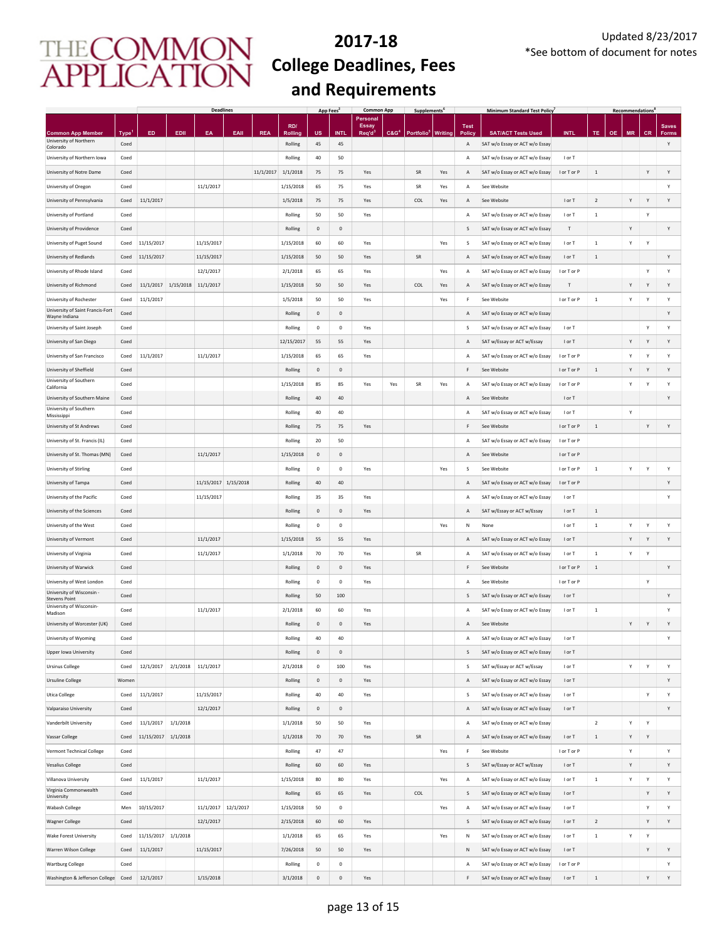|                                                    |                   | <b>Deadlines</b> |          |                      |                     | App Fees<br><b>Common App</b> |            |                     |             |                          | Supplements <sup>t</sup><br><b>Minimum Standard Test Policy</b> |                        |         |                |                                |             | Recommendations <sup>1</sup> |           |   |           |              |
|----------------------------------------------------|-------------------|------------------|----------|----------------------|---------------------|-------------------------------|------------|---------------------|-------------|--------------------------|-----------------------------------------------------------------|------------------------|---------|----------------|--------------------------------|-------------|------------------------------|-----------|---|-----------|--------------|
|                                                    |                   |                  |          |                      |                     |                               | RD/        |                     |             | Personal<br><b>Essay</b> |                                                                 |                        |         | <b>Test</b>    |                                |             |                              |           |   |           | <b>Saves</b> |
| <b>Common App Member</b><br>University of Northern | Type <sup>1</sup> | ED               | EDII     | EA                   | EAII                | <b>REA</b>                    | Rolling    | <b>US</b>           | INTI        | Req'd <sup>3</sup>       | C&G <sup>4</sup>                                                | Portfolio <sup>5</sup> | Writing | <b>Policy</b>  | <b>SAT/ACT Tests Used</b>      | <b>INTL</b> | TE                           | <b>OE</b> |   | <b>CR</b> | Forms        |
| Colorado                                           | Coed              |                  |          |                      |                     |                               | Rolling    | 45                  | 45          |                          |                                                                 |                        |         | A              | SAT w/o Essay or ACT w/o Essay |             |                              |           |   |           | Υ            |
| University of Northern Iowa                        | Coed              |                  |          |                      |                     |                               | Rolling    | 40                  | 50          |                          |                                                                 |                        |         | A              | SAT w/o Essay or ACT w/o Essay | I or T      |                              |           |   |           |              |
| University of Notre Dame                           | Coed              |                  |          |                      |                     | 11/1/2017                     | 1/1/2018   | 75                  | 75          | Yes                      |                                                                 | SR                     | Yes     | $\overline{A}$ | SAT w/o Essay or ACT w/o Essay | I or T or P | $\,$ 1                       |           |   | Y         | Υ            |
| University of Oregon                               | Coed              |                  |          | 11/1/2017            |                     |                               | 1/15/2018  | 65                  | 75          | Yes                      |                                                                 | SR                     | Yes     | Α              | See Website                    |             |                              |           |   |           | Y            |
| University of Pennsylvania                         | Coed              | 11/1/2017        |          |                      |                     |                               | 1/5/2018   | 75                  | 75          | Yes                      |                                                                 | COL                    | Yes     | $\overline{A}$ | See Website                    | I or T      | $\overline{2}$               |           | Y | Y         | Y            |
| University of Portland                             | Coed              |                  |          |                      |                     |                               | Rolling    | 50                  | 50          | Yes                      |                                                                 |                        |         | Α              | SAT w/o Essay or ACT w/o Essay | I or T      | 1                            |           |   | Y         |              |
| University of Providence                           | Coed              |                  |          |                      |                     |                               | Rolling    | $\mathsf 0$         | $\mathsf 0$ |                          |                                                                 |                        |         | S              | SAT w/o Essay or ACT w/o Essay | T           |                              |           | Y |           | Y            |
|                                                    |                   | 11/15/2017       |          | 11/15/2017           |                     |                               | 1/15/2018  | 60                  | 60          |                          |                                                                 |                        |         |                |                                | I or T      |                              |           | Υ | Y         |              |
| University of Puget Sound                          | Coed              |                  |          |                      |                     |                               |            |                     |             | Yes                      |                                                                 |                        | Yes     | s              | SAT w/o Essay or ACT w/o Essay |             | $\mathbf{1}$                 |           |   |           |              |
| University of Redlands                             | Coed              | 11/15/2017       |          | 11/15/2017           |                     |                               | 1/15/2018  | 50                  | 50          | Yes                      |                                                                 | SR                     |         | $\mathsf A$    | SAT w/o Essay or ACT w/o Essay | I or T      | 1                            |           |   |           | Y            |
| University of Rhode Island                         | Coed              |                  |          | 12/1/2017            |                     |                               | 2/1/2018   | 65                  | 65          | Yes                      |                                                                 |                        | Yes     | А              | SAT w/o Essay or ACT w/o Essay | I or T or P |                              |           |   | Υ         | Y            |
| University of Richmond                             | Coed              | 11/1/2017        |          | 1/15/2018 11/1/2017  |                     |                               | 1/15/2018  | 50                  | 50          | Yes                      |                                                                 | COL                    | Yes     | А              | SAT w/o Essay or ACT w/o Essay | т           |                              |           | Υ | Y         | Y            |
| University of Rochester                            | Coed              | 11/1/2017        |          |                      |                     |                               | 1/5/2018   | 50                  | 50          | Yes                      |                                                                 |                        | Yes     | F              | See Website                    | I or T or P | $\,$ 1                       |           | Υ | Y         | Y            |
| University of Saint Francis-Fort<br>Wayne Indiana  | Coed              |                  |          |                      |                     |                               | Rolling    | $\mathsf{O}\xspace$ | $\mathbf 0$ |                          |                                                                 |                        |         | А              | SAT w/o Essay or ACT w/o Essay |             |                              |           |   |           | Y            |
| University of Saint Joseph                         | Coed              |                  |          |                      |                     |                               | Rolling    | 0                   | $\,0\,$     | Yes                      |                                                                 |                        |         | S              | SAT w/o Essay or ACT w/o Essay | I or T      |                              |           |   | Y         | Υ            |
| University of San Diego                            | Coed              |                  |          |                      |                     |                               | 12/15/2017 | 55                  | 55          | Yes                      |                                                                 |                        |         | $\overline{A}$ | SAT w/Essay or ACT w/Essay     | I or T      |                              |           | Υ | Y         | Y            |
| University of San Francisco                        | Coed              | 11/1/2017        |          | 11/1/2017            |                     |                               | 1/15/2018  | 65                  | 65          | Yes                      |                                                                 |                        |         | $\overline{A}$ | SAT w/o Essay or ACT w/o Essay | I or T or P |                              |           | Υ | Y         | Υ            |
| University of Sheffield                            | Coed              |                  |          |                      |                     |                               | Rolling    | $\mathbf 0$         | $\mathbf 0$ |                          |                                                                 |                        |         | F              | See Website                    | I or T or P | $\mathbf{1}$                 |           | Υ | Y         | Y            |
| University of Southern                             |                   |                  |          |                      |                     |                               |            |                     |             |                          |                                                                 |                        |         |                |                                |             |                              |           |   |           |              |
| California                                         | Coed              |                  |          |                      |                     |                               | 1/15/2018  | 85                  | 85          | Yes                      | Yes                                                             | SR                     | Yes     | Α              | SAT w/o Essay or ACT w/o Essay | I or T or P |                              |           | Υ | Y         | Υ            |
| University of Southern Maine                       | Coed              |                  |          |                      |                     |                               | Rolling    | $40\,$              | 40          |                          |                                                                 |                        |         | Α              | See Website                    | I or T      |                              |           |   |           | Y            |
| University of Southern<br>Mississippi              | Coed              |                  |          |                      |                     |                               | Rolling    | 40                  | 40          |                          |                                                                 |                        |         | A              | SAT w/o Essay or ACT w/o Essay | I or T      |                              |           | Υ |           |              |
| University of St Andrews                           | Coed              |                  |          |                      |                     |                               | Rolling    | 75                  | 75          | Yes                      |                                                                 |                        |         | F              | See Website                    | I or T or P | $\,$ 1                       |           |   | Y         | Υ            |
| University of St. Francis (IL)                     | Coed              |                  |          |                      |                     |                               | Rolling    | 20                  | 50          |                          |                                                                 |                        |         | A              | SAT w/o Essay or ACT w/o Essay | I or T or P |                              |           |   |           |              |
| University of St. Thomas (MN)                      | Coed              |                  |          | 11/1/2017            |                     |                               | 1/15/2018  | $\mathbf 0$         | $\mathbf 0$ |                          |                                                                 |                        |         | A              | See Website                    | I or T or P |                              |           |   |           |              |
| University of Stirling                             | Coed              |                  |          |                      |                     |                               | Rolling    | $\mathbf 0$         | $\mathbf 0$ | Yes                      |                                                                 |                        | Yes     | s              | See Website                    | I or T or P | $\,$ 1                       |           | Υ | Υ         | Y            |
| University of Tampa                                | Coed              |                  |          | 11/15/2017 1/15/2018 |                     |                               | Rolling    | $40\,$              | 40          |                          |                                                                 |                        |         | А              | SAT w/o Essay or ACT w/o Essay | I or T or P |                              |           |   |           | Y            |
| University of the Pacific                          | Coed              |                  |          | 11/15/2017           |                     |                               | Rolling    | 35                  | 35          | Yes                      |                                                                 |                        |         | A              | SAT w/o Essay or ACT w/o Essay | I or T      |                              |           |   |           | Y            |
|                                                    |                   |                  |          |                      |                     |                               |            |                     |             |                          |                                                                 |                        |         |                |                                |             |                              |           |   |           |              |
| University of the Sciences                         | Coed              |                  |          |                      |                     |                               | Rolling    | $\mathsf{O}\xspace$ | $\mathbf 0$ | Yes                      |                                                                 |                        |         | $\overline{A}$ | SAT w/Essay or ACT w/Essay     | I or T      | $\,$ 1                       |           |   |           |              |
| University of the West                             | Coed              |                  |          |                      |                     |                               | Rolling    | 0                   | $\,0\,$     |                          |                                                                 |                        | Yes     | N              | None                           | I or T      | $\,$ 1                       |           | Υ | Y         | Υ            |
| University of Vermont                              | Coed              |                  |          | 11/1/2017            |                     |                               | 1/15/2018  | 55                  | 55          | Yes                      |                                                                 |                        |         | A              | SAT w/o Essay or ACT w/o Essay | I or T      |                              |           | Y | Y         | Y            |
| University of Virginia                             | Coed              |                  |          | 11/1/2017            |                     |                               | 1/1/2018   | 70                  | 70          | Yes                      |                                                                 | SR                     |         | A              | SAT w/o Essay or ACT w/o Essay | I or T      | $\,$ 1 $\,$                  |           | Υ | Υ         |              |
| University of Warwick                              | Coed              |                  |          |                      |                     |                               | Rolling    | $\mathsf 0$         | $\mathbf 0$ | Yes                      |                                                                 |                        |         | F              | See Website                    | I or T or P | $1\,$                        |           |   |           | Υ            |
| University of West London                          | Coed              |                  |          |                      |                     |                               | Rolling    | $\mathsf 0$         | $\mathsf 0$ | Yes                      |                                                                 |                        |         | $\overline{A}$ | See Website                    | I or T or P |                              |           |   | Y         |              |
| University of Wisconsin -<br><b>Stevens Point</b>  | Coed              |                  |          |                      |                     |                               | Rolling    | 50                  | 100         |                          |                                                                 |                        |         | S              | SAT w/o Essay or ACT w/o Essay | I or T      |                              |           |   |           | Υ            |
| University of Wisconsin-<br>Madison                | Coed              |                  |          | 11/1/2017            |                     |                               | 2/1/2018   | 60                  | 60          | Yes                      |                                                                 |                        |         | $\overline{A}$ | SAT w/o Essay or ACT w/o Essay | I or T      | $\mathbf{1}$                 |           |   |           | Y            |
| University of Worcester (UK)                       | Coed              |                  |          |                      |                     |                               | Rolling    | $\mathbf 0$         | $\mathbf 0$ | Yes                      |                                                                 |                        |         | А              | See Website                    |             |                              |           | Y | Y         | Y            |
| University of Wyoming                              | Coed              |                  |          |                      |                     |                               | Rolling    | 40                  | 40          |                          |                                                                 |                        |         | $\overline{A}$ | SAT w/o Essay or ACT w/o Essay | I or T      |                              |           |   |           | Y            |
| <b>Upper Iowa University</b>                       | Coed              |                  |          |                      |                     |                               | Rolling    | $\mathbf 0$         | $\mathbf 0$ |                          |                                                                 |                        |         | S              | SAT w/o Essay or ACT w/o Essay | I or T      |                              |           |   |           |              |
|                                                    |                   |                  |          |                      |                     |                               |            |                     |             |                          |                                                                 |                        |         |                |                                |             |                              |           |   |           |              |
| <b>Ursinus College</b>                             | Coed              | 12/1/2017        | 2/1/2018 | 11/1/2017            |                     |                               | 2/1/2018   | $\mathbf 0$         | 100         | Yes                      |                                                                 |                        |         | <sub>S</sub>   | SAT w/Essay or ACT w/Essay     | I or T      |                              |           | Υ | Υ         | Υ            |
| <b>Ursuline College</b>                            | Women             |                  |          |                      |                     |                               | Rolling    | $\mathbf 0$         | $\mathsf 0$ | Yes                      |                                                                 |                        |         | A              | SAT w/o Essay or ACT w/o Essay | I or T      |                              |           |   |           | Υ            |
| <b>Utica College</b>                               | Coed              | 11/1/2017        |          | 11/15/2017           |                     |                               | Rolling    | 40                  | 40          | Yes                      |                                                                 |                        |         | S              | SAT w/o Essay or ACT w/o Essay | I or T      |                              |           |   | Υ         | Υ            |
| Valparaiso University                              | Coed              |                  |          | 12/1/2017            |                     |                               | Rolling    | $\mathbf 0$         | $\mathsf 0$ |                          |                                                                 |                        |         | A              | SAT w/o Essay or ACT w/o Essay | I or T      |                              |           |   |           | Υ            |
| Vanderbilt University                              | Coed              | 11/1/2017        | 1/1/2018 |                      |                     |                               | 1/1/2018   | 50                  | 50          | Yes                      |                                                                 |                        |         | Α              | SAT w/o Essay or ACT w/o Essay |             | $\overline{2}$               |           | Υ | Υ         |              |
| Vassar College                                     | Coed              | 11/15/2017       | 1/1/2018 |                      |                     |                               | 1/1/2018   | 70                  | 70          | Yes                      |                                                                 | SR                     |         | Α              | SAT w/o Essay or ACT w/o Essay | I or T      | $1\,$                        |           | Υ | Y         |              |
| Vermont Technical College                          | Coed              |                  |          |                      |                     |                               | Rolling    | 47                  | 47          |                          |                                                                 |                        | Yes     | F              | See Website                    | I or T or P |                              |           | Υ |           | Υ            |
| <b>Vesalius College</b>                            | Coed              |                  |          |                      |                     |                               | Rolling    | 60                  | 60          | Yes                      |                                                                 |                        |         | S              | SAT w/Essay or ACT w/Essay     | I or T      |                              |           | Y |           | Υ            |
| Villanova University                               | Coed              | 11/1/2017        |          | 11/1/2017            |                     |                               | 1/15/2018  | 80                  | 80          | Yes                      |                                                                 |                        | Yes     | Α              | SAT w/o Essay or ACT w/o Essay | I or T      | $\,$ 1 $\,$                  |           | Υ | Υ         | Υ            |
| Virginia Commonwealth                              | Coed              |                  |          |                      |                     |                               | Rolling    | 65                  | 65          | Yes                      |                                                                 | COL                    |         | S              | SAT w/o Essay or ACT w/o Essay | I or T      |                              |           |   | Y         | Υ            |
| University                                         |                   |                  |          |                      |                     |                               |            |                     |             |                          |                                                                 |                        |         |                |                                |             |                              |           |   |           |              |
| Wabash College                                     | Men               | 10/15/2017       |          |                      | 11/1/2017 12/1/2017 |                               | 1/15/2018  | 50                  | $\mathbf 0$ |                          |                                                                 |                        | Yes     | Α              | SAT w/o Essay or ACT w/o Essay | I or T      |                              |           |   | Υ         | Υ            |
| <b>Wagner College</b>                              | Coed              |                  |          | 12/1/2017            |                     |                               | 2/15/2018  | 60                  | 60          | Yes                      |                                                                 |                        |         | $\mathsf S$    | SAT w/o Essay or ACT w/o Essay | I or T      | $\sqrt{2}$                   |           |   | Y         | Υ            |
| <b>Wake Forest University</b>                      | Coed              | 11/15/2017       | 1/1/2018 |                      |                     |                               | 1/1/2018   | 65                  | 65          | Yes                      |                                                                 |                        | Yes     | N              | SAT w/o Essay or ACT w/o Essay | I or T      | $\,$ 1                       |           | Υ | Y         |              |
| Warren Wilson College                              | Coed              | 11/1/2017        |          | 11/15/2017           |                     |                               | 7/26/2018  | 50                  | 50          | Yes                      |                                                                 |                        |         | ${\sf N}$      | SAT w/o Essay or ACT w/o Essay | I or T      |                              |           |   | Y         | Υ            |
| <b>Wartburg College</b>                            | Coed              |                  |          |                      |                     |                               | Rolling    | 0                   | $\,0\,$     |                          |                                                                 |                        |         | A              | SAT w/o Essay or ACT w/o Essay | I or T or P |                              |           |   |           | Υ            |
| Washington & Jefferson College Coed                |                   | 12/1/2017        |          | 1/15/2018            |                     |                               | 3/1/2018   | $\mathbf 0$         | $\mathbf 0$ | Yes                      |                                                                 |                        |         | F              | SAT w/o Essay or ACT w/o Essay | I or T      | $\,1\,$                      |           |   | Y         | Υ            |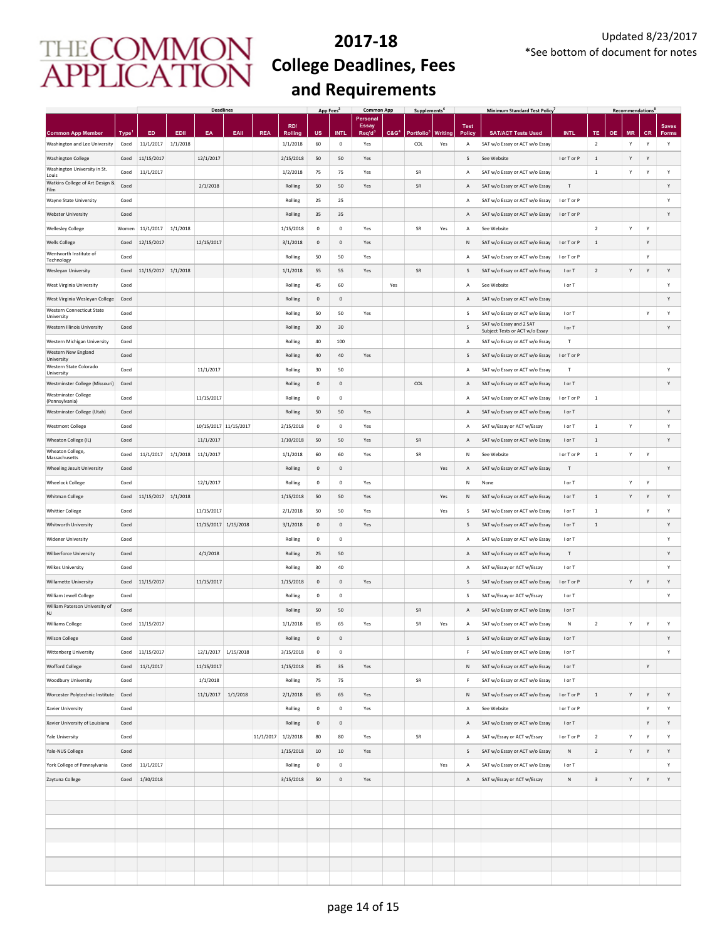|                                           |             |            |          | <b>Deadlines</b>      |          |            |                | App Fees     |                     | <b>Common App</b>               |                  | Supplements <sup>t</sup> |         |                | <b>Minimum Standard Test Policy</b> |             |                         |    | <b>Recommendations</b> |           |              |
|-------------------------------------------|-------------|------------|----------|-----------------------|----------|------------|----------------|--------------|---------------------|---------------------------------|------------------|--------------------------|---------|----------------|-------------------------------------|-------------|-------------------------|----|------------------------|-----------|--------------|
|                                           |             |            |          |                       |          |            | RD/            |              |                     | <b>Personal</b><br><b>Essay</b> |                  |                          |         | <b>Test</b>    |                                     |             |                         |    |                        |           | <b>Saves</b> |
| <b>Common App Member</b>                  | <b>Type</b> | ED         | EDII     | EA                    | EAII     | <b>REA</b> | <b>Rolling</b> | <b>US</b>    | <b>INTI</b>         | Req'd                           | C&G <sup>4</sup> | <b>Portfolio</b>         | Writing | <b>Policy</b>  | <b>SAT/ACT Tests Used</b>           | <b>INTL</b> | <b>TE</b>               | OЕ | <b>MR</b>              | <b>CR</b> | <b>Forms</b> |
| Washington and Lee University             | Coed        | 11/1/2017  | 1/1/2018 |                       |          |            | 1/1/2018       | 60           | 0                   | Yes                             |                  | COL                      | Yes     | Α              | SAT w/o Essay or ACT w/o Essay      |             | $\overline{2}$          |    | Υ                      | Y         | Υ            |
| <b>Washington College</b>                 | Coed        | 11/15/2017 |          | 12/1/2017             |          |            | 2/15/2018      | 50           | 50                  | Yes                             |                  |                          |         | S              | See Website                         | I or T or P | $\overline{1}$          |    | Υ                      | Y         |              |
| Washington University in St.              | Coed        | 11/1/2017  |          |                       |          |            | 1/2/2018       | 75           | 75                  | Yes                             |                  | SR                       |         | A              | SAT w/o Essay or ACT w/o Essay      |             | $\,$ 1                  |    | Υ                      | Υ         | Υ            |
| Louis<br>Watkins College of Art Design &  | Coed        |            |          | 2/1/2018              |          |            | Rolling        | 50           | 50                  | Yes                             |                  | SR                       |         | $\overline{A}$ | SAT w/o Essay or ACT w/o Essay      | T           |                         |    |                        |           | Y            |
| Film                                      |             |            |          |                       |          |            |                |              |                     |                                 |                  |                          |         |                |                                     |             |                         |    |                        |           |              |
| Wayne State University                    | Coed        |            |          |                       |          |            | Rolling        | 25           | 25                  |                                 |                  |                          |         | A              | SAT w/o Essay or ACT w/o Essay      | I or T or P |                         |    |                        |           | Y            |
| <b>Webster University</b>                 | Coed        |            |          |                       |          |            | Rolling        | 35           | 35                  |                                 |                  |                          |         | $\overline{A}$ | SAT w/o Essay or ACT w/o Essay      | I or T or P |                         |    |                        |           | Y            |
| <b>Wellesley College</b>                  | Women       | 11/1/2017  | 1/1/2018 |                       |          |            | 1/15/2018      | $^{\circ}$   | 0                   | Yes                             |                  | <b>SR</b>                | Yes     | A              | See Website                         |             | $\overline{2}$          |    | Y                      | Υ         |              |
| <b>Wells College</b>                      | Coed        | 12/15/2017 |          | 12/15/2017            |          |            | 3/1/2018       | $\mathbf{0}$ | $\mathbf{0}$        | Yes                             |                  |                          |         | ${\sf N}$      | SAT w/o Essay or ACT w/o Essay      | I or T or P | 1                       |    |                        | Υ         |              |
| Wentworth Institute of                    | Coed        |            |          |                       |          |            | Rolling        | 50           | 50                  | Yes                             |                  |                          |         | $\overline{A}$ | SAT w/o Essay or ACT w/o Essay      | I or T or P |                         |    |                        | Υ         |              |
| Technology                                |             |            |          |                       |          |            |                |              |                     |                                 |                  |                          |         |                |                                     |             |                         |    |                        |           |              |
| Wesleyan University                       | Coed        | 11/15/2017 | 1/1/2018 |                       |          |            | 1/1/2018       | 55           | 55                  | Yes                             |                  | ${\sf SR}$               |         | S              | SAT w/o Essay or ACT w/o Essay      | I or T      | $\overline{2}$          |    | Υ                      | Y         | Υ            |
| West Virginia University                  | Coed        |            |          |                       |          |            | Rolling        | 45           | 60                  |                                 | Yes              |                          |         | А              | See Website                         | I or T      |                         |    |                        |           | Υ            |
| West Virginia Wesleyan College            | Coed        |            |          |                       |          |            | Rolling        | $\mathbf 0$  | 0                   |                                 |                  |                          |         | A              | SAT w/o Essay or ACT w/o Essay      |             |                         |    |                        |           | Υ            |
| <b>Western Connecticut State</b>          | Coed        |            |          |                       |          |            | Rolling        | 50           | 50                  | Yes                             |                  |                          |         | s              | SAT w/o Essay or ACT w/o Essay      | I or T      |                         |    |                        | Y         | Y            |
| University<br>Western Illinois University | Coed        |            |          |                       |          |            | Rolling        | 30           | 30                  |                                 |                  |                          |         | S              | SAT w/o Essay and 2 SAT             | I or T      |                         |    |                        |           | Υ            |
|                                           |             |            |          |                       |          |            |                |              |                     |                                 |                  |                          |         |                | Subject Tests or ACT w/o Essay      |             |                         |    |                        |           |              |
| Western Michigan University               | Coed        |            |          |                       |          |            | Rolling        | 40           | 100                 |                                 |                  |                          |         | A              | SAT w/o Essay or ACT w/o Essay      | т           |                         |    |                        |           |              |
| Western New England<br>University         | Coed        |            |          |                       |          |            | Rolling        | 40           | 40                  | Yes                             |                  |                          |         | S              | SAT w/o Essay or ACT w/o Essay      | I or T or P |                         |    |                        |           |              |
| Western State Colorado<br>University      | Coed        |            |          | 11/1/2017             |          |            | Rolling        | 30           | 50                  |                                 |                  |                          |         | А              | SAT w/o Essay or ACT w/o Essay      | т           |                         |    |                        |           | Υ            |
| Westminster College (Missouri)            | Coed        |            |          |                       |          |            | Rolling        | $\mathbf 0$  | $\mathbb O$         |                                 |                  | COL                      |         | Α              | SAT w/o Essay or ACT w/o Essay      | I or T      |                         |    |                        |           | Υ            |
| <b>Westminster College</b>                | Coed        |            |          | 11/15/2017            |          |            | Rolling        | $\mathbf 0$  | $\mathsf 0$         |                                 |                  |                          |         | А              | SAT w/o Essay or ACT w/o Essay      | I or T or P | $\,$ 1                  |    |                        |           |              |
| (Pennsylvania)                            |             |            |          |                       |          |            |                |              |                     |                                 |                  |                          |         |                |                                     |             |                         |    |                        |           |              |
| Westminster College (Utah)                | Coed        |            |          |                       |          |            | Rolling        | 50           | 50                  | Yes                             |                  |                          |         | $\overline{A}$ | SAT w/o Essay or ACT w/o Essay      | I or T      |                         |    |                        |           | Υ            |
| <b>Westmont College</b>                   | Coed        |            |          | 10/15/2017 11/15/2017 |          |            | 2/15/2018      | $\mathbf 0$  | $\mathbb O$         | Yes                             |                  |                          |         | $\overline{A}$ | SAT w/Essay or ACT w/Essay          | I or T      | $\,$ 1                  |    | Υ                      |           | Υ            |
| Wheaton College (IL)                      | Coed        |            |          | 11/1/2017             |          |            | 1/10/2018      | 50           | 50                  | Yes                             |                  | SR                       |         | A              | SAT w/o Essay or ACT w/o Essay      | I or T      | $\,$ 1 $\,$             |    |                        |           | Υ            |
| Wheaton College,<br>Massachusetts         | Coed        | 11/1/2017  | 1/1/2018 | 11/1/2017             |          |            | 1/1/2018       | 60           | 60                  | Yes                             |                  | SR                       |         | N              | See Website                         | I or T or P | $\,$ 1 $\,$             |    | Υ                      | Υ         |              |
| Wheeling Jesuit University                | Coed        |            |          |                       |          |            | Rolling        | $\mathbf 0$  | $\mathbf 0$         |                                 |                  |                          | Yes     | A              | SAT w/o Essay or ACT w/o Essay      | Т           |                         |    |                        |           | Υ            |
| <b>Wheelock College</b>                   | Coed        |            |          | 12/1/2017             |          |            | Rolling        | $\mathbf 0$  | $\mathbf 0$         | Yes                             |                  |                          |         | N              | None                                | I or T      |                         |    | Υ                      | Υ         |              |
|                                           |             |            |          |                       |          |            |                |              |                     |                                 |                  |                          |         |                |                                     |             |                         |    |                        |           |              |
| Whitman College                           | Coed        | 11/15/2017 | 1/1/2018 |                       |          |            | 1/15/2018      | 50           | 50                  | Yes                             |                  |                          | Yes     | N              | SAT w/o Essay or ACT w/o Essay      | I or T      | $\,1\,$                 |    | Υ                      | Y         | Υ            |
| <b>Whittier College</b>                   | Coed        |            |          | 11/15/2017            |          |            | 2/1/2018       | 50           | 50                  | Yes                             |                  |                          | Yes     | s              | SAT w/o Essay or ACT w/o Essay      | I or T      | $\,$ 1                  |    |                        | Υ         | Υ            |
| Whitworth University                      | Coed        |            |          | 11/15/2017 1/15/2018  |          |            | 3/1/2018       | $\mathbf 0$  | 0                   | Yes                             |                  |                          |         | S              | SAT w/o Essay or ACT w/o Essay      | I or T      | $\,1\,$                 |    |                        |           | Υ            |
| <b>Widener University</b>                 | Coed        |            |          |                       |          |            | Rolling        | 0            | $\mathbf 0$         |                                 |                  |                          |         | A              | SAT w/o Essay or ACT w/o Essay      | I or T      |                         |    |                        |           | Y            |
| <b>Wilberforce University</b>             | Coed        |            |          | 4/1/2018              |          |            | Rolling        | 25           | 50                  |                                 |                  |                          |         | $\overline{A}$ | SAT w/o Essay or ACT w/o Essay      | т           |                         |    |                        |           | Y            |
|                                           |             |            |          |                       |          |            |                |              |                     |                                 |                  |                          |         |                |                                     |             |                         |    |                        |           |              |
| <b>Wilkes University</b>                  | Coed        |            |          |                       |          |            | Rolling        | 30           | 40                  |                                 |                  |                          |         | А              | SAT w/Essay or ACT w/Essay          | I or T      |                         |    |                        |           | Y            |
| Willamette University                     | Coed        | 11/15/2017 |          | 11/15/2017            |          |            | 1/15/2018      | $\mathbf{0}$ | $\mathsf{O}\xspace$ | Yes                             |                  |                          |         | s              | SAT w/o Essay or ACT w/o Essay      | I or T or P |                         |    | Υ                      | Υ         | Y            |
| William Jewell College                    | Coed        |            |          |                       |          |            | Rolling        | $^{\circ}$   | 0                   |                                 |                  |                          |         | s              | SAT w/Essay or ACT w/Essay          | I or T      |                         |    |                        |           | Y            |
| William Paterson University of<br>NJ      | Coed        |            |          |                       |          |            | Rolling        | 50           | 50                  |                                 |                  | SR                       |         | $\overline{A}$ | SAT w/o Essay or ACT w/o Essay      | I or T      |                         |    |                        |           |              |
| <b>Williams College</b>                   | Coed        | 11/15/2017 |          |                       |          |            | 1/1/2018       | 65           | 65                  | Yes                             |                  | SR                       | Yes     | А              | SAT w/o Essay or ACT w/o Essay      | Ν           | $\overline{2}$          |    | Υ                      | Υ         | Y            |
| <b>Wilson College</b>                     | Coed        |            |          |                       |          |            | Rolling        | $\mathbf 0$  | $\mathbf 0$         |                                 |                  |                          |         | S              | SAT w/o Essay or ACT w/o Essay      | I or T      |                         |    |                        |           | Y            |
|                                           |             |            |          |                       |          |            |                |              |                     |                                 |                  |                          |         |                |                                     |             |                         |    |                        |           |              |
| Wittenberg University                     | Coed        | 11/15/2017 |          | 12/1/2017 1/15/2018   |          |            | 3/15/2018      | $\mathbf 0$  | $\mathbf 0$         |                                 |                  |                          |         | F              | SAT w/o Essay or ACT w/o Essay      | I or T      |                         |    |                        |           | Υ            |
| <b>Wofford College</b>                    | Coed        | 11/1/2017  |          | 11/15/2017            |          |            | 1/15/2018      | 35           | 35                  | Yes                             |                  |                          |         | N              | SAT w/o Essay or ACT w/o Essay      | I or T      |                         |    |                        | Υ         |              |
| Woodbury University                       | Coed        |            |          | 1/1/2018              |          |            | Rolling        | 75           | 75                  |                                 |                  | SR                       |         | F              | SAT w/o Essay or ACT w/o Essay      | I or T      |                         |    |                        |           |              |
| Worcester Polytechnic Institute           | Coed        |            |          | 11/1/2017             | 1/1/2018 |            | 2/1/2018       | 65           | 65                  | Yes                             |                  |                          |         | ${\sf N}$      | SAT w/o Essay or ACT w/o Essay      | I or T or P | $\,$ 1 $\,$             |    | Υ                      | Υ         | Υ            |
| Xavier University                         | Coed        |            |          |                       |          |            | Rolling        | 0            | 0                   | Yes                             |                  |                          |         | А              | See Website                         | I or T or P |                         |    |                        | Υ         | Y            |
|                                           |             |            |          |                       |          |            |                |              |                     |                                 |                  |                          |         |                |                                     |             |                         |    |                        |           |              |
| Xavier University of Louisiana            | Coed        |            |          |                       |          |            | Rolling        | $\mathbf 0$  | $\mathbf 0$         |                                 |                  |                          |         | Α              | SAT w/o Essay or ACT w/o Essay      | I or T      |                         |    |                        | Υ         | Υ            |
| Yale University                           | Coed        |            |          |                       |          | 11/1/2017  | 1/2/2018       | 80           | 80                  | Yes                             |                  | SR                       |         | Α              | SAT w/Essay or ACT w/Essay          | I or T or P | $\overline{2}$          |    | $\mathsf{Y}$           | Υ         | Υ            |
| Yale-NUS College                          | Coed        |            |          |                       |          |            | 1/15/2018      | 10           | 10                  | Yes                             |                  |                          |         | S              | SAT w/o Essay or ACT w/o Essay      | N           | $\overline{2}$          |    | Υ                      | Υ         | Υ            |
| York College of Pennsylvania              | Coed        | 11/1/2017  |          |                       |          |            | Rolling        | $\mathsf{o}$ | $\mathbf 0$         |                                 |                  |                          | Yes     | А              | SAT w/o Essay or ACT w/o Essay      | I or T      |                         |    |                        |           | Υ            |
| Zaytuna College                           | Coed        | 1/30/2018  |          |                       |          |            | 3/15/2018      | 50           | $\mathsf{O}\xspace$ | Yes                             |                  |                          |         | $\mathsf{A}$   | SAT w/Essay or ACT w/Essay          | ${\sf N}$   | $\overline{\mathbf{3}}$ |    | Υ                      | Υ         | Υ            |
|                                           |             |            |          |                       |          |            |                |              |                     |                                 |                  |                          |         |                |                                     |             |                         |    |                        |           |              |
|                                           |             |            |          |                       |          |            |                |              |                     |                                 |                  |                          |         |                |                                     |             |                         |    |                        |           |              |
|                                           |             |            |          |                       |          |            |                |              |                     |                                 |                  |                          |         |                |                                     |             |                         |    |                        |           |              |
|                                           |             |            |          |                       |          |            |                |              |                     |                                 |                  |                          |         |                |                                     |             |                         |    |                        |           |              |
|                                           |             |            |          |                       |          |            |                |              |                     |                                 |                  |                          |         |                |                                     |             |                         |    |                        |           |              |
|                                           |             |            |          |                       |          |            |                |              |                     |                                 |                  |                          |         |                |                                     |             |                         |    |                        |           |              |
|                                           |             |            |          |                       |          |            |                |              |                     |                                 |                  |                          |         |                |                                     |             |                         |    |                        |           |              |
|                                           |             |            |          |                       |          |            |                |              |                     |                                 |                  |                          |         |                |                                     |             |                         |    |                        |           |              |
|                                           |             |            |          |                       |          |            |                |              |                     |                                 |                  |                          |         |                |                                     |             |                         |    |                        |           |              |